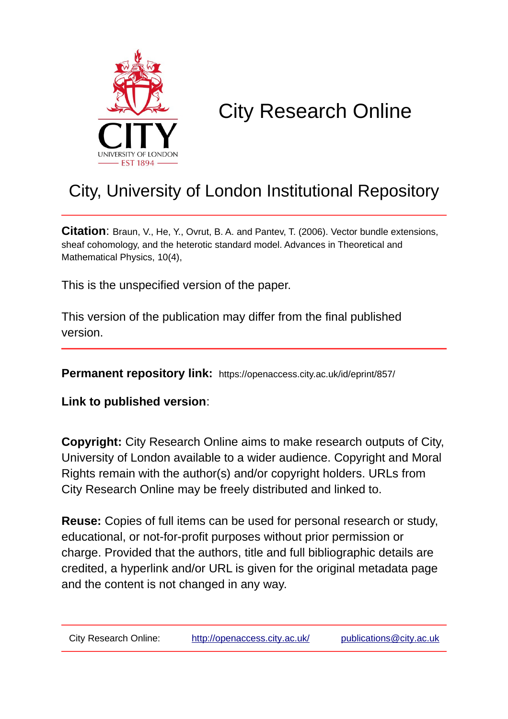

# City Research Online

# City, University of London Institutional Repository

**Citation**: Braun, V., He, Y., Ovrut, B. A. and Pantev, T. (2006). Vector bundle extensions, sheaf cohomology, and the heterotic standard model. Advances in Theoretical and Mathematical Physics, 10(4),

This is the unspecified version of the paper.

This version of the publication may differ from the final published version.

**Permanent repository link:** https://openaccess.city.ac.uk/id/eprint/857/

**Link to published version**:

**Copyright:** City Research Online aims to make research outputs of City, University of London available to a wider audience. Copyright and Moral Rights remain with the author(s) and/or copyright holders. URLs from City Research Online may be freely distributed and linked to.

**Reuse:** Copies of full items can be used for personal research or study, educational, or not-for-profit purposes without prior permission or charge. Provided that the authors, title and full bibliographic details are credited, a hyperlink and/or URL is given for the original metadata page and the content is not changed in any way.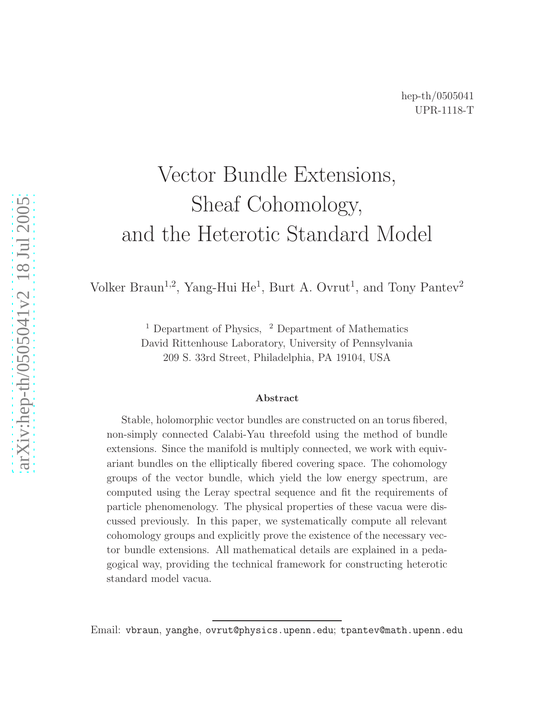# Vector Bundle Extensions, Sheaf Cohomology, and the Heterotic Standard Model

Volker Braun<sup>1,2</sup>, Yang-Hui He<sup>1</sup>, Burt A. Ovrut<sup>1</sup>, and Tony Pantev<sup>2</sup>

<sup>1</sup> Department of Physics, <sup>2</sup> Department of Mathematics David Rittenhouse Laboratory, University of Pennsylvania 209 S. 33rd Street, Philadelphia, PA 19104, USA

#### Abstract

Stable, holomorphic vector bundles are constructed on an torus fibered, non-simply connected Calabi-Yau threefold using the method of bundle extensions. Since the manifold is multiply connected, we work with equivariant bundles on the elliptically fibered covering space. The cohomology groups of the vector bundle, which yield the low energy spectrum, are computed using the Leray spectral sequence and fit the requirements of particle phenomenology. The physical properties of these vacua were discussed previously. In this paper, we systematically compute all relevant cohomology groups and explicitly prove the existence of the necessary vector bundle extensions. All mathematical details are explained in a pedagogical way, providing the technical framework for constructing heterotic standard model vacua.

Email: vbraun , yanghe , ovrut@physics.upenn.edu ; tpantev@math.upenn.edu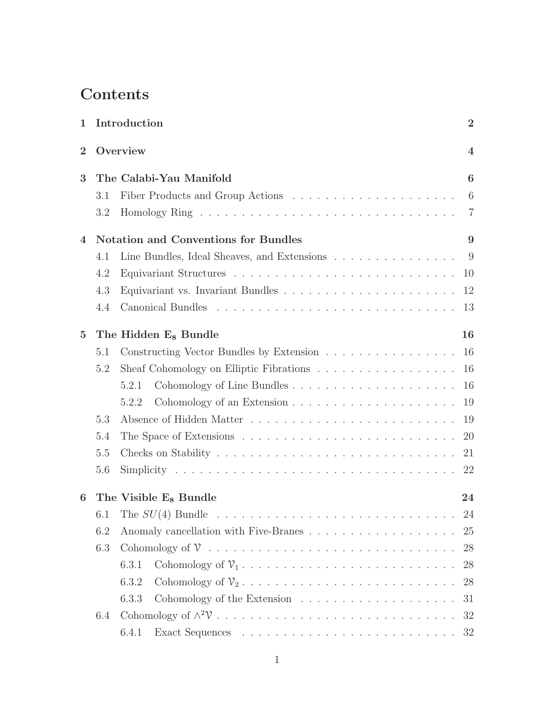## **Contents**

| 1              |     | Introduction                                                                                | $\overline{2}$          |
|----------------|-----|---------------------------------------------------------------------------------------------|-------------------------|
| $\overline{2}$ |     | Overview                                                                                    | $\overline{\mathbf{4}}$ |
| 3              |     | The Calabi-Yau Manifold                                                                     | 6                       |
|                | 3.1 |                                                                                             | 6                       |
|                | 3.2 |                                                                                             | $\overline{7}$          |
| 4              |     | Notation and Conventions for Bundles                                                        | 9                       |
|                | 4.1 | Line Bundles, Ideal Sheaves, and Extensions $\ldots \ldots \ldots \ldots$                   |                         |
|                | 4.2 |                                                                                             | 10                      |
|                | 4.3 | Equivariant vs. Invariant Bundles $\ldots \ldots \ldots \ldots \ldots \ldots \ldots \ldots$ | 12                      |
|                | 4.4 |                                                                                             | 13                      |
| $\overline{5}$ |     | The Hidden E <sub>8</sub> Bundle                                                            | 16                      |
|                | 5.1 | Constructing Vector Bundles by Extension                                                    | 16                      |
|                | 5.2 |                                                                                             | 16                      |
|                |     | 5.2.1                                                                                       | 16                      |
|                |     | 5.2.2                                                                                       | 19                      |
|                | 5.3 |                                                                                             | 19                      |
|                | 5.4 |                                                                                             | 20                      |
|                | 5.5 |                                                                                             | 21                      |
|                | 5.6 |                                                                                             | 22                      |
| 6              |     | The Visible E <sub>8</sub> Bundle                                                           | 24                      |
|                | 6.1 |                                                                                             | 24                      |
|                | 6.2 |                                                                                             | 25                      |
|                | 6.3 |                                                                                             | 28                      |
|                |     | 6.3.1                                                                                       | 28                      |
|                |     | 6.3.2                                                                                       | 28                      |
|                |     | 6.3.3<br>Cohomology of the Extension $\dots \dots \dots \dots \dots \dots \dots$            | 31                      |
|                | 6.4 |                                                                                             | 32                      |
|                |     | 6.4.1                                                                                       |                         |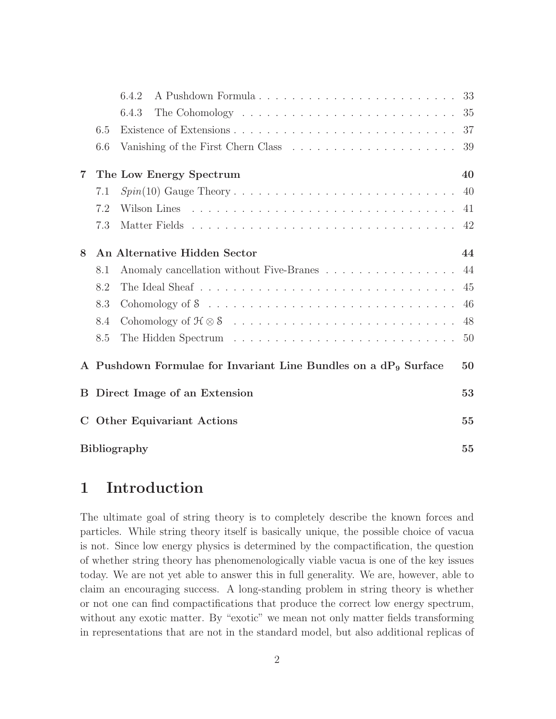|                                                                          |                                        | 6.4.2                                                                          |     |  |  |  |
|--------------------------------------------------------------------------|----------------------------------------|--------------------------------------------------------------------------------|-----|--|--|--|
|                                                                          |                                        | 6.4.3                                                                          | 35  |  |  |  |
|                                                                          | 6.5                                    |                                                                                |     |  |  |  |
|                                                                          | 6.6                                    | Vanishing of the First Chern Class $\dots \dots \dots \dots \dots \dots \dots$ | 39  |  |  |  |
| 7                                                                        |                                        | The Low Energy Spectrum                                                        | 40  |  |  |  |
|                                                                          | 7.1                                    |                                                                                | 40  |  |  |  |
|                                                                          | 7.2                                    |                                                                                | 41  |  |  |  |
|                                                                          | 7.3                                    |                                                                                | 42  |  |  |  |
| 8                                                                        |                                        | An Alternative Hidden Sector                                                   | 44  |  |  |  |
|                                                                          | 8.1                                    | Anomaly cancellation without Five-Branes                                       | 44  |  |  |  |
|                                                                          | 8.2                                    |                                                                                | 45  |  |  |  |
|                                                                          | 8.3                                    |                                                                                | 46  |  |  |  |
|                                                                          | 8.4                                    |                                                                                | 48  |  |  |  |
|                                                                          | 8.5                                    |                                                                                | -50 |  |  |  |
| A Pushdown Formulae for Invariant Line Bundles on a $dP_9$ Surface<br>50 |                                        |                                                                                |     |  |  |  |
| B.                                                                       | 53<br>Direct Image of an Extension     |                                                                                |     |  |  |  |
| $\mathbf C$                                                              | <b>Other Equivariant Actions</b><br>55 |                                                                                |     |  |  |  |
|                                                                          | <b>Bibliography</b><br>55              |                                                                                |     |  |  |  |

## 1 Introduction

The ultimate goal of string theory is to completely describe the known forces and particles. While string theory itself is basically unique, the possible choice of vacua is not. Since low energy physics is determined by the compactification, the question of whether string theory has phenomenologically viable vacua is one of the key issues today. We are not yet able to answer this in full generality. We are, however, able to claim an encouraging success. A long-standing problem in string theory is whether or not one can find compactifications that produce the correct low energy spectrum, without any exotic matter. By "exotic" we mean not only matter fields transforming in representations that are not in the standard model, but also additional replicas of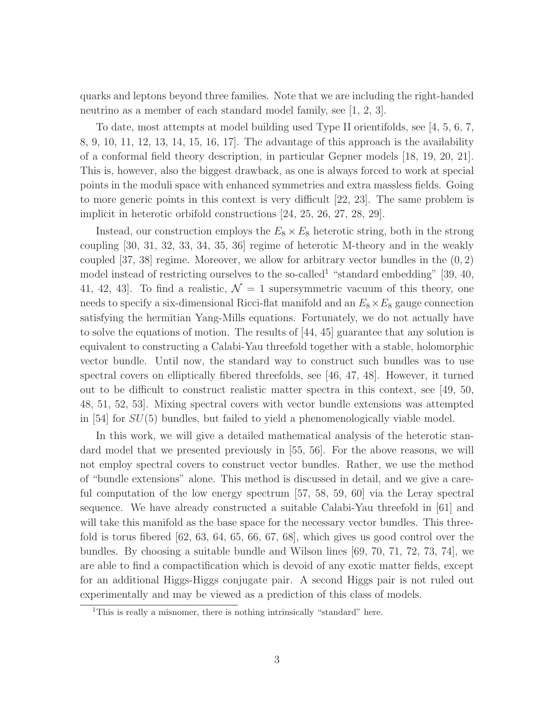quarks and leptons beyond three families. Note that we are including the right-handed neutrino as a member of each standard model family, see [1, 2, 3].

To date, most attempts at model building used Type II orientifolds, see [4, 5, 6, 7, 8, 9, 10, 11, 12, 13, 14, 15, 16, 17]. The advantage of this approach is the availability of a conformal field theory description, in particular Gepner models [18, 19, 20, 21]. This is, however, also the biggest drawback, as one is always forced to work at special points in the moduli space with enhanced symmetries and extra massless fields. Going to more generic points in this context is very difficult [22, 23]. The same problem is implicit in heterotic orbifold constructions [24, 25, 26, 27, 28, 29].

Instead, our construction employs the  $E_8 \times E_8$  heterotic string, both in the strong coupling [30, 31, 32, 33, 34, 35, 36] regime of heterotic M-theory and in the weakly coupled  $[37, 38]$  regime. Moreover, we allow for arbitrary vector bundles in the  $(0, 2)$ model instead of restricting ourselves to the so-called<sup>1</sup> "standard embedding" [39, 40, 41, 42, 43. To find a realistic,  $\mathcal{N} = 1$  supersymmetric vacuum of this theory, one needs to specify a six-dimensional Ricci-flat manifold and an  $E_8 \times E_8$  gauge connection satisfying the hermitian Yang-Mills equations. Fortunately, we do not actually have to solve the equations of motion. The results of [44, 45] guarantee that any solution is equivalent to constructing a Calabi-Yau threefold together with a stable, holomorphic vector bundle. Until now, the standard way to construct such bundles was to use spectral covers on elliptically fibered threefolds, see [46, 47, 48]. However, it turned out to be difficult to construct realistic matter spectra in this context, see [49, 50, 48, 51, 52, 53]. Mixing spectral covers with vector bundle extensions was attempted in [54] for SU(5) bundles, but failed to yield a phenomenologically viable model.

In this work, we will give a detailed mathematical analysis of the heterotic standard model that we presented previously in [55, 56]. For the above reasons, we will not employ spectral covers to construct vector bundles. Rather, we use the method of "bundle extensions" alone. This method is discussed in detail, and we give a careful computation of the low energy spectrum [57, 58, 59, 60] via the Leray spectral sequence. We have already constructed a suitable Calabi-Yau threefold in [61] and will take this manifold as the base space for the necessary vector bundles. This threefold is torus fibered  $[62, 63, 64, 65, 66, 67, 68]$ , which gives us good control over the bundles. By choosing a suitable bundle and Wilson lines [69, 70, 71, 72, 73, 74], we are able to find a compactification which is devoid of any exotic matter fields, except for an additional Higgs-Higgs conjugate pair. A second Higgs pair is not ruled out experimentally and may be viewed as a prediction of this class of models.

 $1$ This is really a misnomer, there is nothing intrinsically "standard" here.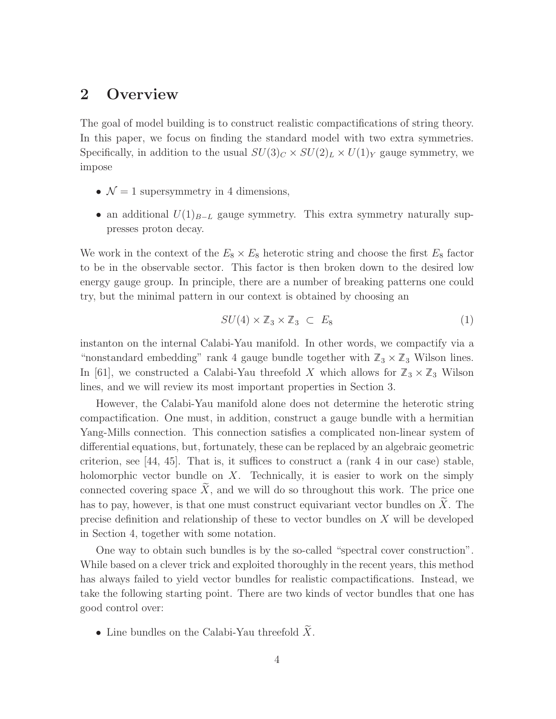## 2 Overview

The goal of model building is to construct realistic compactifications of string theory. In this paper, we focus on finding the standard model with two extra symmetries. Specifically, in addition to the usual  $SU(3)_C \times SU(2)_L \times U(1)_Y$  gauge symmetry, we impose

- $\mathcal{N} = 1$  supersymmetry in 4 dimensions,
- an additional  $U(1)_{B-L}$  gauge symmetry. This extra symmetry naturally suppresses proton decay.

We work in the context of the  $E_8 \times E_8$  heterotic string and choose the first  $E_8$  factor to be in the observable sector. This factor is then broken down to the desired low energy gauge group. In principle, there are a number of breaking patterns one could try, but the minimal pattern in our context is obtained by choosing an

$$
SU(4) \times \mathbb{Z}_3 \times \mathbb{Z}_3 \subset E_8 \tag{1}
$$

instanton on the internal Calabi-Yau manifold. In other words, we compactify via a "nonstandard embedding" rank 4 gauge bundle together with  $\mathbb{Z}_3 \times \mathbb{Z}_3$  Wilson lines. In [61], we constructed a Calabi-Yau threefold X which allows for  $\mathbb{Z}_3 \times \mathbb{Z}_3$  Wilson lines, and we will review its most important properties in Section 3.

However, the Calabi-Yau manifold alone does not determine the heterotic string compactification. One must, in addition, construct a gauge bundle with a hermitian Yang-Mills connection. This connection satisfies a complicated non-linear system of differential equations, but, fortunately, these can be replaced by an algebraic geometric criterion, see  $[44, 45]$ . That is, it suffices to construct a (rank 4 in our case) stable, holomorphic vector bundle on  $X$ . Technically, it is easier to work on the simply connected covering space  $\widetilde{X}$ , and we will do so throughout this work. The price one has to pay, however, is that one must construct equivariant vector bundles on  $\tilde{X}$ . The precise definition and relationship of these to vector bundles on X will be developed in Section 4, together with some notation.

One way to obtain such bundles is by the so-called "spectral cover construction". While based on a clever trick and exploited thoroughly in the recent years, this method has always failed to yield vector bundles for realistic compactifications. Instead, we take the following starting point. There are two kinds of vector bundles that one has good control over:

• Line bundles on the Calabi-Yau threefold  $\widetilde{X}$ .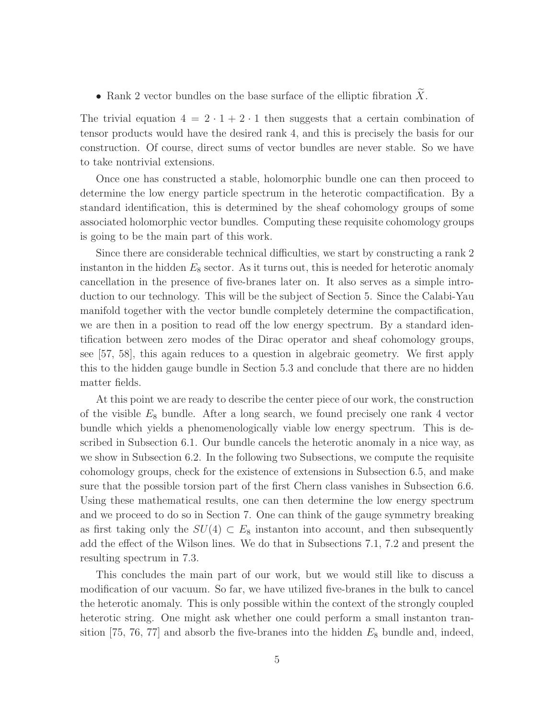• Rank 2 vector bundles on the base surface of the elliptic fibration  $\tilde{X}$ .

The trivial equation  $4 = 2 \cdot 1 + 2 \cdot 1$  then suggests that a certain combination of tensor products would have the desired rank 4, and this is precisely the basis for our construction. Of course, direct sums of vector bundles are never stable. So we have to take nontrivial extensions.

Once one has constructed a stable, holomorphic bundle one can then proceed to determine the low energy particle spectrum in the heterotic compactification. By a standard identification, this is determined by the sheaf cohomology groups of some associated holomorphic vector bundles. Computing these requisite cohomology groups is going to be the main part of this work.

Since there are considerable technical difficulties, we start by constructing a rank 2 instanton in the hidden  $E_8$  sector. As it turns out, this is needed for heterotic anomaly cancellation in the presence of five-branes later on. It also serves as a simple introduction to our technology. This will be the subject of Section 5. Since the Calabi-Yau manifold together with the vector bundle completely determine the compactification, we are then in a position to read off the low energy spectrum. By a standard identification between zero modes of the Dirac operator and sheaf cohomology groups, see [57, 58], this again reduces to a question in algebraic geometry. We first apply this to the hidden gauge bundle in Section 5.3 and conclude that there are no hidden matter fields.

At this point we are ready to describe the center piece of our work, the construction of the visible  $E_8$  bundle. After a long search, we found precisely one rank 4 vector bundle which yields a phenomenologically viable low energy spectrum. This is described in Subsection 6.1. Our bundle cancels the heterotic anomaly in a nice way, as we show in Subsection 6.2. In the following two Subsections, we compute the requisite cohomology groups, check for the existence of extensions in Subsection 6.5, and make sure that the possible torsion part of the first Chern class vanishes in Subsection 6.6. Using these mathematical results, one can then determine the low energy spectrum and we proceed to do so in Section 7. One can think of the gauge symmetry breaking as first taking only the  $SU(4) \subset E_8$  instanton into account, and then subsequently add the effect of the Wilson lines. We do that in Subsections 7.1, 7.2 and present the resulting spectrum in 7.3.

This concludes the main part of our work, but we would still like to discuss a modification of our vacuum. So far, we have utilized five-branes in the bulk to cancel the heterotic anomaly. This is only possible within the context of the strongly coupled heterotic string. One might ask whether one could perform a small instanton transition [75, 76, 77] and absorb the five-branes into the hidden  $E_8$  bundle and, indeed,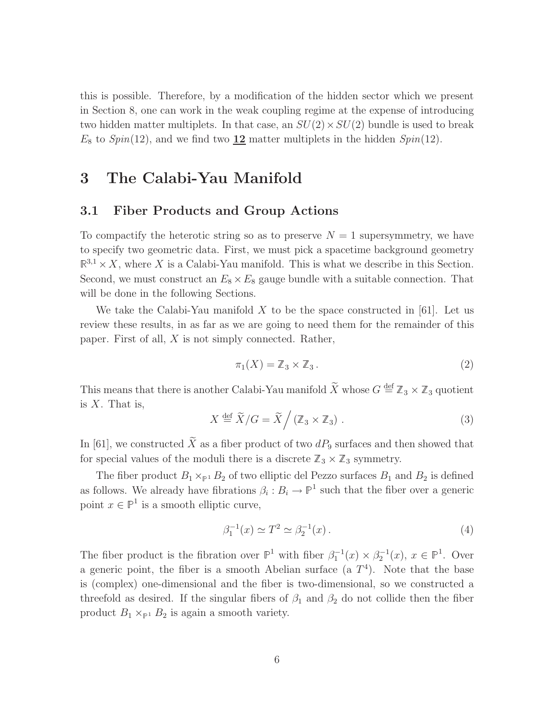this is possible. Therefore, by a modification of the hidden sector which we present in Section 8, one can work in the weak coupling regime at the expense of introducing two hidden matter multiplets. In that case, an  $SU(2) \times SU(2)$  bundle is used to break  $E_8$  to  $Spin(12)$ , and we find two  $\underline{12}$  matter multiplets in the hidden  $Spin(12)$ .

## 3 The Calabi-Yau Manifold

#### 3.1 Fiber Products and Group Actions

To compactify the heterotic string so as to preserve  $N = 1$  supersymmetry, we have to specify two geometric data. First, we must pick a spacetime background geometry  $\mathbb{R}^{3,1} \times X$ , where X is a Calabi-Yau manifold. This is what we describe in this Section. Second, we must construct an  $E_8 \times E_8$  gauge bundle with a suitable connection. That will be done in the following Sections.

We take the Calabi-Yau manifold X to be the space constructed in [61]. Let us review these results, in as far as we are going to need them for the remainder of this paper. First of all, X is not simply connected. Rather,

$$
\pi_1(X) = \mathbb{Z}_3 \times \mathbb{Z}_3. \tag{2}
$$

This means that there is another Calabi-Yau manifold  $\widetilde{X}$  whose  $G \stackrel{\text{def}}{=} \mathbb{Z}_3 \times \mathbb{Z}_3$  quotient is  $X$ . That is,

$$
X \stackrel{\text{def}}{=} \widetilde{X}/G = \widetilde{X} / (\mathbb{Z}_3 \times \mathbb{Z}_3).
$$
 (3)

In [61], we constructed  $\widetilde{X}$  as a fiber product of two  $dP_9$  surfaces and then showed that for special values of the moduli there is a discrete  $\mathbb{Z}_3 \times \mathbb{Z}_3$  symmetry.

The fiber product  $B_1 \times_{\mathbb{P}^1} B_2$  of two elliptic del Pezzo surfaces  $B_1$  and  $B_2$  is defined as follows. We already have fibrations  $\beta_i : B_i \to \mathbb{P}^1$  such that the fiber over a generic point  $x \in \mathbb{P}^1$  is a smooth elliptic curve,

$$
\beta_1^{-1}(x) \simeq T^2 \simeq \beta_2^{-1}(x) \,. \tag{4}
$$

The fiber product is the fibration over  $\mathbb{P}^1$  with fiber  $\beta_1^{-1}(x) \times \beta_2^{-1}(x)$ ,  $x \in \mathbb{P}^1$ . Over a generic point, the fiber is a smooth Abelian surface  $(a T<sup>4</sup>)$ . Note that the base is (complex) one-dimensional and the fiber is two-dimensional, so we constructed a threefold as desired. If the singular fibers of  $\beta_1$  and  $\beta_2$  do not collide then the fiber product  $B_1 \times_{\mathbb{P}^1} B_2$  is again a smooth variety.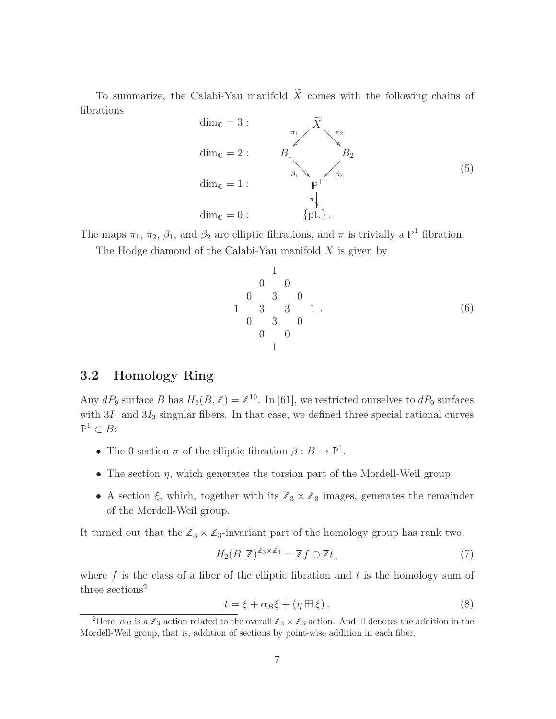To summarize, the Calabi-Yau manifold  $\widetilde{X}$  comes with the following chains of fibrations

$$
\dim_{\mathbb{C}} = 3: \n\begin{array}{ccc}\n\widetilde{\pi}_1 & \widetilde{X} \\
\dim_{\mathbb{C}} = 2: & B_1 & B_2 \\
\dim_{\mathbb{C}} = 1: & \uparrow & \uparrow \\
\dim_{\mathbb{C}} = 0: & \{pt.\}.\n\end{array} \tag{5}
$$

The maps  $\pi_1$ ,  $\pi_2$ ,  $\beta_1$ , and  $\beta_2$  are elliptic fibrations, and  $\pi$  is trivially a  $\mathbb{P}^1$  fibration.

The Hodge diamond of the Calabi-Yau manifold  $X$  is given by

1 0 0 1 0 3 3 0 0 3 3 0 1 0 0 1 . (6)

#### 3.2 Homology Ring

Any  $dP_9$  surface B has  $H_2(B,\mathbb{Z}) = \mathbb{Z}^{10}$ . In [61], we restricted ourselves to  $dP_9$  surfaces with  $3I_1$  and  $3I_3$  singular fibers. In that case, we defined three special rational curves  $\mathbb{P}^1 \subset B$ :

- The 0-section  $\sigma$  of the elliptic fibration  $\beta : B \to \mathbb{P}^1$ .
- The section  $\eta$ , which generates the torsion part of the Mordell-Weil group.
- A section  $\xi$ , which, together with its  $\mathbb{Z}_3 \times \mathbb{Z}_3$  images, generates the remainder of the Mordell-Weil group.

It turned out that the  $\mathbb{Z}_3 \times \mathbb{Z}_3$ -invariant part of the homology group has rank two.

$$
H_2(B,\mathbb{Z})^{\mathbb{Z}_3\times\mathbb{Z}_3} = \mathbb{Z}f \oplus \mathbb{Z}t ,\qquad (7)
$$

where  $f$  is the class of a fiber of the elliptic fibration and  $t$  is the homology sum of three sections<sup>2</sup>

$$
t = \xi + \alpha_B \xi + (\eta \boxplus \xi). \tag{8}
$$

<sup>&</sup>lt;sup>2</sup>Here,  $\alpha_B$  is a  $\mathbb{Z}_3$  action related to the overall  $\mathbb{Z}_3 \times \mathbb{Z}_3$  action. And  $\boxplus$  denotes the addition in the Mordell-Weil group, that is, addition of sections by point-wise addition in each fiber.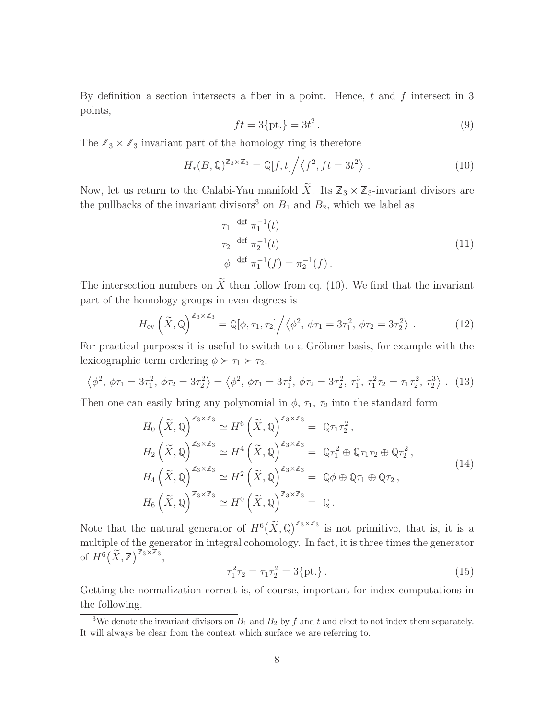By definition a section intersects a fiber in a point. Hence,  $t$  and  $f$  intersect in 3 points,

$$
ft = 3\{\text{pt.}\} = 3t^2. \tag{9}
$$

The  $\mathbb{Z}_3 \times \mathbb{Z}_3$  invariant part of the homology ring is therefore

$$
H_*(B, \mathbb{Q})^{\mathbb{Z}_3 \times \mathbb{Z}_3} = \mathbb{Q}[f, t] \Big/ \big\langle f^2, ft = 3t^2 \big\rangle . \tag{10}
$$

Now, let us return to the Calabi-Yau manifold  $\widetilde{X}$ . Its  $\mathbb{Z}_3 \times \mathbb{Z}_3$ -invariant divisors are the pullbacks of the invariant divisors<sup>3</sup> on  $B_1$  and  $B_2$ , which we label as

$$
\tau_1 \stackrel{\text{def}}{=} \pi_1^{-1}(t) \n\tau_2 \stackrel{\text{def}}{=} \pi_2^{-1}(t) \n\phi \stackrel{\text{def}}{=} \pi_1^{-1}(f) = \pi_2^{-1}(f).
$$
\n(11)

The intersection numbers on  $\widetilde{X}$  then follow from eq. (10). We find that the invariant part of the homology groups in even degrees is

$$
H_{\text{ev}}\left(\widetilde{X},\mathbb{Q}\right)^{\mathbb{Z}_3\times\mathbb{Z}_3} = \mathbb{Q}[\phi,\tau_1,\tau_2] \Big/ \big\langle \phi^2, \phi\tau_1 = 3\tau_1^2, \phi\tau_2 = 3\tau_2^2 \big\rangle. \tag{12}
$$

For practical purposes it is useful to switch to a Gröbner basis, for example with the lexicographic term ordering  $\phi \succ \tau_1 \succ \tau_2$ ,

$$
\left\langle \phi^2, \phi \tau_1 = 3\tau_1^2, \phi \tau_2 = 3\tau_2^2 \right\rangle = \left\langle \phi^2, \phi \tau_1 = 3\tau_1^2, \phi \tau_2 = 3\tau_2^2, \tau_1^3, \tau_1^2 \tau_2 = \tau_1 \tau_2^2, \tau_2^3 \right\rangle. (13)
$$

Then one can easily bring any polynomial in  $\phi$ ,  $\tau_1$ ,  $\tau_2$  into the standard form

$$
H_0\left(\tilde{X}, \mathbb{Q}\right)^{\mathbb{Z}_3 \times \mathbb{Z}_3} \simeq H^6\left(\tilde{X}, \mathbb{Q}\right)^{\mathbb{Z}_3 \times \mathbb{Z}_3} = \mathbb{Q}\tau_1\tau_2^2,
$$
  
\n
$$
H_2\left(\tilde{X}, \mathbb{Q}\right)^{\mathbb{Z}_3 \times \mathbb{Z}_3} \simeq H^4\left(\tilde{X}, \mathbb{Q}\right)^{\mathbb{Z}_3 \times \mathbb{Z}_3} = \mathbb{Q}\tau_1^2 \oplus \mathbb{Q}\tau_1\tau_2 \oplus \mathbb{Q}\tau_2^2,
$$
  
\n
$$
H_4\left(\tilde{X}, \mathbb{Q}\right)^{\mathbb{Z}_3 \times \mathbb{Z}_3} \simeq H^2\left(\tilde{X}, \mathbb{Q}\right)^{\mathbb{Z}_3 \times \mathbb{Z}_3} = \mathbb{Q}\phi \oplus \mathbb{Q}\tau_1 \oplus \mathbb{Q}\tau_2,
$$
  
\n
$$
H_6\left(\tilde{X}, \mathbb{Q}\right)^{\mathbb{Z}_3 \times \mathbb{Z}_3} \simeq H^0\left(\tilde{X}, \mathbb{Q}\right)^{\mathbb{Z}_3 \times \mathbb{Z}_3} = \mathbb{Q}.
$$
  
\n(14)

Note that the natural generator of  $H^6(\tilde{X}, \mathbb{Q})^{\mathbb{Z}_3 \times \mathbb{Z}_3}$  is not primitive, that is, it is a multiple of the generator in integral cohomology. In fact, it is three times the generator of  $H^6(\widetilde{X}, \mathbb{Z})^{\mathbb{Z}_3 \times \mathbb{Z}_3}$ ,

$$
\tau_1^2 \tau_2 = \tau_1 \tau_2^2 = 3\{\text{pt.}\} \,. \tag{15}
$$

Getting the normalization correct is, of course, important for index computations in the following.

<sup>&</sup>lt;sup>3</sup>We denote the invariant divisors on  $B_1$  and  $B_2$  by f and t and elect to not index them separately. It will always be clear from the context which surface we are referring to.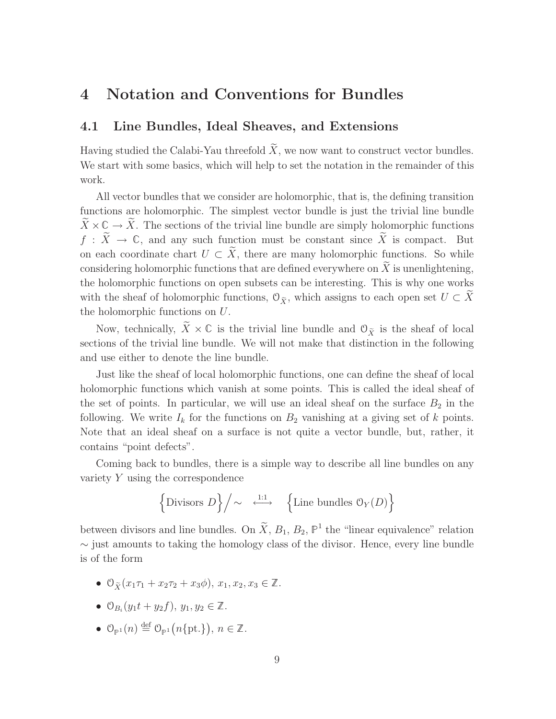## 4 Notation and Conventions for Bundles

#### 4.1 Line Bundles, Ideal Sheaves, and Extensions

Having studied the Calabi-Yau threefold  $\widetilde{X}$ , we now want to construct vector bundles. We start with some basics, which will help to set the notation in the remainder of this work.

All vector bundles that we consider are holomorphic, that is, the defining transition functions are holomorphic. The simplest vector bundle is just the trivial line bundle  $\widetilde{X}\times\mathbb{C}\to\widetilde{X}$ . The sections of the trivial line bundle are simply holomorphic functions  $f : \tilde{X} \to \mathbb{C}$ , and any such function must be constant since  $\tilde{X}$  is compact. But on each coordinate chart  $U \subset \widetilde{X}$ , there are many holomorphic functions. So while considering holomorphic functions that are defined everywhere on  $X$  is unenlightening, the holomorphic functions on open subsets can be interesting. This is why one works with the sheaf of holomorphic functions,  $\mathcal{O}_{\tilde{X}}$ , which assigns to each open set  $U \subset \tilde{X}$ the holomorphic functions on U.

Now, technically,  $\widetilde{X} \times \mathbb{C}$  is the trivial line bundle and  $\mathcal{O}_{\widetilde{X}}$  is the sheaf of local sections of the trivial line bundle. We will not make that distinction in the following and use either to denote the line bundle.

Just like the sheaf of local holomorphic functions, one can define the sheaf of local holomorphic functions which vanish at some points. This is called the ideal sheaf of the set of points. In particular, we will use an ideal sheaf on the surface  $B_2$  in the following. We write  $I_k$  for the functions on  $B_2$  vanishing at a giving set of k points. Note that an ideal sheaf on a surface is not quite a vector bundle, but, rather, it contains "point defects".

Coming back to bundles, there is a simple way to describe all line bundles on any variety Y using the correspondence

$$
\left\{\text{Divisors } D\right\}\Big/\!\sim\ \stackrel{\text{i:1}}{\longleftrightarrow}\ \left\{\text{Line bundles }\mathbb{O}_Y(D)\right\}
$$

between divisors and line bundles. On  $\tilde{X}, B_1, B_2, \mathbb{P}^1$  the "linear equivalence" relation ∼ just amounts to taking the homology class of the divisor. Hence, every line bundle is of the form

- $\mathcal{O}_{\tilde{Y}}(x_1\tau_1 + x_2\tau_2 + x_3\phi), x_1, x_2, x_3 \in \mathbb{Z}$ .
- $\mathcal{O}_{B_i}(y_1 t + y_2 f), y_1, y_2 \in \mathbb{Z}.$
- $\mathcal{O}_{\mathbb{P}^1}(n) \stackrel{\text{def}}{=} \mathcal{O}_{\mathbb{P}^1}(n\{\text{pt.}\}), n \in \mathbb{Z}.$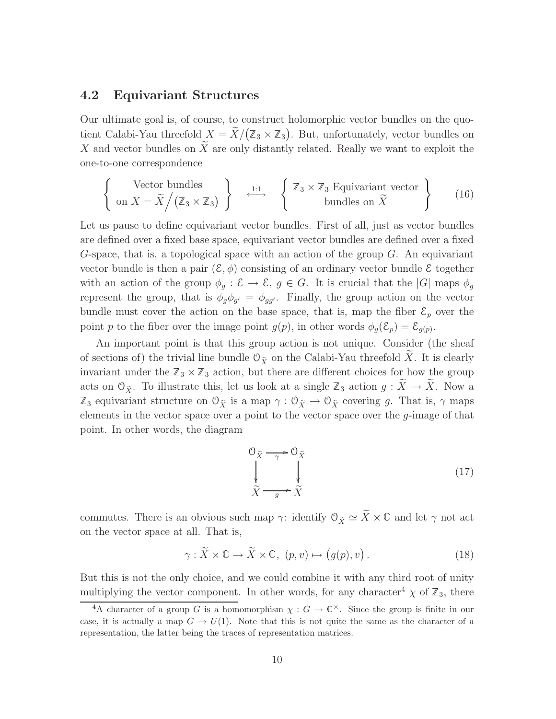#### 4.2 Equivariant Structures

Our ultimate goal is, of course, to construct holomorphic vector bundles on the quotient Calabi-Yau threefold  $X = \tilde{X}/(\mathbb{Z}_3 \times \mathbb{Z}_3)$ . But, unfortunately, vector bundles on X and vector bundles on  $\tilde{X}$  are only distantly related. Really we want to exploit the one-to-one correspondence

$$
\left\{\n\begin{array}{c}\n\text{Vector bundles} \\
\text{on } X = \tilde{X} \big/ \big( \mathbb{Z}_3 \times \mathbb{Z}_3 \big) \n\end{array}\n\right\} \xrightarrow{\text{1:1}} \left\{\n\begin{array}{c}\n\mathbb{Z}_3 \times \mathbb{Z}_3 \text{ Equivariant vector} \\
\text{bundles on } \tilde{X}\n\end{array}\n\right\}\n\tag{16}
$$

Let us pause to define equivariant vector bundles. First of all, just as vector bundles are defined over a fixed base space, equivariant vector bundles are defined over a fixed G-space, that is, a topological space with an action of the group  $G$ . An equivariant vector bundle is then a pair  $(\mathcal{E}, \phi)$  consisting of an ordinary vector bundle  $\mathcal E$  together with an action of the group  $\phi_g : \mathcal{E} \to \mathcal{E}$ ,  $g \in G$ . It is crucial that the  $|G|$  maps  $\phi_g$ represent the group, that is  $\phi_g \phi_{g'} = \phi_{gg'}$ . Finally, the group action on the vector bundle must cover the action on the base space, that is, map the fiber  $\mathcal{E}_p$  over the point p to the fiber over the image point  $g(p)$ , in other words  $\phi_g(\mathcal{E}_p) = \mathcal{E}_{g(p)}$ .

An important point is that this group action is not unique. Consider (the sheaf of sections of) the trivial line bundle  $\mathfrak{O}_{\tilde{X}}$  on the Calabi-Yau threefold X. It is clearly invariant under the  $\mathbb{Z}_3 \times \mathbb{Z}_3$  action, but there are different choices for how the group acts on  $\mathcal{O}_{\tilde{X}}$ . To illustrate this, let us look at a single  $\mathbb{Z}_3$  action  $g : \tilde{X} \to \tilde{X}$ . Now a  $\mathbb{Z}_3$  equivariant structure on  $\mathcal{O}_{\tilde{X}}$  is a map  $\gamma : \mathcal{O}_{\tilde{X}} \to \mathcal{O}_{\tilde{X}}$  covering g. That is,  $\gamma$  maps elements in the vector space over a point to the vector space over the g-image of that point. In other words, the diagram

$$
\begin{array}{ccc}\n\mathbf{O}_{\widetilde{X}} & \xrightarrow{\gamma} & \mathbf{O}_{\widetilde{X}} \\
\downarrow & & \downarrow \\
\widetilde{X} & \xrightarrow{g} & \widetilde{X}\n\end{array}\n\tag{17}
$$

commutes. There is an obvious such map  $\gamma$ : identify  $\mathcal{O}_{\tilde{X}} \simeq \tilde{X} \times \mathbb{C}$  and let  $\gamma$  not act on the vector space at all. That is,

$$
\gamma : \widetilde{X} \times \mathbb{C} \to \widetilde{X} \times \mathbb{C}, \ (p, v) \mapsto (g(p), v) \,. \tag{18}
$$

But this is not the only choice, and we could combine it with any third root of unity multiplying the vector component. In other words, for any character<sup>4</sup>  $\chi$  of  $\mathbb{Z}_3$ , there

<sup>&</sup>lt;sup>4</sup>A character of a group G is a homomorphism  $\chi : G \to \mathbb{C}^{\times}$ . Since the group is finite in our case, it is actually a map  $G \to U(1)$ . Note that this is not quite the same as the character of a representation, the latter being the traces of representation matrices.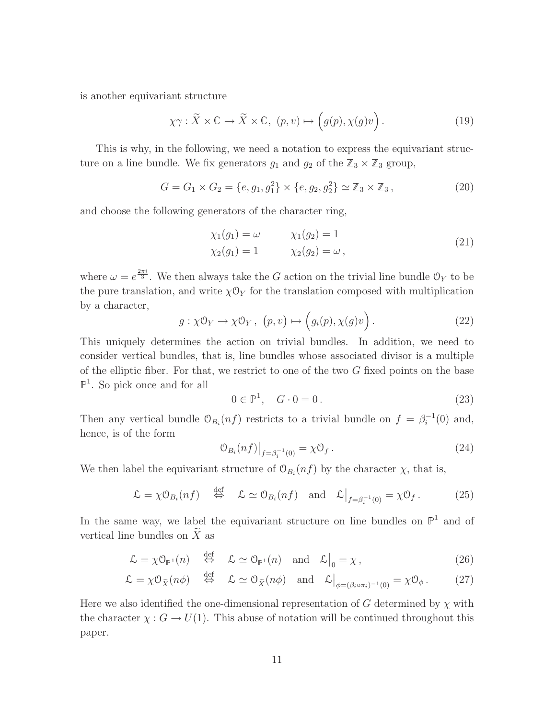is another equivariant structure

$$
\chi \gamma : \widetilde{X} \times \mathbb{C} \to \widetilde{X} \times \mathbb{C}, \ (p, v) \mapsto \left( g(p), \chi(g)v \right). \tag{19}
$$

This is why, in the following, we need a notation to express the equivariant structure on a line bundle. We fix generators  $g_1$  and  $g_2$  of the  $\mathbb{Z}_3 \times \mathbb{Z}_3$  group,

$$
G = G_1 \times G_2 = \{e, g_1, g_1^2\} \times \{e, g_2, g_2^2\} \simeq \mathbb{Z}_3 \times \mathbb{Z}_3, \tag{20}
$$

and choose the following generators of the character ring,

$$
\begin{aligned}\n\chi_1(g_1) &= \omega & \chi_1(g_2) &= 1 \\
\chi_2(g_1) &= 1 & \chi_2(g_2) &= \omega \,,\n\end{aligned}\n\tag{21}
$$

where  $\omega = e^{\frac{2\pi i}{3}}$ . We then always take the G action on the trivial line bundle  $\mathcal{O}_Y$  to be the pure translation, and write  $\chi \mathcal{O}_Y$  for the translation composed with multiplication by a character,

$$
g: \chi \mathcal{O}_Y \to \chi \mathcal{O}_Y, \ (p, v) \mapsto (g_i(p), \chi(g)v).
$$
 (22)

This uniquely determines the action on trivial bundles. In addition, we need to consider vertical bundles, that is, line bundles whose associated divisor is a multiple of the elliptic fiber. For that, we restrict to one of the two  $G$  fixed points on the base  $\mathbb{P}^1$ . So pick once and for all

$$
0 \in \mathbb{P}^1, \quad G \cdot 0 = 0. \tag{23}
$$

Then any vertical bundle  $\mathcal{O}_{B_i}(nf)$  restricts to a trivial bundle on  $f = \beta_i^{-1}(0)$  and, hence, is of the form

$$
\mathcal{O}_{B_i}(nf)|_{f=\beta_i^{-1}(0)} = \chi \mathcal{O}_f. \tag{24}
$$

We then label the equivariant structure of  $\mathcal{O}_{B_i}(nf)$  by the character  $\chi$ , that is,

$$
\mathcal{L} = \chi \mathcal{O}_{B_i}(nf) \quad \stackrel{\text{def}}{\Leftrightarrow} \quad \mathcal{L} \simeq \mathcal{O}_{B_i}(nf) \quad \text{and} \quad \mathcal{L}\big|_{f=\beta_i^{-1}(0)} = \chi \mathcal{O}_f. \tag{25}
$$

In the same way, we label the equivariant structure on line bundles on  $\mathbb{P}^1$  and of vertical line bundles on  $\widetilde{X}$  as

$$
\mathcal{L} = \chi \mathcal{O}_{\mathbb{P}^1}(n) \quad \stackrel{\text{def}}{\Leftrightarrow} \quad \mathcal{L} \simeq \mathcal{O}_{\mathbb{P}^1}(n) \quad \text{and} \quad \mathcal{L}\big|_0 = \chi \,, \tag{26}
$$

$$
\mathcal{L} = \chi \mathcal{O}_{\widetilde{X}}(n\phi) \quad \stackrel{\text{def}}{\Leftrightarrow} \quad \mathcal{L} \simeq \mathcal{O}_{\widetilde{X}}(n\phi) \quad \text{and} \quad \mathcal{L}\big|_{\phi = (\beta_i \circ \pi_i)^{-1}(0)} = \chi \mathcal{O}_{\phi} \,. \tag{27}
$$

Here we also identified the one-dimensional representation of G determined by  $\chi$  with the character  $\chi: G \to U(1)$ . This abuse of notation will be continued throughout this paper.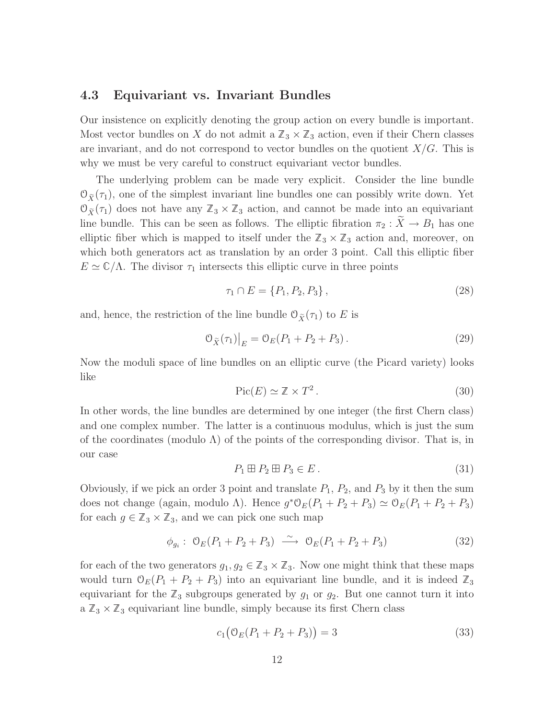#### 4.3 Equivariant vs. Invariant Bundles

Our insistence on explicitly denoting the group action on every bundle is important. Most vector bundles on X do not admit a  $\mathbb{Z}_3 \times \mathbb{Z}_3$  action, even if their Chern classes are invariant, and do not correspond to vector bundles on the quotient  $X/G$ . This is why we must be very careful to construct equivariant vector bundles.

The underlying problem can be made very explicit. Consider the line bundle  $\mathcal{O}_{\tilde{X}}(\tau_1)$ , one of the simplest invariant line bundles one can possibly write down. Yet  $\mathcal{O}_{\tilde{X}}(\tau_1)$  does not have any  $\mathbb{Z}_3 \times \mathbb{Z}_3$  action, and cannot be made into an equivariant line bundle. This can be seen as follows. The elliptic fibration  $\pi_2 : X \to B_1$  has one elliptic fiber which is mapped to itself under the  $\mathbb{Z}_3 \times \mathbb{Z}_3$  action and, moreover, on which both generators act as translation by an order 3 point. Call this elliptic fiber  $E \simeq \mathbb{C}/\Lambda$ . The divisor  $\tau_1$  intersects this elliptic curve in three points

$$
\tau_1 \cap E = \{P_1, P_2, P_3\},\tag{28}
$$

and, hence, the restriction of the line bundle  $\mathcal{O}_{\tilde{X}}(\tau_1)$  to E is

$$
\mathcal{O}_{\widetilde{X}}(\tau_1)|_E = \mathcal{O}_E(P_1 + P_2 + P_3). \tag{29}
$$

Now the moduli space of line bundles on an elliptic curve (the Picard variety) looks like

$$
\operatorname{Pic}(E) \simeq \mathbb{Z} \times T^2. \tag{30}
$$

In other words, the line bundles are determined by one integer (the first Chern class) and one complex number. The latter is a continuous modulus, which is just the sum of the coordinates (modulo  $\Lambda$ ) of the points of the corresponding divisor. That is, in our case

$$
P_1 \boxplus P_2 \boxplus P_3 \in E. \tag{31}
$$

Obviously, if we pick an order 3 point and translate  $P_1$ ,  $P_2$ , and  $P_3$  by it then the sum does not change (again, modulo Λ). Hence  $g^* \mathcal{O}_E(P_1 + P_2 + P_3) \simeq \mathcal{O}_E(P_1 + P_2 + P_3)$ for each  $g \in \mathbb{Z}_3 \times \mathbb{Z}_3$ , and we can pick one such map

$$
\phi_{g_i}: \mathcal{O}_E(P_1 + P_2 + P_3) \xrightarrow{\sim} \mathcal{O}_E(P_1 + P_2 + P_3)
$$
\n
$$
(32)
$$

for each of the two generators  $g_1, g_2 \in \mathbb{Z}_3 \times \mathbb{Z}_3$ . Now one might think that these maps would turn  $\mathcal{O}_E(P_1 + P_2 + P_3)$  into an equivariant line bundle, and it is indeed  $\mathbb{Z}_3$ equivariant for the  $\mathbb{Z}_3$  subgroups generated by  $g_1$  or  $g_2$ . But one cannot turn it into a  $\mathbb{Z}_3 \times \mathbb{Z}_3$  equivariant line bundle, simply because its first Chern class

$$
c_1(\mathcal{O}_E(P_1 + P_2 + P_3)) = 3\tag{33}
$$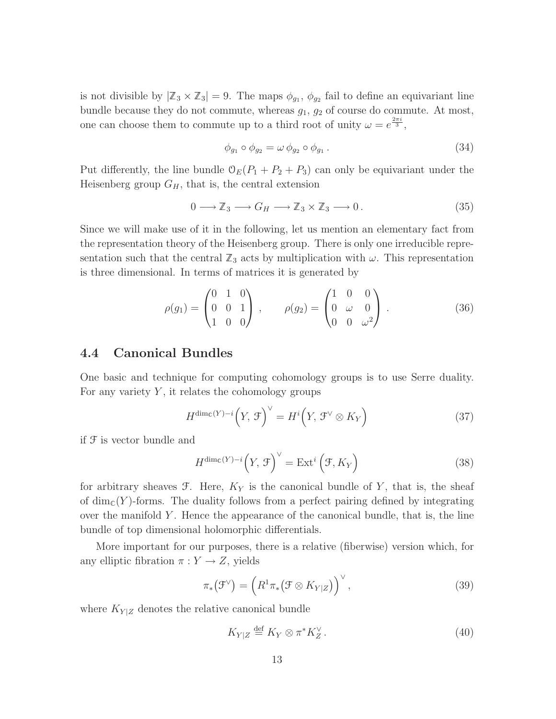is not divisible by  $|\mathbb{Z}_3 \times \mathbb{Z}_3| = 9$ . The maps  $\phi_{g_1}, \phi_{g_2}$  fail to define an equivariant line bundle because they do not commute, whereas  $g_1, g_2$  of course do commute. At most, one can choose them to commute up to a third root of unity  $\omega = e^{\frac{2\pi i}{3}}$ ,

$$
\phi_{g_1} \circ \phi_{g_2} = \omega \phi_{g_2} \circ \phi_{g_1} . \tag{34}
$$

Put differently, the line bundle  $\mathcal{O}_E(P_1 + P_2 + P_3)$  can only be equivariant under the Heisenberg group  $G_H$ , that is, the central extension

$$
0 \longrightarrow \mathbb{Z}_3 \longrightarrow G_H \longrightarrow \mathbb{Z}_3 \times \mathbb{Z}_3 \longrightarrow 0. \tag{35}
$$

Since we will make use of it in the following, let us mention an elementary fact from the representation theory of the Heisenberg group. There is only one irreducible representation such that the central  $\mathbb{Z}_3$  acts by multiplication with  $\omega$ . This representation is three dimensional. In terms of matrices it is generated by

$$
\rho(g_1) = \begin{pmatrix} 0 & 1 & 0 \\ 0 & 0 & 1 \\ 1 & 0 & 0 \end{pmatrix}, \qquad \rho(g_2) = \begin{pmatrix} 1 & 0 & 0 \\ 0 & \omega & 0 \\ 0 & 0 & \omega^2 \end{pmatrix}.
$$
 (36)

#### 4.4 Canonical Bundles

One basic and technique for computing cohomology groups is to use Serre duality. For any variety  $Y$ , it relates the cohomology groups

$$
H^{\dim_{\mathbb{C}}(Y)-i}\left(Y,\,\mathcal{F}\right)^{\vee}=H^{i}\left(Y,\,\mathcal{F}^{\vee}\otimes K_{Y}\right)\tag{37}
$$

if F is vector bundle and

$$
H^{\dim_{\mathbb{C}}(Y)-i}\left(Y,\,\mathcal{F}\right)^{\vee} = \text{Ext}^i\left(\mathcal{F},K_Y\right) \tag{38}
$$

for arbitrary sheaves  $\mathfrak{F}$ . Here,  $K_Y$  is the canonical bundle of Y, that is, the sheaf of  $\dim_{\mathbb{C}}(Y)$ -forms. The duality follows from a perfect pairing defined by integrating over the manifold  $Y$ . Hence the appearance of the canonical bundle, that is, the line bundle of top dimensional holomorphic differentials.

More important for our purposes, there is a relative (fiberwise) version which, for any elliptic fibration  $\pi : Y \to Z$ , yields

$$
\pi_*\big(\mathcal{F}^\vee\big) = \left(R^1\pi_*\big(\mathcal{F}\otimes K_{Y|Z}\big)\right)^\vee,\tag{39}
$$

where  $K_{Y|Z}$  denotes the relative canonical bundle

$$
K_{Y|Z} \stackrel{\text{def}}{=} K_Y \otimes \pi^* K_Z^{\vee} . \tag{40}
$$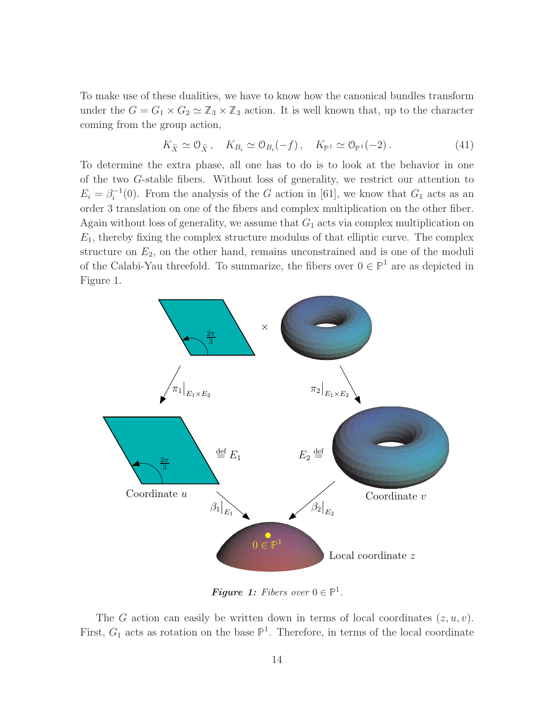To make use of these dualities, we have to know how the canonical bundles transform under the  $G = G_1 \times G_2 \simeq \mathbb{Z}_3 \times \mathbb{Z}_3$  action. It is well known that, up to the character coming from the group action,

$$
K_{\widetilde{X}} \simeq \mathcal{O}_{\widetilde{X}}, \quad K_{B_i} \simeq \mathcal{O}_{B_i}(-f), \quad K_{\mathbb{P}^1} \simeq \mathcal{O}_{\mathbb{P}^1}(-2). \tag{41}
$$

To determine the extra phase, all one has to do is to look at the behavior in one of the two G-stable fibers. Without loss of generality, we restrict our attention to  $E_i = \beta_i^{-1}(0)$ . From the analysis of the G action in [61], we know that  $G_1$  acts as an order 3 translation on one of the fibers and complex multiplication on the other fiber. Again without loss of generality, we assume that  $G_1$  acts via complex multiplication on  $E_1$ , thereby fixing the complex structure modulus of that elliptic curve. The complex structure on  $E_2$ , on the other hand, remains unconstrained and is one of the moduli of the Calabi-Yau threefold. To summarize, the fibers over  $0 \in \mathbb{P}^1$  are as depicted in Figure 1.



**Figure 1:** Fibers over  $0 \in \mathbb{P}^1$ .

The G action can easily be written down in terms of local coordinates  $(z, u, v)$ . First,  $G_1$  acts as rotation on the base  $\mathbb{P}^1$ . Therefore, in terms of the local coordinate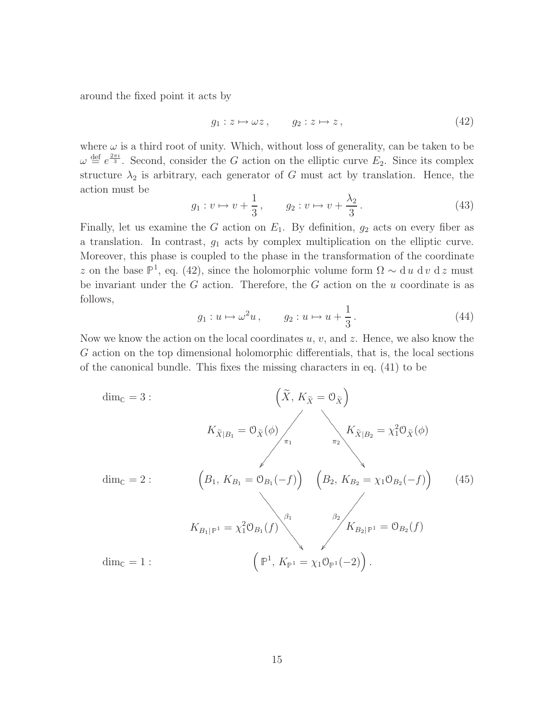around the fixed point it acts by

$$
g_1: z \mapsto \omega z, \qquad g_2: z \mapsto z, \tag{42}
$$

where  $\omega$  is a third root of unity. Which, without loss of generality, can be taken to be  $\omega \stackrel{\text{def}}{=} e^{\frac{2\pi i}{3}}$ . Second, consider the G action on the elliptic curve  $E_2$ . Since its complex structure  $\lambda_2$  is arbitrary, each generator of G must act by translation. Hence, the action must be

$$
g_1: v \mapsto v + \frac{1}{3}, \qquad g_2: v \mapsto v + \frac{\lambda_2}{3}.
$$
 (43)

Finally, let us examine the G action on  $E_1$ . By definition,  $g_2$  acts on every fiber as a translation. In contrast,  $g_1$  acts by complex multiplication on the elliptic curve. Moreover, this phase is coupled to the phase in the transformation of the coordinate z on the base  $\mathbb{P}^1$ , eq. (42), since the holomorphic volume form  $\Omega \sim d u d v d z$  must be invariant under the  $G$  action. Therefore, the  $G$  action on the  $u$  coordinate is as follows,

$$
g_1: u \mapsto \omega^2 u, \qquad g_2: u \mapsto u + \frac{1}{3}.
$$
 (44)

Now we know the action on the local coordinates  $u, v$ , and  $z$ . Hence, we also know the G action on the top dimensional holomorphic differentials, that is, the local sections of the canonical bundle. This fixes the missing characters in eq. (41) to be

$$
\dim_{\mathbb{C}} = 3: \qquad (\tilde{X}, K_{\tilde{X}} = 0_{\tilde{X}})
$$
\n
$$
K_{\tilde{X}|B_1} = 0_{\tilde{X}}(\phi) \Big|_{\pi_1} K_{\tilde{X}|B_2} = \chi_1^2 0_{\tilde{X}}(\phi)
$$
\n
$$
\dim_{\mathbb{C}} = 2: \qquad (\beta_1, K_{B_1} = 0_{B_1}(-f)) \qquad (B_2, K_{B_2} = \chi_1 0_{B_2}(-f)) \qquad (45)
$$
\n
$$
K_{B_1|\mathbb{P}^1} = \chi_1^2 0_{B_1}(f) \Big|_{\phi} \qquad K_{B_2|\mathbb{P}^1} = 0_{B_2}(f)
$$
\n
$$
\dim_{\mathbb{C}} = 1: \qquad (\mathbb{P}^1, K_{\mathbb{P}^1} = \chi_1 0_{\mathbb{P}^1}(-2)).
$$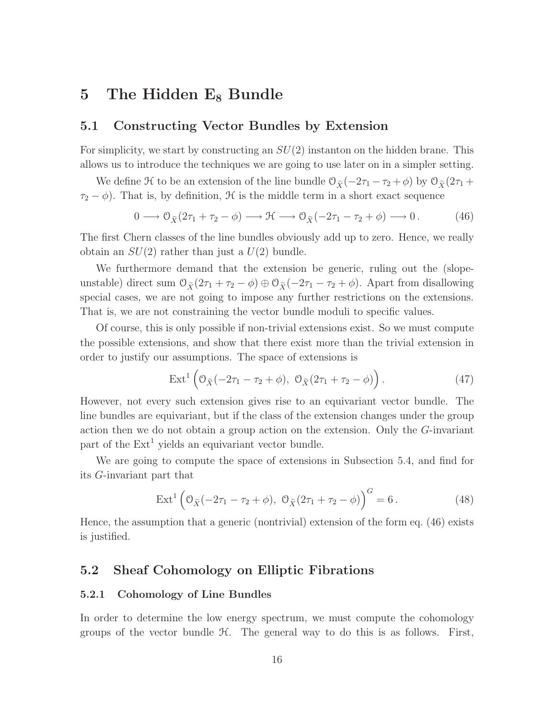## 5 The Hidden  $E_8$  Bundle

#### 5.1 Constructing Vector Bundles by Extension

For simplicity, we start by constructing an  $SU(2)$  instanton on the hidden brane. This allows us to introduce the techniques we are going to use later on in a simpler setting.

We define H to be an extension of the line bundle  $\mathcal{O}_{\tilde{X}}(-2\tau_1 - \tau_2 + \phi)$  by  $\mathcal{O}_{\tilde{X}}(2\tau_1 + \phi)$  $\tau_2 - \phi$ ). That is, by definition, H is the middle term in a short exact sequence

$$
0 \longrightarrow \mathcal{O}_{\widetilde{X}}(2\tau_1 + \tau_2 - \phi) \longrightarrow \mathcal{H} \longrightarrow \mathcal{O}_{\widetilde{X}}(-2\tau_1 - \tau_2 + \phi) \longrightarrow 0. \tag{46}
$$

The first Chern classes of the line bundles obviously add up to zero. Hence, we really obtain an  $SU(2)$  rather than just a  $U(2)$  bundle.

We furthermore demand that the extension be generic, ruling out the (slopeunstable) direct sum  $\mathcal{O}_{\tilde{X}}(2\tau_1 + \tau_2 - \phi) \oplus \mathcal{O}_{\tilde{X}}(-2\tau_1 - \tau_2 + \phi)$ . Apart from disallowing special cases, we are not going to impose any further restrictions on the extensions. That is, we are not constraining the vector bundle moduli to specific values.

Of course, this is only possible if non-trivial extensions exist. So we must compute the possible extensions, and show that there exist more than the trivial extension in order to justify our assumptions. The space of extensions is

$$
\operatorname{Ext}^1\left(\mathcal{O}_{\widetilde{X}}(-2\tau_1-\tau_2+\phi), \ \mathcal{O}_{\widetilde{X}}(2\tau_1+\tau_2-\phi)\right). \tag{47}
$$

However, not every such extension gives rise to an equivariant vector bundle. The line bundles are equivariant, but if the class of the extension changes under the group action then we do not obtain a group action on the extension. Only the G-invariant part of the  $Ext<sup>1</sup>$  yields an equivariant vector bundle.

We are going to compute the space of extensions in Subsection 5.4, and find for its G-invariant part that

$$
Ext^{1} \left( \mathcal{O}_{\tilde{X}}(-2\tau_{1} - \tau_{2} + \phi), \ \mathcal{O}_{\tilde{X}}(2\tau_{1} + \tau_{2} - \phi) \right)^{G} = 6. \tag{48}
$$

Hence, the assumption that a generic (nontrivial) extension of the form eq. (46) exists is justified.

#### 5.2 Sheaf Cohomology on Elliptic Fibrations

#### 5.2.1 Cohomology of Line Bundles

In order to determine the low energy spectrum, we must compute the cohomology groups of the vector bundle  $H$ . The general way to do this is as follows. First,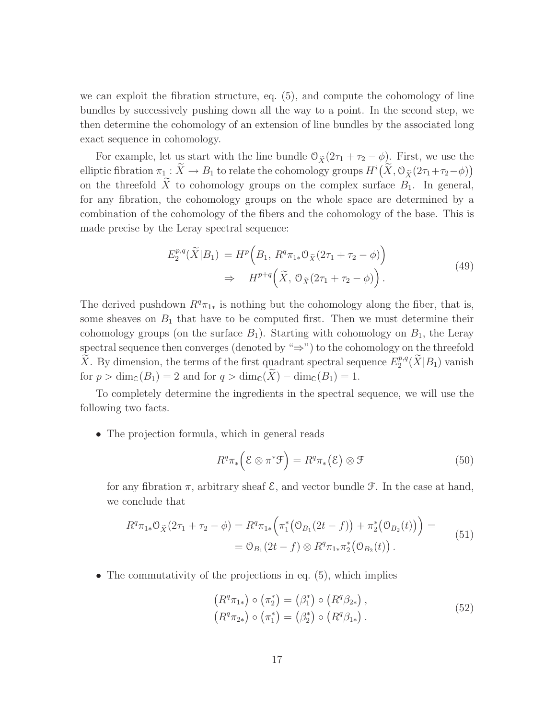we can exploit the fibration structure, eq. (5), and compute the cohomology of line bundles by successively pushing down all the way to a point. In the second step, we then determine the cohomology of an extension of line bundles by the associated long exact sequence in cohomology.

For example, let us start with the line bundle  $\mathcal{O}_{\tilde{X}}(2\tau_1 + \tau_2 - \phi)$ . First, we use the elliptic fibration  $\pi_1 : \widetilde{X} \to B_1$  to relate the cohomology groups  $H^i(\widetilde{X}, \mathcal{O}_{\widetilde{X}}(2\tau_1+\tau_2-\phi))$ on the threefold  $\widetilde{X}$  to cohomology groups on the complex surface  $B_1$ . In general, for any fibration, the cohomology groups on the whole space are determined by a combination of the cohomology of the fibers and the cohomology of the base. This is made precise by the Leray spectral sequence:

$$
E_2^{p,q}(\widetilde{X}|B_1) = H^p\left(B_1, R^q \pi_{1*} \mathcal{O}_{\widetilde{X}}(2\tau_1 + \tau_2 - \phi)\right)
$$
  

$$
\Rightarrow H^{p+q}\left(\widetilde{X}, \mathcal{O}_{\widetilde{X}}(2\tau_1 + \tau_2 - \phi)\right).
$$
 (49)

The derived pushdown  $R^q\pi_{1*}$  is nothing but the cohomology along the fiber, that is, some sheaves on  $B_1$  that have to be computed first. Then we must determine their cohomology groups (on the surface  $B_1$ ). Starting with cohomology on  $B_1$ , the Leray spectral sequence then converges (denoted by " $\Rightarrow$ ") to the cohomology on the threefold  $\widetilde{X}$ . By dimension, the terms of the first quadrant spectral sequence  $E_2^{p,q}$  $2^{p,q}(X|B_1)$  vanish for  $p > \dim_{\mathbb{C}}(B_1) = 2$  and for  $q > \dim_{\mathbb{C}}(\widetilde{X}) - \dim_{\mathbb{C}}(B_1) = 1$ .

To completely determine the ingredients in the spectral sequence, we will use the following two facts.

• The projection formula, which in general reads

$$
R^q \pi_* \left( \mathcal{E} \otimes \pi^* \mathcal{F} \right) = R^q \pi_* \left( \mathcal{E} \right) \otimes \mathcal{F}
$$
 (50)

for any fibration  $\pi$ , arbitrary sheaf  $\mathcal{E}$ , and vector bundle  $\mathcal{F}$ . In the case at hand, we conclude that

$$
R^{q}\pi_{1*} \mathcal{O}_{\tilde{X}}(2\tau_{1} + \tau_{2} - \phi) = R^{q}\pi_{1*} \Big( \pi_{1}^{*} \big( \mathcal{O}_{B_{1}}(2t - f) \big) + \pi_{2}^{*} \big( \mathcal{O}_{B_{2}}(t) \big) \Big) =
$$
  
=  $\mathcal{O}_{B_{1}}(2t - f) \otimes R^{q}\pi_{1*} \pi_{2}^{*} \big( \mathcal{O}_{B_{2}}(t) \big).$  (51)

• The commutativity of the projections in eq.  $(5)$ , which implies

$$
(R^{q}\pi_{1*}) \circ (\pi_{2}^{*}) = (\beta_{1}^{*}) \circ (R^{q}\beta_{2*}),(R^{q}\pi_{2*}) \circ (\pi_{1}^{*}) = (\beta_{2}^{*}) \circ (R^{q}\beta_{1*}).
$$
\n(52)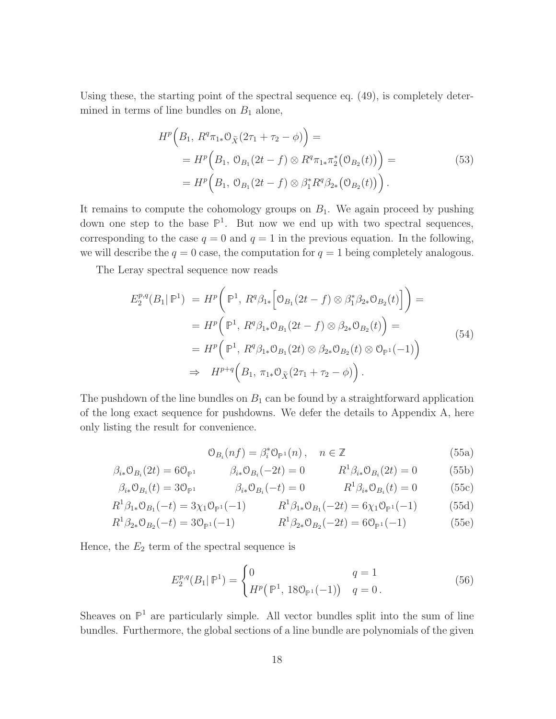Using these, the starting point of the spectral sequence eq. (49), is completely determined in terms of line bundles on  $B_1$  alone,

$$
H^{p}\left(B_{1}, R^{q}\pi_{1*}\mathcal{O}_{\tilde{X}}(2\tau_{1} + \tau_{2} - \phi)\right) =
$$
  
=  $H^{p}\left(B_{1}, \mathcal{O}_{B_{1}}(2t - f) \otimes R^{q}\pi_{1*}\pi_{2}^{*}\left(\mathcal{O}_{B_{2}}(t)\right)\right) =$   
=  $H^{p}\left(B_{1}, \mathcal{O}_{B_{1}}(2t - f) \otimes \beta_{1}^{*}R^{q}\beta_{2*}\left(\mathcal{O}_{B_{2}}(t)\right)\right).$  (53)

It remains to compute the cohomology groups on  $B_1$ . We again proceed by pushing down one step to the base  $\mathbb{P}^1$ . But now we end up with two spectral sequences, corresponding to the case  $q = 0$  and  $q = 1$  in the previous equation. In the following, we will describe the  $q = 0$  case, the computation for  $q = 1$  being completely analogous.

The Leray spectral sequence now reads

$$
E_2^{p,q}(B_1|\mathbb{P}^1) = H^p\left(\mathbb{P}^1, R^q\beta_{1*}\left[\mathfrak{O}_{B_1}(2t-f)\otimes\beta_1^*\beta_{2*}\mathfrak{O}_{B_2}(t)\right]\right) =
$$
  
\n
$$
= H^p\left(\mathbb{P}^1, R^q\beta_{1*}\mathfrak{O}_{B_1}(2t-f)\otimes\beta_{2*}\mathfrak{O}_{B_2}(t)\right) =
$$
  
\n
$$
= H^p\left(\mathbb{P}^1, R^q\beta_{1*}\mathfrak{O}_{B_1}(2t)\otimes\beta_{2*}\mathfrak{O}_{B_2}(t)\otimes\mathfrak{O}_{\mathbb{P}^1}(-1)\right)
$$
  
\n
$$
\Rightarrow H^{p+q}\left(B_1, \pi_{1*}\mathfrak{O}_{\tilde{X}}(2\tau_1+\tau_2-\phi)\right).
$$
\n(54)

The pushdown of the line bundles on  $B_1$  can be found by a straightforward application of the long exact sequence for pushdowns. We defer the details to Appendix A, here only listing the result for convenience.

$$
\mathcal{O}_{B_i}(nf) = \beta_i^* \mathcal{O}_{\mathbb{P}^1}(n), \quad n \in \mathbb{Z}
$$
 (55a)

$$
\beta_{i*} \mathcal{O}_{B_i}(2t) = 6 \mathcal{O}_{\mathbb{P}^1} \qquad \beta_{i*} \mathcal{O}_{B_i}(-2t) = 0 \qquad R^1 \beta_{i*} \mathcal{O}_{B_i}(2t) = 0 \qquad (55b)
$$

$$
\beta_{i*} \mathcal{O}_{B_i}(t) = 3\mathcal{O}_{\mathbb{P}^1} \qquad \beta_{i*} \mathcal{O}_{B_i}(-t) = 0 \qquad R^1 \beta_{i*} \mathcal{O}_{B_i}(t) = 0 \qquad (55c)
$$

$$
R^{1}\beta_{1*}\mathcal{O}_{B_{1}}(-t) = 3\chi_{1}\mathcal{O}_{\mathbb{P}^{1}}(-1) \qquad R^{1}\beta_{1*}\mathcal{O}_{B_{1}}(-2t) = 6\chi_{1}\mathcal{O}_{\mathbb{P}^{1}}(-1) \qquad (55d)
$$

$$
R^{1}\beta_{2*}\mathcal{O}_{B_{2}}(-t) = 3\mathcal{O}_{\mathbb{P}^{1}}(-1) \qquad R^{1}\beta_{2*}\mathcal{O}_{B_{2}}(-2t) = 6\mathcal{O}_{\mathbb{P}^{1}}(-1) \qquad (55e)
$$

Hence, the  $E_2$  term of the spectral sequence is

$$
E_2^{p,q}(B_1 | \mathbb{P}^1) = \begin{cases} 0 & q = 1\\ H^p(\mathbb{P}^1, 180_{\mathbb{P}^1}(-1)) & q = 0. \end{cases}
$$
 (56)

Sheaves on  $\mathbb{P}^1$  are particularly simple. All vector bundles split into the sum of line bundles. Furthermore, the global sections of a line bundle are polynomials of the given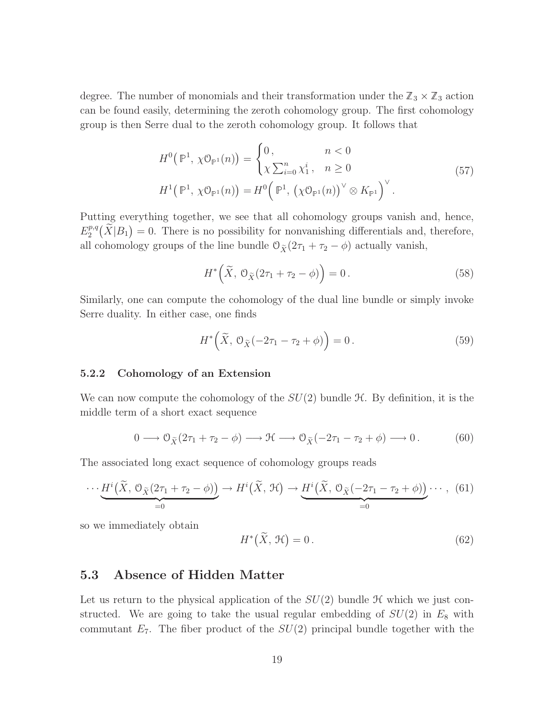degree. The number of monomials and their transformation under the  $\mathbb{Z}_3 \times \mathbb{Z}_3$  action can be found easily, determining the zeroth cohomology group. The first cohomology group is then Serre dual to the zeroth cohomology group. It follows that

$$
H^{0}(\mathbb{P}^{1}, \chi \mathcal{O}_{\mathbb{P}^{1}}(n)) = \begin{cases} 0, & n < 0 \\ \chi \sum_{i=0}^{n} \chi_{1}^{i}, & n \ge 0 \end{cases}
$$
  

$$
H^{1}(\mathbb{P}^{1}, \chi \mathcal{O}_{\mathbb{P}^{1}}(n)) = H^{0}(\mathbb{P}^{1}, (\chi \mathcal{O}_{\mathbb{P}^{1}}(n))^{\vee} \otimes K_{\mathbb{P}^{1}})^{\vee}.
$$
 (57)

Putting everything together, we see that all cohomology groups vanish and, hence,  $E_2^{p,q}$  $2^{p,q}(\widetilde{X}|B_1)=0$ . There is no possibility for nonvanishing differentials and, therefore, all cohomology groups of the line bundle  $\mathcal{O}_{\tilde X}(2\tau_1 + \tau_2 - \phi)$  actually vanish,

$$
H^*\left(\widetilde{X}, \mathcal{O}_{\widetilde{X}}(2\tau_1 + \tau_2 - \phi)\right) = 0.
$$
\n(58)

Similarly, one can compute the cohomology of the dual line bundle or simply invoke Serre duality. In either case, one finds

$$
H^*\left(\widetilde{X}, \mathcal{O}_{\widetilde{X}}(-2\tau_1 - \tau_2 + \phi)\right) = 0.
$$
\n<sup>(59)</sup>

#### 5.2.2 Cohomology of an Extension

We can now compute the cohomology of the  $SU(2)$  bundle  $\mathcal H$ . By definition, it is the middle term of a short exact sequence

$$
0 \longrightarrow \mathcal{O}_{\widetilde{X}}(2\tau_1 + \tau_2 - \phi) \longrightarrow \mathfrak{H} \longrightarrow \mathcal{O}_{\widetilde{X}}(-2\tau_1 - \tau_2 + \phi) \longrightarrow 0. \tag{60}
$$

The associated long exact sequence of cohomology groups reads

$$
\cdots \underbrace{H^i(\widetilde{X}, \mathcal{O}_{\widetilde{X}}(2\tau_1 + \tau_2 - \phi))}_{=0} \to H^i(\widetilde{X}, \mathcal{H}) \to \underbrace{H^i(\widetilde{X}, \mathcal{O}_{\widetilde{X}}(-2\tau_1 - \tau_2 + \phi))}_{=0} \cdots, (61)
$$

so we immediately obtain

$$
H^*(\widetilde{X}, \mathcal{H}) = 0. \tag{62}
$$

#### 5.3 Absence of Hidden Matter

Let us return to the physical application of the  $SU(2)$  bundle  $H$  which we just constructed. We are going to take the usual regular embedding of  $SU(2)$  in  $E_8$  with commutant  $E_7$ . The fiber product of the  $SU(2)$  principal bundle together with the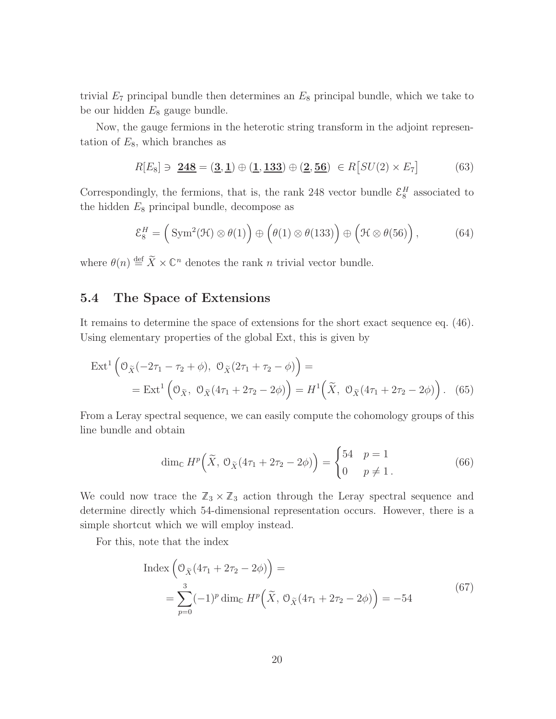trivial  $E_7$  principal bundle then determines an  $E_8$  principal bundle, which we take to be our hidden  $E_8$  gauge bundle.

Now, the gauge fermions in the heterotic string transform in the adjoint representation of  $E_8$ , which branches as

$$
R[E_8] \ni \; \underline{\mathbf{248}} = (\underline{\mathbf{3}}, \underline{\mathbf{1}}) \oplus (\underline{\mathbf{1}}, \underline{\mathbf{133}}) \oplus (\underline{\mathbf{2}}, \underline{\mathbf{56}}) \; \in R[SU(2) \times E_7] \tag{63}
$$

Correspondingly, the fermions, that is, the rank 248 vector bundle  $\mathcal{E}_8^H$  associated to the hidden  $E_8$  principal bundle, decompose as

$$
\mathcal{E}_8^H = \left(\text{Sym}^2(\mathcal{H}) \otimes \theta(1)\right) \oplus \left(\theta(1) \otimes \theta(133)\right) \oplus \left(\mathcal{H} \otimes \theta(56)\right),\tag{64}
$$

where  $\theta(n) \stackrel{\text{def}}{=} \widetilde{X} \times \mathbb{C}^n$  denotes the rank n trivial vector bundle.

## 5.4 The Space of Extensions

It remains to determine the space of extensions for the short exact sequence eq. (46). Using elementary properties of the global Ext, this is given by

$$
\text{Ext}^{1}\left(\mathcal{O}_{\tilde{X}}(-2\tau_{1}-\tau_{2}+\phi), \ \mathcal{O}_{\tilde{X}}(2\tau_{1}+\tau_{2}-\phi)\right) =
$$
\n
$$
= \text{Ext}^{1}\left(\mathcal{O}_{\tilde{X}}, \ \mathcal{O}_{\tilde{X}}(4\tau_{1}+2\tau_{2}-2\phi)\right) = H^{1}\left(\tilde{X}, \ \mathcal{O}_{\tilde{X}}(4\tau_{1}+2\tau_{2}-2\phi)\right). \tag{65}
$$

From a Leray spectral sequence, we can easily compute the cohomology groups of this line bundle and obtain

$$
\dim_{\mathbb{C}} H^p\left(\widetilde{X}, \mathcal{O}_{\widetilde{X}}(4\tau_1 + 2\tau_2 - 2\phi)\right) = \begin{cases} 54 & p = 1\\ 0 & p \neq 1 \end{cases} \tag{66}
$$

We could now trace the  $\mathbb{Z}_3 \times \mathbb{Z}_3$  action through the Leray spectral sequence and determine directly which 54-dimensional representation occurs. However, there is a simple shortcut which we will employ instead.

For this, note that the index

$$
\text{Index}\left(\mathcal{O}_{\tilde{X}}(4\tau_1 + 2\tau_2 - 2\phi)\right) =
$$
\n
$$
= \sum_{p=0}^{3} (-1)^p \dim_{\mathbb{C}} H^p\left(\tilde{X}, \mathcal{O}_{\tilde{X}}(4\tau_1 + 2\tau_2 - 2\phi)\right) = -54
$$
\n(67)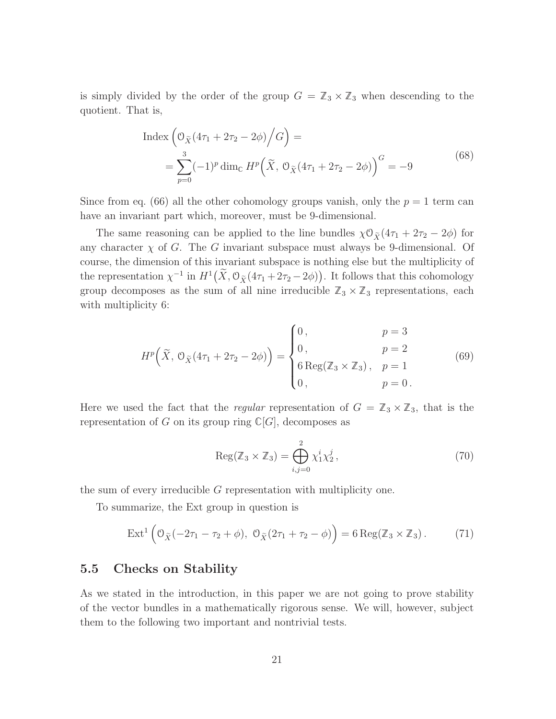is simply divided by the order of the group  $G = \mathbb{Z}_3 \times \mathbb{Z}_3$  when descending to the quotient. That is,

$$
\text{Index}\left(\mathcal{O}_{\tilde{X}}(4\tau_1 + 2\tau_2 - 2\phi)/G\right) =
$$
\n
$$
= \sum_{p=0}^{3} (-1)^p \dim_{\mathbb{C}} H^p\left(\tilde{X}, \mathcal{O}_{\tilde{X}}(4\tau_1 + 2\tau_2 - 2\phi)\right)^G = -9
$$
\n(68)

Since from eq. (66) all the other cohomology groups vanish, only the  $p = 1$  term can have an invariant part which, moreover, must be 9-dimensional.

The same reasoning can be applied to the line bundles  $\chi \mathcal{O}_{\tilde{X}}(4\tau_1 + 2\tau_2 - 2\phi)$  for any character  $\chi$  of G. The G invariant subspace must always be 9-dimensional. Of course, the dimension of this invariant subspace is nothing else but the multiplicity of the representation  $\chi^{-1}$  in  $H^1(\tilde{X}, \mathcal{O}_{\tilde{X}}(4\tau_1 + 2\tau_2 - 2\phi))$ . It follows that this cohomology group decomposes as the sum of all nine irreducible  $\mathbb{Z}_3 \times \mathbb{Z}_3$  representations, each with multiplicity  $6$ :

$$
H^{p}\left(\tilde{X}, \mathcal{O}_{\tilde{X}}(4\tau_{1} + 2\tau_{2} - 2\phi)\right) = \begin{cases} 0, & p = 3\\ 0, & p = 2\\ 6 \operatorname{Reg}(\mathbb{Z}_{3} \times \mathbb{Z}_{3}), & p = 1\\ 0, & p = 0 \end{cases}
$$
(69)

Here we used the fact that the *regular* representation of  $G = \mathbb{Z}_3 \times \mathbb{Z}_3$ , that is the representation of G on its group ring  $\mathbb{C}[G]$ , decomposes as

$$
Reg(\mathbb{Z}_3 \times \mathbb{Z}_3) = \bigoplus_{i,j=0}^{2} \chi_1^i \chi_2^j,
$$
\n(70)

the sum of every irreducible G representation with multiplicity one.

To summarize, the Ext group in question is

$$
\operatorname{Ext}^1\left(\mathcal{O}_{\widetilde{X}}(-2\tau_1-\tau_2+\phi), \ \mathcal{O}_{\widetilde{X}}(2\tau_1+\tau_2-\phi)\right)=6\operatorname{Reg}(\mathbb{Z}_3\times\mathbb{Z}_3). \tag{71}
$$

#### 5.5 Checks on Stability

As we stated in the introduction, in this paper we are not going to prove stability of the vector bundles in a mathematically rigorous sense. We will, however, subject them to the following two important and nontrivial tests.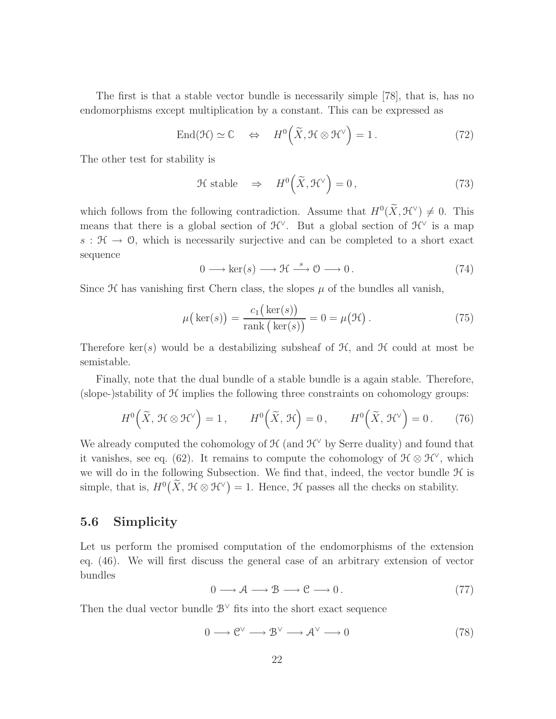The first is that a stable vector bundle is necessarily simple [78], that is, has no endomorphisms except multiplication by a constant. This can be expressed as

$$
\text{End}(\mathcal{H}) \simeq \mathbb{C} \quad \Leftrightarrow \quad H^0\Big(\widetilde{X}, \mathcal{H} \otimes \mathcal{H}^{\vee}\Big) = 1. \tag{72}
$$

The other test for stability is

$$
\mathcal{H}\ \text{stable}\quad\Rightarrow\quad H^0\Big(\widetilde{X}, \mathcal{H}^{\vee}\Big) = 0\,,\tag{73}
$$

which follows from the following contradiction. Assume that  $H^0(\tilde{X}, \mathcal{H}^{\vee}) \neq 0$ . This means that there is a global section of  $\mathcal{H}^{\vee}$ . But a global section of  $\mathcal{H}^{\vee}$  is a map  $s : \mathcal{H} \to \mathcal{O}$ , which is necessarily surjective and can be completed to a short exact sequence

$$
0 \longrightarrow \ker(s) \longrightarrow \mathfrak{H} \stackrel{s}{\longrightarrow} 0 \longrightarrow 0. \tag{74}
$$

Since  $\mathcal H$  has vanishing first Chern class, the slopes  $\mu$  of the bundles all vanish,

$$
\mu\big(\ker(s)\big) = \frac{c_1\big(\ker(s)\big)}{\operatorname{rank}\big(\ker(s)\big)} = 0 = \mu\big(\mathcal{H}\big)\,. \tag{75}
$$

Therefore ker(s) would be a destabilizing subsheaf of  $H$ , and  $H$  could at most be semistable.

Finally, note that the dual bundle of a stable bundle is a again stable. Therefore, (slope-)stability of  $H$  implies the following three constraints on cohomology groups:

$$
H^{0}\left(\widetilde{X},\,\mathcal{H}\otimes\mathcal{H}^{\vee}\right)=1\,,\qquad H^{0}\left(\widetilde{X},\,\mathcal{H}\right)=0\,,\qquad H^{0}\left(\widetilde{X},\,\mathcal{H}^{\vee}\right)=0\,.\tag{76}
$$

We already computed the cohomology of  $\mathcal{H}$  (and  $\mathcal{H}^{\vee}$  by Serre duality) and found that it vanishes, see eq. (62). It remains to compute the cohomology of  $\mathcal{H} \otimes \mathcal{H}^{\vee}$ , which we will do in the following Subsection. We find that, indeed, the vector bundle  $H$  is simple, that is,  $H^0(\tilde{X}, \mathcal{H} \otimes \mathcal{H}^{\vee}) = 1$ . Hence,  $\mathcal{H}$  passes all the checks on stability.

#### 5.6 Simplicity

Let us perform the promised computation of the endomorphisms of the extension eq. (46). We will first discuss the general case of an arbitrary extension of vector bundles

$$
0 \longrightarrow \mathcal{A} \longrightarrow \mathcal{B} \longrightarrow \mathcal{C} \longrightarrow 0. \tag{77}
$$

Then the dual vector bundle  $\mathcal{B}^{\vee}$  fits into the short exact sequence

$$
0 \longrightarrow \mathbb{C}^{\vee} \longrightarrow \mathbb{B}^{\vee} \longrightarrow \mathcal{A}^{\vee} \longrightarrow 0 \tag{78}
$$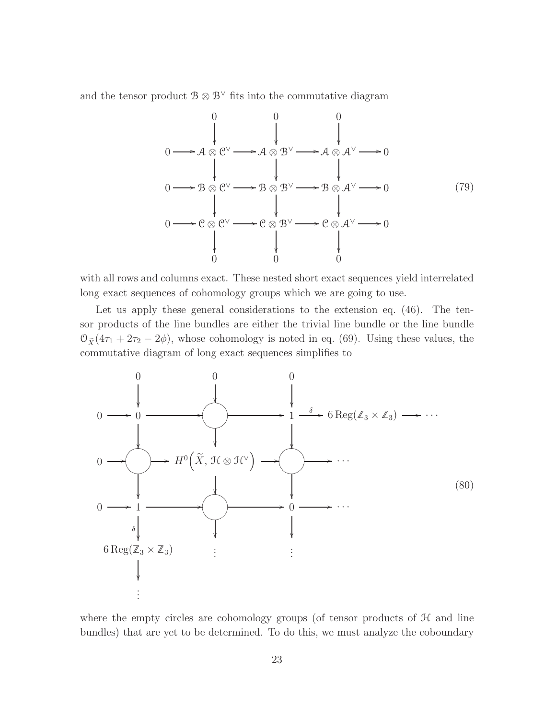and the tensor product  $\mathcal{B} \otimes \mathcal{B}^{\vee}$  fits into the commutative diagram



with all rows and columns exact. These nested short exact sequences yield interrelated long exact sequences of cohomology groups which we are going to use.

Let us apply these general considerations to the extension eq. (46). The tensor products of the line bundles are either the trivial line bundle or the line bundle  $\mathcal{O}_{\tilde{X}}(4\tau_1 + 2\tau_2 - 2\phi)$ , whose cohomology is noted in eq. (69). Using these values, the commutative diagram of long exact sequences simplifies to



where the empty circles are cohomology groups (of tensor products of  $H$  and line bundles) that are yet to be determined. To do this, we must analyze the coboundary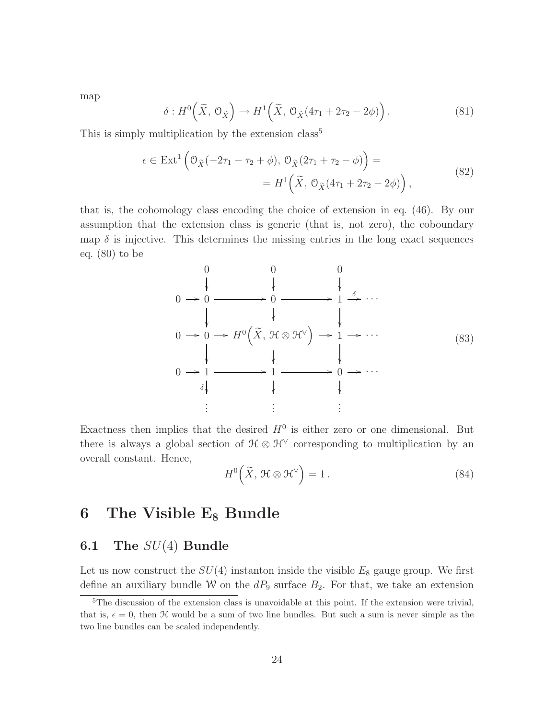map

$$
\delta: H^0\left(\widetilde{X}, \mathcal{O}_{\widetilde{X}}\right) \to H^1\left(\widetilde{X}, \mathcal{O}_{\widetilde{X}}(4\tau_1 + 2\tau_2 - 2\phi)\right). \tag{81}
$$

This is simply multiplication by the extension class<sup>5</sup>

$$
\epsilon \in \text{Ext}^1\left(\mathcal{O}_{\tilde{X}}(-2\tau_1 - \tau_2 + \phi), \mathcal{O}_{\tilde{X}}(2\tau_1 + \tau_2 - \phi)\right) =
$$
  
=  $H^1\left(\tilde{X}, \mathcal{O}_{\tilde{X}}(4\tau_1 + 2\tau_2 - 2\phi)\right),$  (82)

that is, the cohomology class encoding the choice of extension in eq. (46). By our assumption that the extension class is generic (that is, not zero), the coboundary map  $\delta$  is injective. This determines the missing entries in the long exact sequences eq. (80) to be

$$
0 \rightarrow 0 \rightarrow 0 \rightarrow 0 \rightarrow 0 \rightarrow 0 \rightarrow 1 \rightarrow \cdots
$$
  
\n
$$
0 \rightarrow 0 \rightarrow H^{0} (\tilde{X}, \mathcal{H} \otimes \mathcal{H}^{\vee}) \rightarrow 1 \rightarrow \cdots
$$
  
\n
$$
0 \rightarrow 1 \rightarrow 1 \rightarrow 0 \rightarrow \cdots
$$
  
\n
$$
\downarrow \downarrow \downarrow \downarrow \downarrow \qquad (83)
$$
  
\n
$$
\downarrow \downarrow \downarrow \downarrow \downarrow \downarrow \downarrow \downarrow
$$
  
\n
$$
\vdots \qquad \vdots \qquad \vdots \qquad \vdots
$$

Exactness then implies that the desired  $H^0$  is either zero or one dimensional. But there is always a global section of  $\mathcal{H} \otimes \mathcal{H}^{\vee}$  corresponding to multiplication by an overall constant. Hence,

$$
H^{0}\left(\widetilde{X},\,\mathcal{H}\otimes\mathcal{H}^{\vee}\right)=1\,. \tag{84}
$$

## 6 The Visible  $E_8$  Bundle

## **6.1** The  $SU(4)$  Bundle

Let us now construct the  $SU(4)$  instanton inside the visible  $E_8$  gauge group. We first define an auxiliary bundle W on the  $dP_9$  surface  $B_2$ . For that, we take an extension

<sup>&</sup>lt;sup>5</sup>The discussion of the extension class is unavoidable at this point. If the extension were trivial, that is,  $\epsilon = 0$ , then H would be a sum of two line bundles. But such a sum is never simple as the two line bundles can be scaled independently.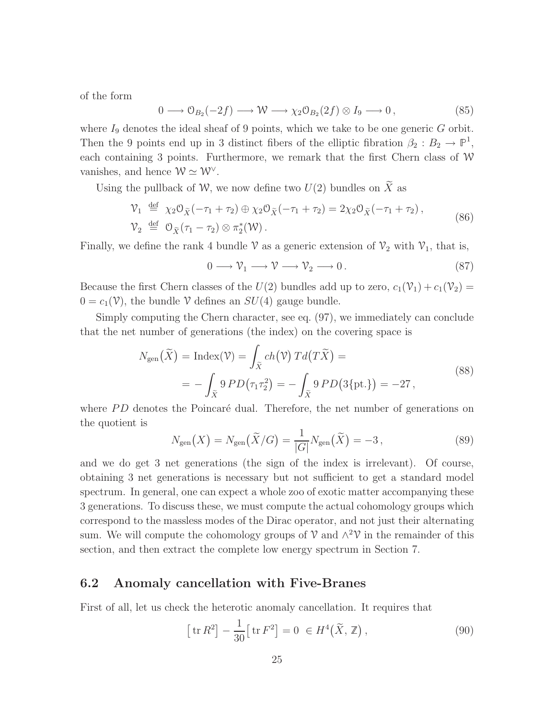of the form

$$
0 \longrightarrow \mathcal{O}_{B_2}(-2f) \longrightarrow \mathcal{W} \longrightarrow \chi_2 \mathcal{O}_{B_2}(2f) \otimes I_9 \longrightarrow 0, \tag{85}
$$

where  $I_9$  denotes the ideal sheaf of 9 points, which we take to be one generic  $G$  orbit. Then the 9 points end up in 3 distinct fibers of the elliptic fibration  $\beta_2 : B_2 \to \mathbb{P}^1$ , each containing 3 points. Furthermore, we remark that the first Chern class of  $W$ vanishes, and hence  $\mathcal{W} \simeq \mathcal{W}^{\vee}$ .

Using the pullback of W, we now define two  $U(2)$  bundles on  $\widetilde{X}$  as

$$
\begin{aligned} \mathcal{V}_1 &\stackrel{\text{def}}{=} \chi_2 \mathcal{O}_{\tilde{X}}(-\tau_1 + \tau_2) \oplus \chi_2 \mathcal{O}_{\tilde{X}}(-\tau_1 + \tau_2) = 2\chi_2 \mathcal{O}_{\tilde{X}}(-\tau_1 + \tau_2) \,, \\ \mathcal{V}_2 &\stackrel{\text{def}}{=} \mathcal{O}_{\tilde{X}}(\tau_1 - \tau_2) \otimes \pi_2^*(\mathcal{W}) \,. \end{aligned} \tag{86}
$$

Finally, we define the rank 4 bundle V as a generic extension of  $\mathcal{V}_2$  with  $\mathcal{V}_1$ , that is,

$$
0 \longrightarrow \mathcal{V}_1 \longrightarrow \mathcal{V} \longrightarrow \mathcal{V}_2 \longrightarrow 0. \tag{87}
$$

Because the first Chern classes of the  $U(2)$  bundles add up to zero,  $c_1(\mathcal{V}_1) + c_1(\mathcal{V}_2) =$  $0 = c_1(\mathcal{V})$ , the bundle  $\mathcal V$  defines an  $SU(4)$  gauge bundle.

Simply computing the Chern character, see eq. (97), we immediately can conclude that the net number of generations (the index) on the covering space is

$$
N_{\text{gen}}(\tilde{X}) = \text{Index}(\mathcal{V}) = \int_{\tilde{X}} ch(\mathcal{V}) T d(T\tilde{X}) =
$$
  
= 
$$
- \int_{\tilde{X}} 9 PD(\tau_1 \tau_2^2) = - \int_{\tilde{X}} 9 PD(3\{\text{pt.}\}) = -27,
$$
 (88)

where  $PD$  denotes the Poincaré dual. Therefore, the net number of generations on the quotient is

$$
N_{\text{gen}}(X) = N_{\text{gen}}(\widetilde{X}/G) = \frac{1}{|G|} N_{\text{gen}}(\widetilde{X}) = -3\,,\tag{89}
$$

and we do get 3 net generations (the sign of the index is irrelevant). Of course, obtaining 3 net generations is necessary but not sufficient to get a standard model spectrum. In general, one can expect a whole zoo of exotic matter accompanying these 3 generations. To discuss these, we must compute the actual cohomology groups which correspond to the massless modes of the Dirac operator, and not just their alternating sum. We will compute the cohomology groups of  $\mathcal V$  and  $\wedge^2 \mathcal V$  in the remainder of this section, and then extract the complete low energy spectrum in Section 7.

#### 6.2 Anomaly cancellation with Five-Branes

First of all, let us check the heterotic anomaly cancellation. It requires that

$$
\left[\operatorname{tr} R^2\right] - \frac{1}{30} \left[\operatorname{tr} F^2\right] = 0 \in H^4\big(\widetilde{X}, \mathbb{Z}\big),\tag{90}
$$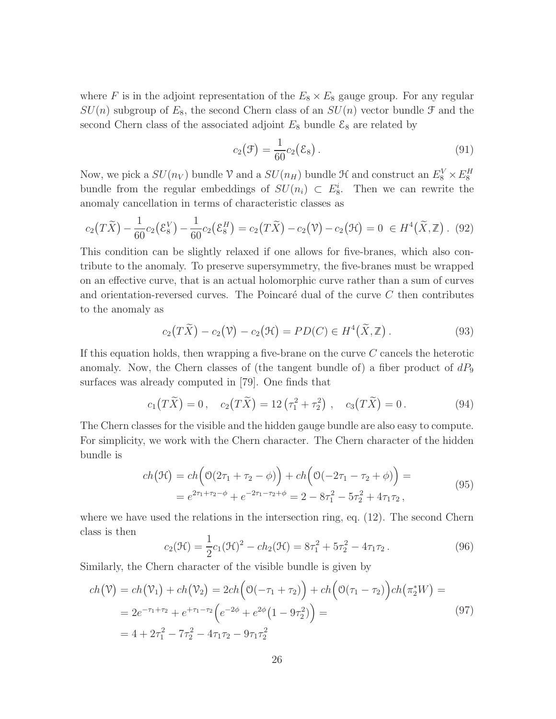where F is in the adjoint representation of the  $E_8 \times E_8$  gauge group. For any regular  $SU(n)$  subgroup of  $E_8$ , the second Chern class of an  $SU(n)$  vector bundle  $\mathfrak F$  and the second Chern class of the associated adjoint  $E_8$  bundle  $\mathcal{E}_8$  are related by

$$
c_2(\mathcal{F}) = \frac{1}{60} c_2(\mathcal{E}_8).
$$
 (91)

Now, we pick a  $SU(n_V)$  bundle V and a  $SU(n_H)$  bundle  $\mathcal H$  and construct an  $E_8^V \times E_8^H$ bundle from the regular embeddings of  $SU(n_i) \subset E_8^i$ . Then we can rewrite the anomaly cancellation in terms of characteristic classes as

$$
c_2(T\widetilde{X}) - \frac{1}{60}c_2(\mathcal{E}_8^V) - \frac{1}{60}c_2(\mathcal{E}_8^H) = c_2(T\widetilde{X}) - c_2(\mathcal{V}) - c_2(\mathcal{H}) = 0 \in H^4(\widetilde{X}, \mathbb{Z}). \tag{92}
$$

This condition can be slightly relaxed if one allows for five-branes, which also contribute to the anomaly. To preserve supersymmetry, the five-branes must be wrapped on an effective curve, that is an actual holomorphic curve rather than a sum of curves and orientation-reversed curves. The Poincaré dual of the curve  $C$  then contributes to the anomaly as

$$
c_2(T\widetilde{X}) - c_2(\mathfrak{V}) - c_2(\mathfrak{H}) = PD(C) \in H^4(\widetilde{X}, \mathbb{Z}). \tag{93}
$$

If this equation holds, then wrapping a five-brane on the curve  $C$  cancels the heterotic anomaly. Now, the Chern classes of (the tangent bundle of) a fiber product of  $dP_9$ surfaces was already computed in [79]. One finds that

$$
c_1(T\widetilde{X}) = 0, \quad c_2(T\widetilde{X}) = 12\left(\tau_1^2 + \tau_2^2\right), \quad c_3(T\widetilde{X}) = 0. \tag{94}
$$

The Chern classes for the visible and the hidden gauge bundle are also easy to compute. For simplicity, we work with the Chern character. The Chern character of the hidden bundle is

$$
ch(\mathcal{H}) = ch\left(\mathcal{O}(2\tau_1 + \tau_2 - \phi)\right) + ch\left(\mathcal{O}(-2\tau_1 - \tau_2 + \phi)\right) =
$$
  
=  $e^{2\tau_1 + \tau_2 - \phi} + e^{-2\tau_1 - \tau_2 + \phi} = 2 - 8\tau_1^2 - 5\tau_2^2 + 4\tau_1\tau_2,$  (95)

where we have used the relations in the intersection ring, eq. (12). The second Chern class is then

$$
c_2(\mathcal{H}) = \frac{1}{2}c_1(\mathcal{H})^2 - ch_2(\mathcal{H}) = 8\tau_1^2 + 5\tau_2^2 - 4\tau_1\tau_2.
$$
 (96)

Similarly, the Chern character of the visible bundle is given by

$$
ch(\mathcal{V}) = ch(\mathcal{V}_1) + ch(\mathcal{V}_2) = 2ch\left(\mathcal{O}(-\tau_1 + \tau_2)\right) + ch\left(\mathcal{O}(\tau_1 - \tau_2)\right)ch(\pi_2^*W) =
$$
  
=  $2e^{-\tau_1 + \tau_2} + e^{+\tau_1 - \tau_2}\left(e^{-2\phi} + e^{2\phi}(1 - 9\tau_2^2)\right) =$   
=  $4 + 2\tau_1^2 - 7\tau_2^2 - 4\tau_1\tau_2 - 9\tau_1\tau_2^2$  (97)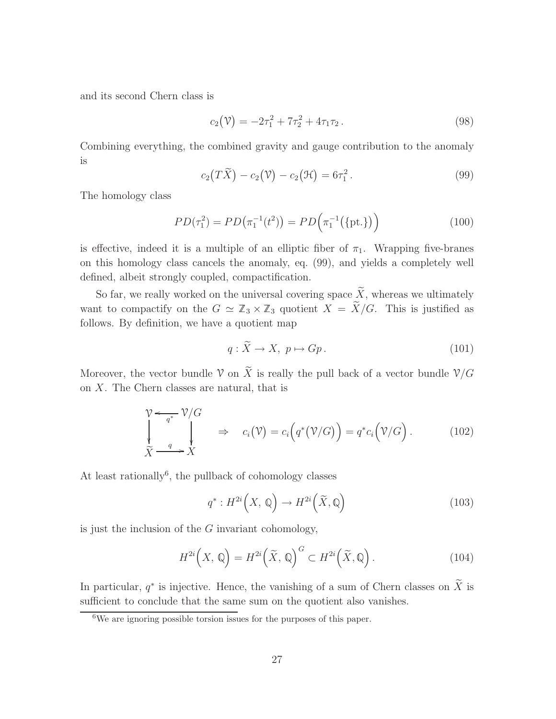and its second Chern class is

$$
c_2(\mathcal{V}) = -2\tau_1^2 + 7\tau_2^2 + 4\tau_1\tau_2.
$$
\n(98)

Combining everything, the combined gravity and gauge contribution to the anomaly is

$$
c_2(T\widetilde{X}) - c_2(\mathfrak{V}) - c_2(\mathfrak{H}) = 6\tau_1^2.
$$
\n(99)

The homology class

$$
PD(\tau_1^2) = PD(\pi_1^{-1}(t^2)) = PD(\pi_1^{-1}(\{\text{pt.}\})\tag{100}
$$

is effective, indeed it is a multiple of an elliptic fiber of  $\pi_1$ . Wrapping five-branes on this homology class cancels the anomaly, eq. (99), and yields a completely well defined, albeit strongly coupled, compactification.

So far, we really worked on the universal covering space  $\widetilde{X}$ , whereas we ultimately want to compactify on the  $G \simeq \mathbb{Z}_3 \times \mathbb{Z}_3$  quotient  $X = \widetilde{X}/G$ . This is justified as follows. By definition, we have a quotient map

$$
q: \widetilde{X} \to X, \ p \mapsto Gp. \tag{101}
$$

Moreover, the vector bundle V on  $\widetilde{X}$  is really the pull back of a vector bundle  $\mathcal{V}/G$ on X. The Chern classes are natural, that is

$$
\begin{array}{ccc}\n\mathcal{V} & \xleftarrow{q^*} & \mathcal{V}/G \\
\downarrow & & \downarrow & \Rightarrow & c_i(\mathcal{V}) = c_i(q^*(\mathcal{V}/G)) = q^*c_i(\mathcal{V}/G).\n\end{array} \tag{102}
$$
\n
$$
\widetilde{X} \xrightarrow{q} X
$$

At least rationally<sup>6</sup>, the pullback of cohomology classes

$$
q^*: H^{2i}\left(X, \mathbb{Q}\right) \to H^{2i}\left(\widetilde{X}, \mathbb{Q}\right) \tag{103}
$$

is just the inclusion of the G invariant cohomology,

$$
H^{2i}\left(X,\,\mathbb{Q}\right) = H^{2i}\left(\widetilde{X},\,\mathbb{Q}\right)^{G} \subset H^{2i}\left(\widetilde{X},\mathbb{Q}\right). \tag{104}
$$

In particular,  $q^*$  is injective. Hence, the vanishing of a sum of Chern classes on  $\overline{X}$  is sufficient to conclude that the same sum on the quotient also vanishes.

<sup>6</sup>We are ignoring possible torsion issues for the purposes of this paper.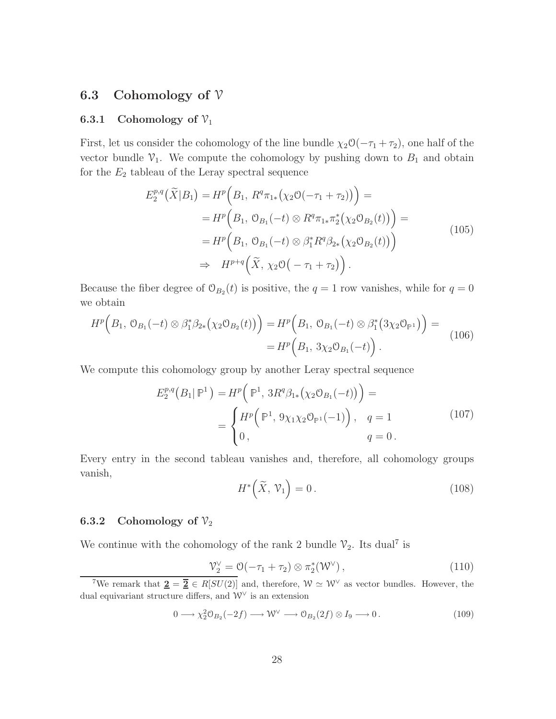#### 6.3 Cohomology of  $\mathcal V$

#### 6.3.1 Cohomology of  $\mathcal{V}_1$

First, let us consider the cohomology of the line bundle  $\chi_2 \mathcal{O}(-\tau_1 + \tau_2)$ , one half of the vector bundle  $\mathcal{V}_1$ . We compute the cohomology by pushing down to  $B_1$  and obtain for the  $E_2$  tableau of the Leray spectral sequence

$$
E_2^{p,q}(\tilde{X}|B_1) = H^p\left(B_1, R^q \pi_{1*}(\chi_2 \mathcal{O}(-\tau_1 + \tau_2))\right) =
$$
  
\n
$$
= H^p\left(B_1, \mathcal{O}_{B_1}(-t) \otimes R^q \pi_{1*} \pi_2^* (\chi_2 \mathcal{O}_{B_2}(t))\right) =
$$
  
\n
$$
= H^p\left(B_1, \mathcal{O}_{B_1}(-t) \otimes \beta_1^* R^q \beta_{2*} (\chi_2 \mathcal{O}_{B_2}(t))\right)
$$
  
\n
$$
\Rightarrow H^{p+q}(\tilde{X}, \chi_2 \mathcal{O}(-\tau_1 + \tau_2)).
$$
\n(105)

Because the fiber degree of  $\mathcal{O}_{B_2}(t)$  is positive, the  $q = 1$  row vanishes, while for  $q = 0$ we obtain

$$
H^{p}\Big(B_{1},\ \mathcal{O}_{B_{1}}(-t)\otimes\beta_{1}^{*}\beta_{2*}\big(\chi_{2}\mathcal{O}_{B_{2}}(t)\big)\Big)=H^{p}\Big(B_{1},\ \mathcal{O}_{B_{1}}(-t)\otimes\beta_{1}^{*}\big(3\chi_{2}\mathcal{O}_{\mathbb{P}^{1}}\big)\Big)=\newline=H^{p}\Big(B_{1},\ 3\chi_{2}\mathcal{O}_{B_{1}}(-t)\Big).
$$
\n(106)

We compute this cohomology group by another Leray spectral sequence

$$
E_2^{p,q}(B_1 | \mathbb{P}^1) = H^p(\mathbb{P}^1, 3R^q \beta_{1*}(\chi_2 \mathbb{O}_{B_1}(-t))) =
$$
  
= 
$$
\begin{cases} H^p(\mathbb{P}^1, 9\chi_1 \chi_2 \mathbb{O}_{\mathbb{P}^1}(-1)), & q = 1 \\ 0, & q = 0. \end{cases}
$$
 (107)

Every entry in the second tableau vanishes and, therefore, all cohomology groups vanish,

$$
H^*\left(\widetilde{X},\,\mathcal{V}_1\right) = 0\,. \tag{108}
$$

#### 6.3.2 Cohomology of  $\mathcal{V}_2$

We continue with the cohomology of the rank 2 bundle  $\mathcal{V}_2$ . Its dual<sup>7</sup> is

$$
\mathcal{V}_2^{\vee} = \mathcal{O}(-\tau_1 + \tau_2) \otimes \pi_2^*(\mathcal{W}^{\vee}), \qquad (110)
$$

$$
0 \longrightarrow \chi_2^2 \mathcal{O}_{B_2}(-2f) \longrightarrow \mathcal{W}^{\vee} \longrightarrow \mathcal{O}_{B_2}(2f) \otimes I_9 \longrightarrow 0. \tag{109}
$$

<sup>&</sup>lt;sup>7</sup>We remark that  $\underline{\mathbf{2}} = \overline{\mathbf{2}} \in R[SU(2)]$  and, therefore,  $\mathcal{W} \simeq \mathcal{W}^{\vee}$  as vector bundles. However, the dual equivariant structure differs, and  $W^{\vee}$  is an extension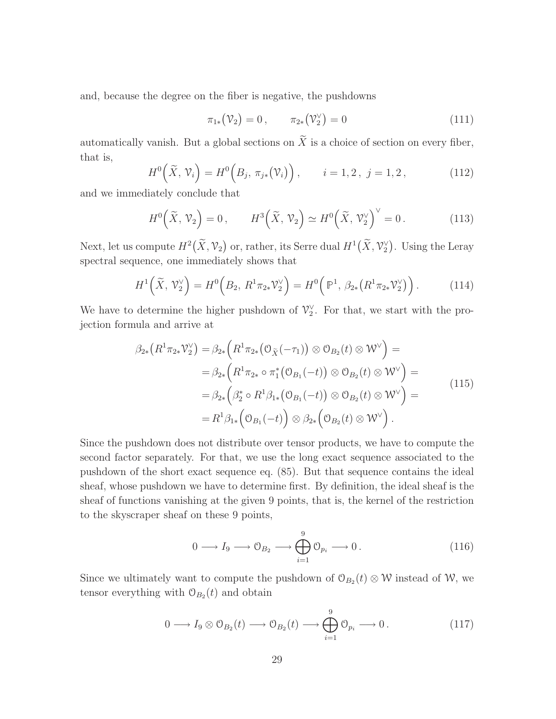and, because the degree on the fiber is negative, the pushdowns

$$
\pi_{1*}(\mathcal{V}_2) = 0, \qquad \pi_{2*}(\mathcal{V}_2^{\vee}) = 0 \tag{111}
$$

automatically vanish. But a global sections on  $\widetilde{X}$  is a choice of section on every fiber, that is,

$$
H^{0}\left(\tilde{X},\,\mathcal{V}_{i}\right) = H^{0}\left(B_{j},\,\pi_{j*}\left(\mathcal{V}_{i}\right)\right), \qquad i = 1,2\,,\,j = 1,2\,,\tag{112}
$$

and we immediately conclude that

$$
H^{0}\left(\widetilde{X},\mathcal{V}_{2}\right)=0, \qquad H^{3}\left(\widetilde{X},\mathcal{V}_{2}\right) \simeq H^{0}\left(\widetilde{X},\mathcal{V}_{2}^{\vee}\right)^{\vee}=0. \tag{113}
$$

Next, let us compute  $H^2(\widetilde{X}, \mathcal{V}_2)$  or, rather, its Serre dual  $H^1(\widetilde{X}, \mathcal{V}_2^{\vee})$ . Using the Leray spectral sequence, one immediately shows that

$$
H^{1}\left(\tilde{X}, \mathcal{V}_{2}^{\vee}\right) = H^{0}\left(B_{2}, R^{1}\pi_{2*}\mathcal{V}_{2}^{\vee}\right) = H^{0}\left(\mathbb{P}^{1}, \beta_{2*}\left(R^{1}\pi_{2*}\mathcal{V}_{2}^{\vee}\right)\right). \tag{114}
$$

We have to determine the higher pushdown of  $\mathcal{V}_2^{\vee}$ . For that, we start with the projection formula and arrive at

$$
\beta_{2*}(R^1\pi_{2*}\mathcal{V}_2^{\vee}) = \beta_{2*}(R^1\pi_{2*}(\mathcal{O}_{\tilde{X}}(-\tau_1)) \otimes \mathcal{O}_{B_2}(t) \otimes \mathcal{W}^{\vee}) =
$$
  
\n
$$
= \beta_{2*}(R^1\pi_{2*} \circ \pi_1^*(\mathcal{O}_{B_1}(-t)) \otimes \mathcal{O}_{B_2}(t) \otimes \mathcal{W}^{\vee}) =
$$
  
\n
$$
= \beta_{2*}(\beta_2^* \circ R^1\beta_{1*}(\mathcal{O}_{B_1}(-t)) \otimes \mathcal{O}_{B_2}(t) \otimes \mathcal{W}^{\vee}) =
$$
  
\n
$$
= R^1\beta_{1*}(\mathcal{O}_{B_1}(-t)) \otimes \beta_{2*}(\mathcal{O}_{B_2}(t) \otimes \mathcal{W}^{\vee}).
$$
\n(115)

Since the pushdown does not distribute over tensor products, we have to compute the second factor separately. For that, we use the long exact sequence associated to the pushdown of the short exact sequence eq. (85). But that sequence contains the ideal sheaf, whose pushdown we have to determine first. By definition, the ideal sheaf is the sheaf of functions vanishing at the given 9 points, that is, the kernel of the restriction to the skyscraper sheaf on these 9 points,

$$
0 \longrightarrow I_9 \longrightarrow \mathcal{O}_{B_2} \longrightarrow \bigoplus_{i=1}^9 \mathcal{O}_{p_i} \longrightarrow 0.
$$
 (116)

Since we ultimately want to compute the pushdown of  $\mathcal{O}_{B_2}(t) \otimes \mathcal{W}$  instead of W, we tensor everything with  $\mathcal{O}_{B_2}(t)$  and obtain

$$
0 \longrightarrow I_9 \otimes \mathcal{O}_{B_2}(t) \longrightarrow \mathcal{O}_{B_2}(t) \longrightarrow \bigoplus_{i=1}^9 \mathcal{O}_{p_i} \longrightarrow 0.
$$
 (117)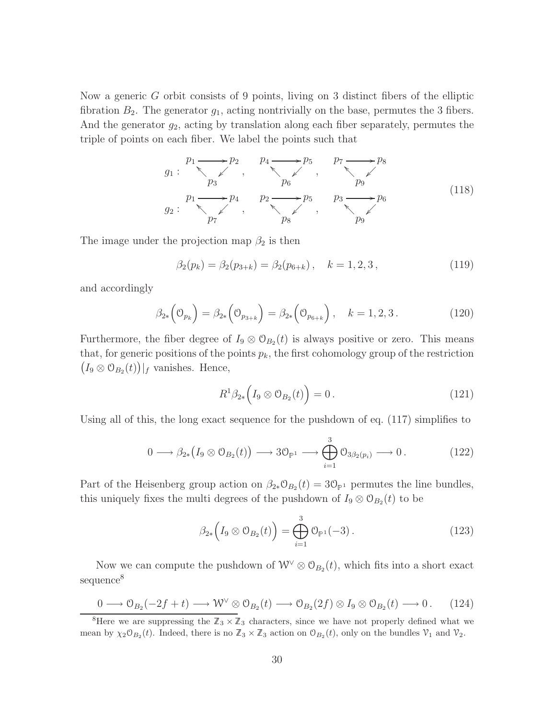Now a generic G orbit consists of 9 points, living on 3 distinct fibers of the elliptic fibration  $B_2$ . The generator  $g_1$ , acting nontrivially on the base, permutes the 3 fibers. And the generator  $g_2$ , acting by translation along each fiber separately, permutes the triple of points on each fiber. We label the points such that

$$
g_1: \begin{array}{c} p_1 \longrightarrow p_2 \\ p_3 \end{array}, \begin{array}{c} p_4 \longrightarrow p_5 \\ p_6 \end{array}, \begin{array}{c} p_7 \longrightarrow p_8 \\ p_9 \end{array}
$$
\n
$$
g_2: \begin{array}{c} p_1 \longrightarrow p_4 \\ p_7 \end{array}, \begin{array}{c} p_2 \longrightarrow p_5 \\ p_8 \end{array}, \begin{array}{c} p_3 \longrightarrow p_6 \\ p_9 \end{array}
$$
\n
$$
(118)
$$

The image under the projection map  $\beta_2$  is then

$$
\beta_2(p_k) = \beta_2(p_{3+k}) = \beta_2(p_{6+k}), \quad k = 1, 2, 3,
$$
\n(119)

and accordingly

$$
\beta_{2*}\left(\mathcal{O}_{p_k}\right) = \beta_{2*}\left(\mathcal{O}_{p_{3+k}}\right) = \beta_{2*}\left(\mathcal{O}_{p_{6+k}}\right), \quad k = 1, 2, 3. \tag{120}
$$

Furthermore, the fiber degree of  $I_9 \otimes \mathcal{O}_{B_2}(t)$  is always positive or zero. This means that, for generic positions of the points  $p_k$ , the first cohomology group of the restriction  $(I_9 \otimes \mathcal{O}_{B_2}(t))]_f$  vanishes. Hence,

$$
R^1 \beta_{2*} \left( I_9 \otimes \mathcal{O}_{B_2}(t) \right) = 0. \qquad (121)
$$

Using all of this, the long exact sequence for the pushdown of eq. (117) simplifies to

$$
0 \longrightarrow \beta_{2*}(I_9 \otimes \mathcal{O}_{B_2}(t)) \longrightarrow 3\mathcal{O}_{\mathbb{P}^1} \longrightarrow \bigoplus_{i=1}^3 \mathcal{O}_{3\beta_2(p_i)} \longrightarrow 0.
$$
 (122)

Part of the Heisenberg group action on  $\beta_{2*} \mathcal{O}_{B_2}(t) = 3\mathcal{O}_{\mathbb{P}^1}$  permutes the line bundles, this uniquely fixes the multi degrees of the pushdown of  $I_9 \otimes \mathcal{O}_{B_2}(t)$  to be

$$
\beta_{2*}\left(I_9\otimes\mathcal{O}_{B_2}(t)\right)=\bigoplus_{i=1}^3\mathcal{O}_{\mathbb{P}^1}(-3).
$$
\n(123)

Now we can compute the pushdown of  $W^{\vee} \otimes \mathcal{O}_{B_2}(t)$ , which fits into a short exact sequence<sup>8</sup>

$$
0 \longrightarrow \mathcal{O}_{B_2}(-2f+t) \longrightarrow \mathcal{W}^{\vee} \otimes \mathcal{O}_{B_2}(t) \longrightarrow \mathcal{O}_{B_2}(2f) \otimes I_9 \otimes \mathcal{O}_{B_2}(t) \longrightarrow 0. \qquad (124)
$$

<sup>&</sup>lt;sup>8</sup>Here we are suppressing the  $\mathbb{Z}_3 \times \mathbb{Z}_3$  characters, since we have not properly defined what we mean by  $\chi_2 \mathcal{O}_{B_2}(t)$ . Indeed, there is no  $\mathbb{Z}_3 \times \mathbb{Z}_3$  action on  $\mathcal{O}_{B_2}(t)$ , only on the bundles  $\mathcal{V}_1$  and  $\mathcal{V}_2$ .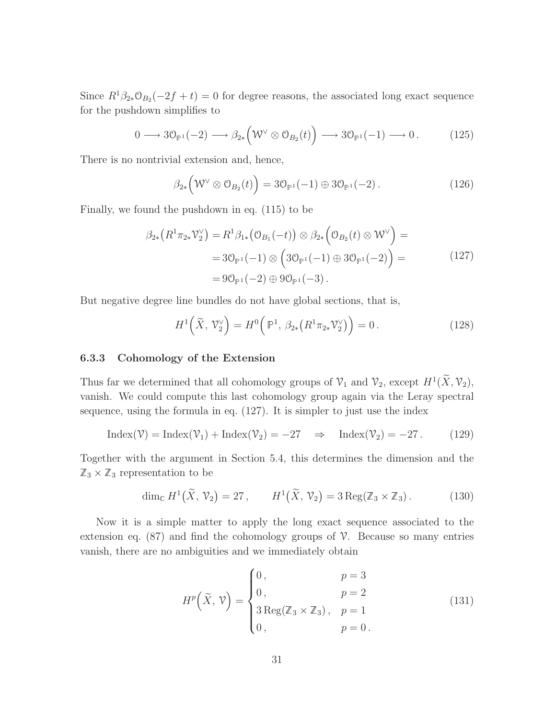Since  $R^1\beta_{2*}\mathcal{O}_{B_2}(-2f+t)=0$  for degree reasons, the associated long exact sequence for the pushdown simplifies to

$$
0 \longrightarrow 3\mathcal{O}_{\mathbb{P}^1}(-2) \longrightarrow \beta_{2*}(\mathcal{W}^{\vee} \otimes \mathcal{O}_{B_2}(t)) \longrightarrow 3\mathcal{O}_{\mathbb{P}^1}(-1) \longrightarrow 0. \tag{125}
$$

There is no nontrivial extension and, hence,

$$
\beta_{2*} \left( \mathcal{W}^{\vee} \otimes \mathcal{O}_{B_2}(t) \right) = 3\mathcal{O}_{\mathbb{P}^1}(-1) \oplus 3\mathcal{O}_{\mathbb{P}^1}(-2). \tag{126}
$$

Finally, we found the pushdown in eq. (115) to be

$$
\beta_{2*}(R^1 \pi_{2*} \mathcal{V}_2^{\vee}) = R^1 \beta_{1*} (\mathcal{O}_{B_1}(-t)) \otimes \beta_{2*} (\mathcal{O}_{B_2}(t) \otimes \mathcal{W}^{\vee}) =
$$
  
= 3\mathcal{O}\_{\mathbb{P}^1}(-1) \otimes (3\mathcal{O}\_{\mathbb{P}^1}(-1) \oplus 3\mathcal{O}\_{\mathbb{P}^1}(-2)) =  
= 9\mathcal{O}\_{\mathbb{P}^1}(-2) \oplus 9\mathcal{O}\_{\mathbb{P}^1}(-3). \qquad (127)

But negative degree line bundles do not have global sections, that is,

$$
H^{1}\left(\widetilde{X},\mathcal{V}_{2}^{\vee}\right) = H^{0}\left(\mathbb{P}^{1},\beta_{2*}\left(R^{1}\pi_{2*}\mathcal{V}_{2}^{\vee}\right)\right) = 0.
$$
 (128)

#### 6.3.3 Cohomology of the Extension

Thus far we determined that all cohomology groups of  $\mathcal{V}_1$  and  $\mathcal{V}_2$ , except  $H^1(\widetilde{X}, \mathcal{V}_2)$ , vanish. We could compute this last cohomology group again via the Leray spectral sequence, using the formula in eq. (127). It is simpler to just use the index

$$
Index(\mathcal{V}) = Index(\mathcal{V}_1) + Index(\mathcal{V}_2) = -27 \Rightarrow Index(\mathcal{V}_2) = -27. \tag{129}
$$

Together with the argument in Section 5.4, this determines the dimension and the  $\mathbb{Z}_3 \times \mathbb{Z}_3$  representation to be

$$
\dim_{\mathbb{C}} H^1(\widetilde{X}, \mathcal{V}_2) = 27, \qquad H^1(\widetilde{X}, \mathcal{V}_2) = 3 \operatorname{Reg}(\mathbb{Z}_3 \times \mathbb{Z}_3). \tag{130}
$$

Now it is a simple matter to apply the long exact sequence associated to the extension eq.  $(87)$  and find the cohomology groups of  $\mathcal V$ . Because so many entries vanish, there are no ambiguities and we immediately obtain

$$
H^{p}\left(\tilde{X}, \mathcal{V}\right) = \begin{cases} 0, & p = 3\\ 0, & p = 2\\ 3\operatorname{Reg}(\mathbb{Z}_{3} \times \mathbb{Z}_{3}), & p = 1\\ 0, & p = 0 \end{cases} \tag{131}
$$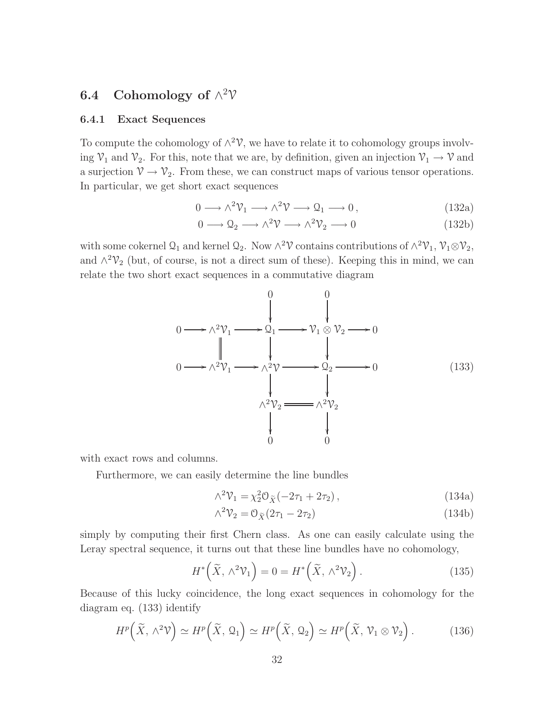## 6.4 Cohomology of  $\wedge^2$  $\mathcal V$

#### 6.4.1 Exact Sequences

To compute the cohomology of  $\wedge^2 \mathcal{V}$ , we have to relate it to cohomology groups involving  $\mathcal{V}_1$  and  $\mathcal{V}_2$ . For this, note that we are, by definition, given an injection  $\mathcal{V}_1 \to \mathcal{V}$  and a surjection  $\mathcal{V} \to \mathcal{V}_2$ . From these, we can construct maps of various tensor operations. In particular, we get short exact sequences

$$
0 \longrightarrow \wedge^2 \mathcal{V}_1 \longrightarrow \wedge^2 \mathcal{V} \longrightarrow \mathcal{Q}_1 \longrightarrow 0, \qquad (132a)
$$

$$
0 \longrightarrow \mathcal{Q}_2 \longrightarrow \wedge^2 \mathcal{V} \longrightarrow \wedge^2 \mathcal{V}_2 \longrightarrow 0 \tag{132b}
$$

with some cokernel  $\mathcal{Q}_1$  and kernel  $\mathcal{Q}_2$ . Now  $\wedge^2 \mathcal{V}$  contains contributions of  $\wedge^2 \mathcal{V}_1$ ,  $\mathcal{V}_1 \otimes \mathcal{V}_2$ , and  $\wedge^2 \mathcal{V}_2$  (but, of course, is not a direct sum of these). Keeping this in mind, we can relate the two short exact sequences in a commutative diagram

$$
0 \longrightarrow \wedge^{2} \mathcal{V}_{1} \longrightarrow 2_{1} \longrightarrow \mathcal{V}_{1} \otimes \mathcal{V}_{2} \longrightarrow 0
$$
  
\n
$$
0 \longrightarrow \wedge^{2} \mathcal{V}_{1} \longrightarrow \wedge^{2} \mathcal{V} \longrightarrow 2_{2} \longrightarrow 0
$$
  
\n
$$
\downarrow \qquad \qquad \downarrow
$$
  
\n
$$
\wedge^{2} \mathcal{V}_{2} \longrightarrow \wedge^{2} \mathcal{V}_{2}
$$
  
\n
$$
\downarrow
$$
  
\n
$$
\downarrow
$$
  
\n
$$
\downarrow
$$
  
\n(133)

with exact rows and columns.

Furthermore, we can easily determine the line bundles

$$
\wedge^2 \mathcal{V}_1 = \chi_2^2 \mathcal{O}_{\tilde{X}}(-2\tau_1 + 2\tau_2), \qquad (134a)
$$

$$
\wedge^2 \mathcal{V}_2 = \mathcal{O}_{\widetilde{X}}(2\tau_1 - 2\tau_2) \tag{134b}
$$

simply by computing their first Chern class. As one can easily calculate using the Leray spectral sequence, it turns out that these line bundles have no cohomology,

$$
H^*\left(\widetilde{X}, \wedge^2 \mathcal{V}_1\right) = 0 = H^*\left(\widetilde{X}, \wedge^2 \mathcal{V}_2\right). \tag{135}
$$

Because of this lucky coincidence, the long exact sequences in cohomology for the diagram eq. (133) identify

$$
H^p\left(\widetilde{X}, \wedge^2 \mathcal{V}\right) \simeq H^p\left(\widetilde{X}, \mathcal{Q}_1\right) \simeq H^p\left(\widetilde{X}, \mathcal{Q}_2\right) \simeq H^p\left(\widetilde{X}, \mathcal{V}_1 \otimes \mathcal{V}_2\right). \tag{136}
$$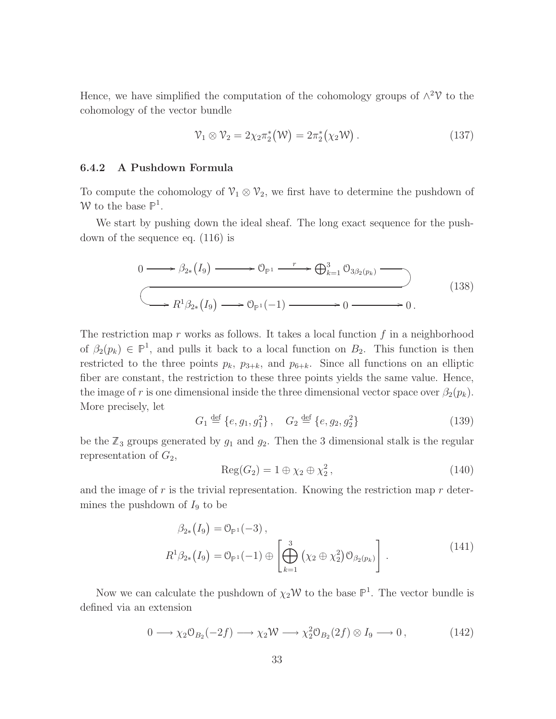Hence, we have simplified the computation of the cohomology groups of  $\wedge^2$  to the cohomology of the vector bundle

$$
\mathcal{V}_1 \otimes \mathcal{V}_2 = 2\chi_2 \pi_2^*(\mathcal{W}) = 2\pi_2^*(\chi_2 \mathcal{W}). \qquad (137)
$$

#### 6.4.2 A Pushdown Formula

To compute the cohomology of  $\mathcal{V}_1 \otimes \mathcal{V}_2$ , we first have to determine the pushdown of W to the base  $\mathbb{P}^1$ .

We start by pushing down the ideal sheaf. The long exact sequence for the pushdown of the sequence eq. (116) is

$$
0 \longrightarrow \beta_{2*}(I_9) \longrightarrow \mathcal{O}_{\mathbb{P}^1} \longrightarrow \bigoplus_{k=1}^3 \mathcal{O}_{3\beta_2(p_k)} \longrightarrow
$$
  

$$
\longrightarrow R^1 \beta_{2*}(I_9) \longrightarrow \mathcal{O}_{\mathbb{P}^1}(-1) \longrightarrow 0 \longrightarrow 0.
$$
 (138)

The restriction map r works as follows. It takes a local function  $f$  in a neighborhood of  $\beta_2(p_k) \in \mathbb{P}^1$ , and pulls it back to a local function on  $B_2$ . This function is then restricted to the three points  $p_k$ ,  $p_{3+k}$ , and  $p_{6+k}$ . Since all functions on an elliptic fiber are constant, the restriction to these three points yields the same value. Hence, the image of r is one dimensional inside the three dimensional vector space over  $\beta_2(p_k)$ . More precisely, let

$$
G_1 \stackrel{\text{def}}{=} \{e, g_1, g_1^2\}, \quad G_2 \stackrel{\text{def}}{=} \{e, g_2, g_2^2\} \tag{139}
$$

be the  $\mathbb{Z}_3$  groups generated by  $g_1$  and  $g_2$ . Then the 3 dimensional stalk is the regular representation of  $G_2$ ,

$$
Reg(G_2) = 1 \oplus \chi_2 \oplus \chi_2^2, \qquad (140)
$$

and the image of  $r$  is the trivial representation. Knowing the restriction map  $r$  determines the pushdown of  $I_9$  to be

$$
\beta_{2*}(I_9) = 0_{\mathbb{P}^1}(-3), \nR^1 \beta_{2*}(I_9) = 0_{\mathbb{P}^1}(-1) \oplus \left[ \bigoplus_{k=1}^3 (\chi_2 \oplus \chi_2^2) 0_{\beta_2(p_k)} \right].
$$
\n(141)

Now we can calculate the pushdown of  $\chi_2 \mathcal{W}$  to the base  $\mathbb{P}^1$ . The vector bundle is defined via an extension

$$
0 \longrightarrow \chi_2 \mathcal{O}_{B_2}(-2f) \longrightarrow \chi_2 \mathcal{W} \longrightarrow \chi_2^2 \mathcal{O}_{B_2}(2f) \otimes I_9 \longrightarrow 0, \qquad (142)
$$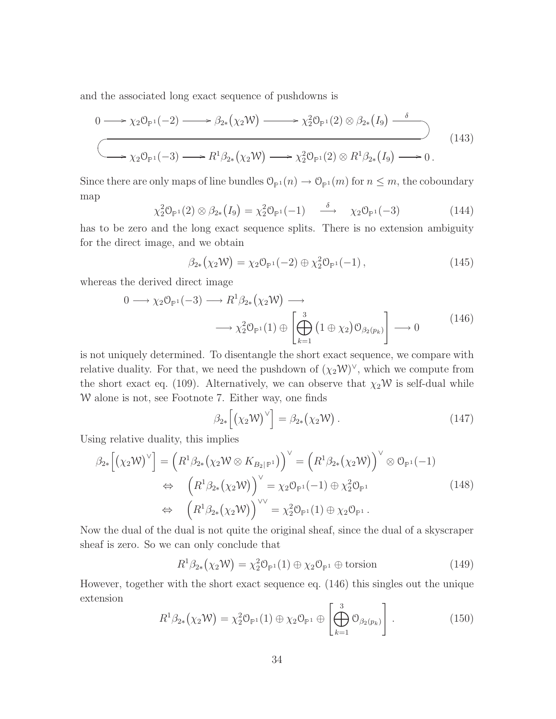and the associated long exact sequence of pushdowns is

$$
0 \longrightarrow \chi_2 \mathcal{O}_{\mathbb{P}^1}(-2) \longrightarrow \beta_{2*}(\chi_2 \mathcal{W}) \longrightarrow \chi_2^2 \mathcal{O}_{\mathbb{P}^1}(2) \otimes \beta_{2*}(I_9) \longrightarrow
$$
  

$$
\longrightarrow \chi_2 \mathcal{O}_{\mathbb{P}^1}(-3) \longrightarrow R^1 \beta_{2*}(\chi_2 \mathcal{W}) \longrightarrow \chi_2^2 \mathcal{O}_{\mathbb{P}^1}(2) \otimes R^1 \beta_{2*}(I_9) \longrightarrow 0.
$$
 (143)

Since there are only maps of line bundles  $\mathcal{O}_{\mathbb{P}^1}(n) \to \mathcal{O}_{\mathbb{P}^1}(m)$  for  $n \leq m$ , the coboundary map

$$
\chi_2^2 \mathcal{O}_{\mathbb{P}^1}(2) \otimes \beta_{2*}(I_9) = \chi_2^2 \mathcal{O}_{\mathbb{P}^1}(-1) \xrightarrow{\delta} \chi_2 \mathcal{O}_{\mathbb{P}^1}(-3)
$$
 (144)

has to be zero and the long exact sequence splits. There is no extension ambiguity for the direct image, and we obtain

$$
\beta_{2*}(\chi_2 \mathcal{W}) = \chi_2 \mathcal{O}_{\mathbb{P}^1}(-2) \oplus \chi_2^2 \mathcal{O}_{\mathbb{P}^1}(-1) , \qquad (145)
$$

whereas the derived direct image

$$
0 \longrightarrow \chi_2 \mathcal{O}_{\mathbb{P}^1}(-3) \longrightarrow R^1 \beta_{2*} (\chi_2 \mathcal{W}) \longrightarrow
$$
  

$$
\longrightarrow \chi_2^2 \mathcal{O}_{\mathbb{P}^1}(1) \oplus \left[ \bigoplus_{k=1}^3 (1 \oplus \chi_2) \mathcal{O}_{\beta_2(p_k)} \right] \longrightarrow 0
$$
 (146)

is not uniquely determined. To disentangle the short exact sequence, we compare with relative duality. For that, we need the pushdown of  $(\chi_2 \mathcal{W})^{\vee}$ , which we compute from the short exact eq. (109). Alternatively, we can observe that  $\chi_2 \mathcal{W}$  is self-dual while W alone is not, see Footnote 7. Either way, one finds

$$
\beta_{2*} \left[ \left( \chi_2 \mathcal{W} \right)^{\vee} \right] = \beta_{2*} \left( \chi_2 \mathcal{W} \right). \tag{147}
$$

Using relative duality, this implies

$$
\beta_{2*} \left[ \left( \chi_2 \mathcal{W} \right)^{\vee} \right] = \left( R^1 \beta_{2*} \left( \chi_2 \mathcal{W} \otimes K_{B_2 \mid \mathbb{P}^1} \right) \right)^{\vee} = \left( R^1 \beta_{2*} \left( \chi_2 \mathcal{W} \right) \right)^{\vee} \otimes \mathcal{O}_{\mathbb{P}^1}(-1)
$$
\n
$$
\Leftrightarrow \left( R^1 \beta_{2*} \left( \chi_2 \mathcal{W} \right) \right)^{\vee} = \chi_2 \mathcal{O}_{\mathbb{P}^1}(-1) \oplus \chi_2^2 \mathcal{O}_{\mathbb{P}^1}
$$
\n
$$
\Leftrightarrow \left( R^1 \beta_{2*} \left( \chi_2 \mathcal{W} \right) \right)^{\vee \vee} = \chi_2^2 \mathcal{O}_{\mathbb{P}^1}(1) \oplus \chi_2 \mathcal{O}_{\mathbb{P}^1}.
$$
\n(148)

Now the dual of the dual is not quite the original sheaf, since the dual of a skyscraper sheaf is zero. So we can only conclude that

$$
R^{1}\beta_{2*}(\chi_{2}\mathcal{W}) = \chi_{2}^{2}\mathcal{O}_{\mathbb{P}^{1}}(1) \oplus \chi_{2}\mathcal{O}_{\mathbb{P}^{1}} \oplus \text{torsion}
$$
 (149)

However, together with the short exact sequence eq. (146) this singles out the unique extension  $\overline{a}$ 

$$
R^1 \beta_{2*}(\chi_2 \mathcal{W}) = \chi_2^2 \mathcal{O}_{\mathbb{P}^1}(1) \oplus \chi_2 \mathcal{O}_{\mathbb{P}^1} \oplus \left[\bigoplus_{k=1}^3 \mathcal{O}_{\beta_2(p_k)}\right]. \tag{150}
$$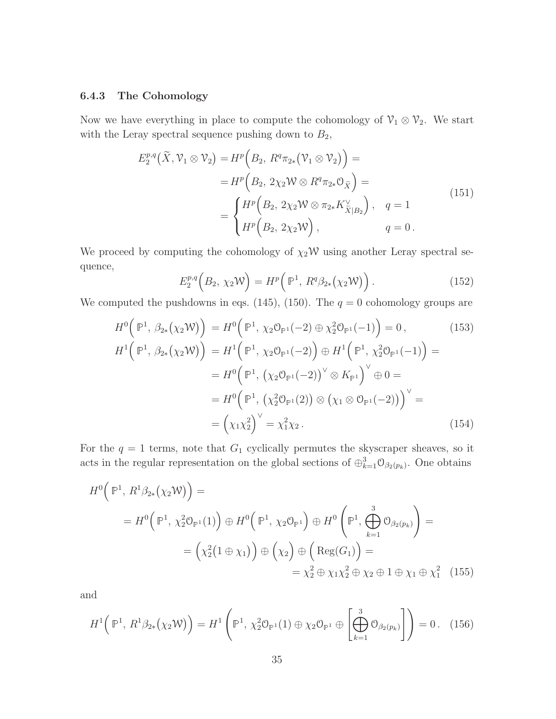#### 6.4.3 The Cohomology

Now we have everything in place to compute the cohomology of  $\mathcal{V}_1 \otimes \mathcal{V}_2$ . We start with the Leray spectral sequence pushing down to  $B_2$ ,

$$
E_2^{p,q}(\tilde{X}, \mathcal{V}_1 \otimes \mathcal{V}_2) = H^p\Big(B_2, R^q \pi_{2*}(\mathcal{V}_1 \otimes \mathcal{V}_2)\Big) =
$$
  
\n
$$
= H^p\Big(B_2, 2\chi_2 \mathcal{W} \otimes R^q \pi_{2*} \mathcal{O}_{\tilde{X}}\Big) =
$$
  
\n
$$
= \begin{cases} H^p\Big(B_2, 2\chi_2 \mathcal{W} \otimes \pi_{2*} K_{\tilde{X}|B_2}^{\vee}\Big), & q = 1 \\ H^p\Big(B_2, 2\chi_2 \mathcal{W}\Big), & q = 0. \end{cases}
$$
\n
$$
(151)
$$

We proceed by computing the cohomology of  $\chi_2\mathcal{W}$  using another Leray spectral sequence,

$$
E_2^{p,q}\left(B_2,\ \chi_2\mathcal{W}\right) = H^p\left(\mathbb{P}^1,\ R^q\beta_{2*}\left(\chi_2\mathcal{W}\right)\right). \tag{152}
$$

We computed the pushdowns in eqs. (145), (150). The  $q = 0$  cohomology groups are

$$
H^{0}(\mathbb{P}^{1}, \beta_{2*}(\chi_{2}W)) = H^{0}(\mathbb{P}^{1}, \chi_{2}\mathbb{O}_{\mathbb{P}^{1}}(-2) \oplus \chi_{2}^{2}\mathbb{O}_{\mathbb{P}^{1}}(-1)) = 0, \qquad (153)
$$
  
\n
$$
H^{1}(\mathbb{P}^{1}, \beta_{2*}(\chi_{2}W)) = H^{1}(\mathbb{P}^{1}, \chi_{2}\mathbb{O}_{\mathbb{P}^{1}}(-2)) \oplus H^{1}(\mathbb{P}^{1}, \chi_{2}^{2}\mathbb{O}_{\mathbb{P}^{1}}(-1)) =
$$
  
\n
$$
= H^{0}(\mathbb{P}^{1}, (\chi_{2}\mathbb{O}_{\mathbb{P}^{1}}(-2))^{\vee} \otimes K_{\mathbb{P}^{1}})^{\vee} \oplus 0 =
$$
  
\n
$$
= H^{0}(\mathbb{P}^{1}, (\chi_{2}^{2}\mathbb{O}_{\mathbb{P}^{1}}(2)) \otimes (\chi_{1} \otimes \mathbb{O}_{\mathbb{P}^{1}}(-2)))^{\vee} =
$$
  
\n
$$
= (\chi_{1}\chi_{2}^{2})^{\vee} = \chi_{1}^{2}\chi_{2}. \qquad (154)
$$

For the  $q = 1$  terms, note that  $G_1$  cyclically permutes the skyscraper sheaves, so it acts in the regular representation on the global sections of  $\oplus_{k=1}^3 \mathcal{O}_{\beta_2(p_k)}$ . One obtains

$$
H^{0}(\mathbb{P}^{1}, R^{1}\beta_{2*}(\chi_{2}W)) =
$$
  
=  $H^{0}(\mathbb{P}^{1}, \chi_{2}^{2} \mathbb{O}_{\mathbb{P}^{1}}(1)) \oplus H^{0}(\mathbb{P}^{1}, \chi_{2} \mathbb{O}_{\mathbb{P}^{1}}) \oplus H^{0}(\mathbb{P}^{1}, \bigoplus_{k=1}^{3} \mathbb{O}_{\beta_{2}(p_{k})}) =$   
=  $(\chi_{2}^{2}(1 \oplus \chi_{1})) \oplus (\chi_{2}) \oplus (\text{Reg}(G_{1})) =$   
=  $\chi_{2}^{2} \oplus \chi_{1}\chi_{2}^{2} \oplus \chi_{2} \oplus 1 \oplus \chi_{1} \oplus \chi_{1}^{2}$  (155)

and

$$
H^{1}(\mathbb{P}^{1}, R^{1}\beta_{2*}(\chi_{2}W)) = H^{1}(\mathbb{P}^{1}, \chi_{2}^{2}\mathbb{O}_{\mathbb{P}^{1}}(1) \oplus \chi_{2}\mathbb{O}_{\mathbb{P}^{1}} \oplus \left[\bigoplus_{k=1}^{3} \mathbb{O}_{\beta_{2}(p_{k})}\right]) = 0.
$$
 (156)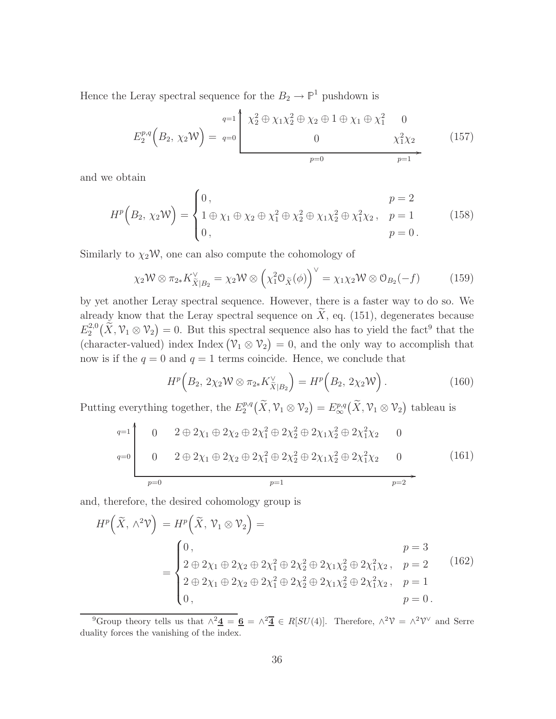Hence the Leray spectral sequence for the  $B_2 \to \mathbb{P}^1$  pushdown is

$$
E_2^{p,q}(B_2, \chi_2 W) = q=0 \begin{pmatrix} q=1 \\ \chi_2^2 \oplus \chi_1 \chi_2^2 \oplus \chi_2 \oplus 1 \oplus \chi_1 \oplus \chi_1^2 & 0 \\ 0 & \chi_1^2 \chi_2 & (157) \\ 0 & p=0 & p=1 \end{pmatrix}
$$

and we obtain

$$
H^{p}\left(B_{2}, \chi_{2} \mathcal{W}\right) = \begin{cases} 0, & p = 2 \\ 1 \oplus \chi_{1} \oplus \chi_{2} \oplus \chi_{1}^{2} \oplus \chi_{2}^{2} \oplus \chi_{1} \chi_{2}^{2} \oplus \chi_{1}^{2} \chi_{2}, & p = 1 \\ 0, & p = 0 \end{cases} \tag{158}
$$

Similarly to  $\chi_2$ W, one can also compute the cohomology of

$$
\chi_2 \mathcal{W} \otimes \pi_{2*} K_{\tilde{X}|B_2}^{\vee} = \chi_2 \mathcal{W} \otimes \left(\chi_1^2 \mathcal{O}_{\tilde{X}}(\phi)\right)^{\vee} = \chi_1 \chi_2 \mathcal{W} \otimes \mathcal{O}_{B_2}(-f) \tag{159}
$$

by yet another Leray spectral sequence. However, there is a faster way to do so. We already know that the Leray spectral sequence on  $\widetilde{X}$ , eq. (151), degenerates because  $E_2^{2,0}$  $2^{2,0}_2(\tilde{X}, \mathcal{V}_1 \otimes \mathcal{V}_2) = 0$ . But this spectral sequence also has to yield the fact<sup>9</sup> that the (character-valued) index Index  $(\mathcal{V}_1 \otimes \mathcal{V}_2) = 0$ , and the only way to accomplish that now is if the  $q = 0$  and  $q = 1$  terms coincide. Hence, we conclude that

$$
Hp(B2, 2\chi2 W \otimes \pi2* KVX|B2) = Hp(B2, 2\chi2 W).
$$
 (160)

Putting everything together, the  $E_2^{p,q}$  $L_2^{p,q}\big(\widetilde{X},\mathcal{V}_1\otimes\mathcal{V}_2\big)=E_{\infty}^{p,q}\big(\widetilde{X},\mathcal{V}_1\otimes\mathcal{V}_2\big)$  tableau is

$$
q=1
$$
\n
$$
0
$$
\n
$$
0
$$
\n
$$
0
$$
\n
$$
0
$$
\n
$$
0
$$
\n
$$
0
$$
\n
$$
0
$$
\n
$$
0
$$
\n
$$
2 \oplus 2\chi_1 \oplus 2\chi_2 \oplus 2\chi_1^2 \oplus 2\chi_2^2 \oplus 2\chi_1\chi_2^2 \oplus 2\chi_1^2\chi_2
$$
\n
$$
0
$$
\n
$$
0
$$
\n
$$
0
$$
\n
$$
0
$$
\n
$$
0
$$
\n
$$
0
$$
\n
$$
0
$$
\n
$$
0
$$
\n
$$
0
$$
\n
$$
0
$$
\n
$$
0
$$
\n
$$
0
$$
\n
$$
0
$$
\n
$$
0
$$
\n
$$
0
$$
\n
$$
0
$$
\n
$$
0
$$
\n
$$
0
$$
\n
$$
0
$$
\n
$$
0
$$
\n
$$
0
$$
\n
$$
0
$$
\n
$$
0
$$
\n
$$
0
$$
\n
$$
0
$$
\n
$$
0
$$
\n
$$
0
$$
\n
$$
0
$$
\n
$$
0
$$
\n
$$
0
$$
\n
$$
0
$$
\n
$$
0
$$
\n
$$
0
$$
\n
$$
0
$$
\n
$$
0
$$
\n
$$
0
$$
\n
$$
0
$$
\n
$$
0
$$
\n
$$
0
$$
\n
$$
0
$$
\n
$$
0
$$
\n
$$
0
$$
\n
$$
0
$$
\n
$$
0
$$
\n
$$
0
$$
\n
$$
0
$$
\n
$$
0
$$
\n
$$
0
$$
\n
$$
0
$$
\n
$$
0
$$
\n
$$
0
$$
\n
$$
0
$$
\n
$$
0
$$
\n

and, therefore, the desired cohomology group is

$$
H^{p}(\tilde{X}, \wedge^{2} \mathcal{V}) = H^{p}(\tilde{X}, \mathcal{V}_{1} \otimes \mathcal{V}_{2}) =
$$
\n
$$
= \begin{cases}\n0, & p = 3 \\
2 \oplus 2\chi_{1} \oplus 2\chi_{2} \oplus 2\chi_{1}^{2} \oplus 2\chi_{2}^{2} \oplus 2\chi_{1}\chi_{2}^{2} \oplus 2\chi_{1}^{2}\chi_{2}, & p = 2 \\
2 \oplus 2\chi_{1} \oplus 2\chi_{2} \oplus 2\chi_{1}^{2} \oplus 2\chi_{2}^{2} \oplus 2\chi_{1}\chi_{2}^{2} \oplus 2\chi_{1}^{2}\chi_{2}, & p = 1 \\
0, & p = 0.\n\end{cases}
$$
\n(162)

<sup>9</sup>Group theory tells us that  $\wedge^2 \mathbf{\underline{4}} = \mathbf{\underline{6}} = \wedge^2 \mathbf{\overline{4}} \in R[SU(4)]$ . Therefore,  $\wedge^2 \mathcal{V} = \wedge^2 \mathcal{V}^\vee$  and Serre duality forces the vanishing of the index.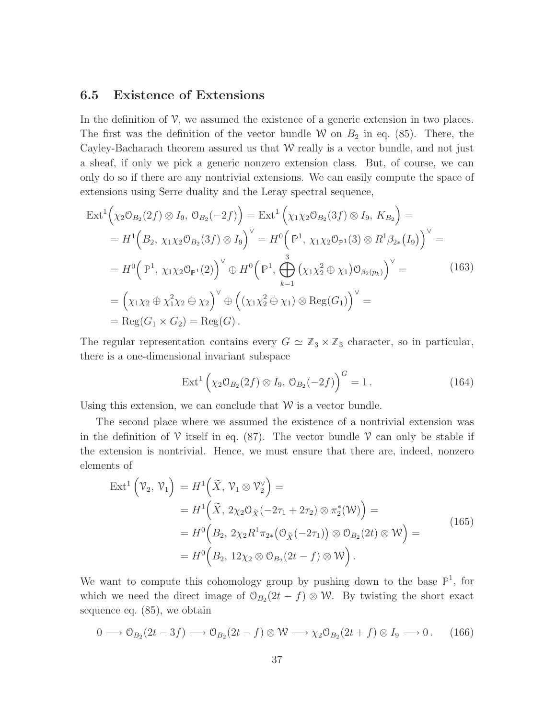#### 6.5 Existence of Extensions

In the definition of  $\mathcal{V}$ , we assumed the existence of a generic extension in two places. The first was the definition of the vector bundle W on  $B_2$  in eq. (85). There, the Cayley-Bacharach theorem assured us that  $W$  really is a vector bundle, and not just a sheaf, if only we pick a generic nonzero extension class. But, of course, we can only do so if there are any nontrivial extensions. We can easily compute the space of extensions using Serre duality and the Leray spectral sequence,

$$
\begin{split}\n\text{Ext}^{1}\Big(\chi_{2}\mathcal{O}_{B_{2}}(2f) \otimes I_{9}, \ \mathcal{O}_{B_{2}}(-2f)\Big) &= \text{Ext}^{1}\Big(\chi_{1}\chi_{2}\mathcal{O}_{B_{2}}(3f) \otimes I_{9}, \ K_{B_{2}}\Big) = \\
&= H^{1}\Big(B_{2}, \ \chi_{1}\chi_{2}\mathcal{O}_{B_{2}}(3f) \otimes I_{9}\Big)^{\vee} = H^{0}\Big(\mathbb{P}^{1}, \ \chi_{1}\chi_{2}\mathcal{O}_{\mathbb{P}^{1}}(3) \otimes R^{1}\beta_{2*}(I_{9})\Big)^{\vee} = \\
&= H^{0}\Big(\mathbb{P}^{1}, \ \chi_{1}\chi_{2}\mathcal{O}_{\mathbb{P}^{1}}(2)\Big)^{\vee} \oplus H^{0}\Big(\mathbb{P}^{1}, \bigoplus_{k=1}^{3} \left(\chi_{1}\chi_{2}^{2} \oplus \chi_{1}\right)\mathcal{O}_{\beta_{2}(p_{k})}\Big)^{\vee} = \\
&= \Big(\chi_{1}\chi_{2} \oplus \chi_{1}^{2}\chi_{2} \oplus \chi_{2}\Big)^{\vee} \oplus \Big((\chi_{1}\chi_{2}^{2} \oplus \chi_{1}) \otimes \text{Reg}(G_{1})\Big)^{\vee} = \\
&= \text{Reg}(G_{1} \times G_{2}) = \text{Reg}(G).\n\end{split}
$$
\n(163)

The regular representation contains every  $G \simeq \mathbb{Z}_3 \times \mathbb{Z}_3$  character, so in particular, there is a one-dimensional invariant subspace

$$
Ext^{1}\left(\chi_{2}\mathcal{O}_{B_{2}}(2f)\otimes I_{9}, \mathcal{O}_{B_{2}}(-2f)\right)^{G}=1.
$$
 (164)

Using this extension, we can conclude that  $W$  is a vector bundle.

The second place where we assumed the existence of a nontrivial extension was in the definition of  $\mathcal V$  itself in eq. (87). The vector bundle  $\mathcal V$  can only be stable if the extension is nontrivial. Hence, we must ensure that there are, indeed, nonzero elements of

$$
\operatorname{Ext}^{1}\left(\mathcal{V}_{2},\,\mathcal{V}_{1}\right) = H^{1}\left(\widetilde{X},\,\mathcal{V}_{1}\otimes\mathcal{V}_{2}^{\vee}\right) =
$$
\n
$$
= H^{1}\left(\widetilde{X},\,2\chi_{2}\mathcal{O}_{\widetilde{X}}\left(-2\tau_{1}+2\tau_{2}\right)\otimes\pi_{2}^{*}(\mathcal{W})\right) =
$$
\n
$$
= H^{0}\left(B_{2},\,2\chi_{2}R^{1}\pi_{2*}\left(\mathcal{O}_{\widetilde{X}}\left(-2\tau_{1}\right)\right)\otimes\mathcal{O}_{B_{2}}(2t)\otimes\mathcal{W}\right) =
$$
\n
$$
= H^{0}\left(B_{2},\,12\chi_{2}\otimes\mathcal{O}_{B_{2}}(2t-f)\otimes\mathcal{W}\right).
$$
\n(165)

We want to compute this cohomology group by pushing down to the base  $\mathbb{P}^1$ , for which we need the direct image of  $\mathcal{O}_{B_2}(2t-f) \otimes \mathcal{W}$ . By twisting the short exact sequence eq. (85), we obtain

$$
0 \longrightarrow \mathcal{O}_{B_2}(2t - 3f) \longrightarrow \mathcal{O}_{B_2}(2t - f) \otimes \mathcal{W} \longrightarrow \chi_2 \mathcal{O}_{B_2}(2t + f) \otimes I_9 \longrightarrow 0. \quad (166)
$$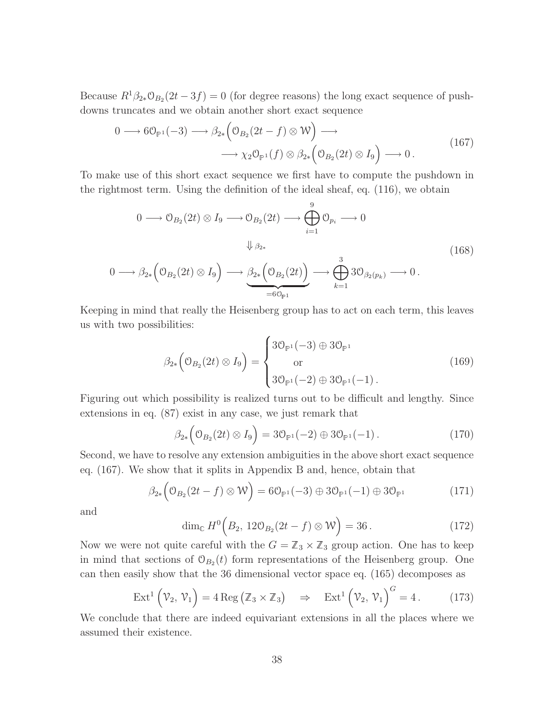Because  $R^1\beta_{2*}\mathcal{O}_{B_2}(2t-3f)=0$  (for degree reasons) the long exact sequence of pushdowns truncates and we obtain another short exact sequence

$$
0 \longrightarrow 6\mathcal{O}_{\mathbb{P}^1}(-3) \longrightarrow \beta_{2*}\left(\mathcal{O}_{B_2}(2t-f) \otimes \mathcal{W}\right) \longrightarrow
$$
  

$$
\longrightarrow \chi_2\mathcal{O}_{\mathbb{P}^1}(f) \otimes \beta_{2*}\left(\mathcal{O}_{B_2}(2t) \otimes I_9\right) \longrightarrow 0.
$$
 (167)

To make use of this short exact sequence we first have to compute the pushdown in the rightmost term. Using the definition of the ideal sheaf, eq. (116), we obtain

$$
0 \longrightarrow \mathcal{O}_{B_2}(2t) \otimes I_9 \longrightarrow \mathcal{O}_{B_2}(2t) \longrightarrow \bigoplus_{i=1}^9 \mathcal{O}_{p_i} \longrightarrow 0
$$
  

$$
\downarrow \beta_{2*}
$$
  

$$
0 \longrightarrow \beta_{2*} \left(\mathcal{O}_{B_2}(2t) \otimes I_9\right) \longrightarrow \underbrace{\beta_{2*} \left(\mathcal{O}_{B_2}(2t)\right)}_{=6\mathcal{O}_{\mathbb{P}^1}} \longrightarrow \bigoplus_{k=1}^3 3\mathcal{O}_{\beta_2(p_k)} \longrightarrow 0.
$$
  
(168)

Keeping in mind that really the Heisenberg group has to act on each term, this leaves us with two possibilities:

$$
\beta_{2*} \left( \mathcal{O}_{B_2}(2t) \otimes I_9 \right) = \begin{cases} 3\mathcal{O}_{\mathbb{P}^1}(-3) \oplus 3\mathcal{O}_{\mathbb{P}^1} \\ \text{or} \\ 3\mathcal{O}_{\mathbb{P}^1}(-2) \oplus 3\mathcal{O}_{\mathbb{P}^1}(-1) \,. \end{cases} \tag{169}
$$

Figuring out which possibility is realized turns out to be difficult and lengthy. Since extensions in eq. (87) exist in any case, we just remark that

$$
\beta_{2*}\left(\mathcal{O}_{B_2}(2t)\otimes I_9\right)=3\mathcal{O}_{\mathbb{P}^1}(-2)\oplus 3\mathcal{O}_{\mathbb{P}^1}(-1).
$$
\n(170)

Second, we have to resolve any extension ambiguities in the above short exact sequence eq. (167). We show that it splits in Appendix B and, hence, obtain that

$$
\beta_{2*} \left( \mathfrak{O}_{B_2}(2t - f) \otimes \mathcal{W} \right) = 6 \mathfrak{O}_{\mathbb{P}^1}(-3) \oplus 3 \mathfrak{O}_{\mathbb{P}^1}(-1) \oplus 3 \mathfrak{O}_{\mathbb{P}^1}
$$
(171)

and

$$
\dim_{\mathbb{C}} H^0\Big(B_2, 12\mathcal{O}_{B_2}(2t-f)\otimes \mathcal{W}\Big)=36. \tag{172}
$$

Now we were not quite careful with the  $G = \mathbb{Z}_3 \times \mathbb{Z}_3$  group action. One has to keep in mind that sections of  $\mathcal{O}_{B_2}(t)$  form representations of the Heisenberg group. One can then easily show that the 36 dimensional vector space eq. (165) decomposes as

$$
\operatorname{Ext}^{1}\left(\mathcal{V}_{2},\,\mathcal{V}_{1}\right)=4\operatorname{Reg}\left(\mathbb{Z}_{3}\times\mathbb{Z}_{3}\right)\quad\Rightarrow\quad\operatorname{Ext}^{1}\left(\mathcal{V}_{2},\,\mathcal{V}_{1}\right)^{G}=4\,. \tag{173}
$$

We conclude that there are indeed equivariant extensions in all the places where we assumed their existence.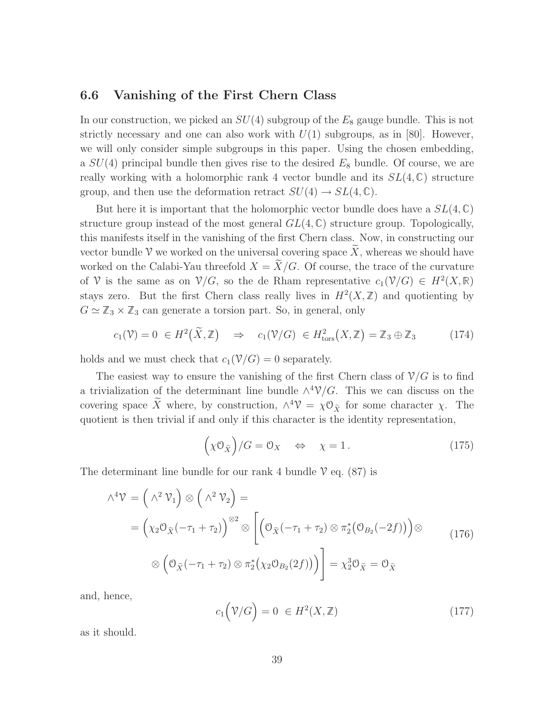#### 6.6 Vanishing of the First Chern Class

In our construction, we picked an  $SU(4)$  subgroup of the  $E_8$  gauge bundle. This is not strictly necessary and one can also work with  $U(1)$  subgroups, as in [80]. However, we will only consider simple subgroups in this paper. Using the chosen embedding, a  $SU(4)$  principal bundle then gives rise to the desired  $E_8$  bundle. Of course, we are really working with a holomorphic rank 4 vector bundle and its  $SL(4,\mathbb{C})$  structure group, and then use the deformation retract  $SU(4) \rightarrow SL(4, \mathbb{C})$ .

But here it is important that the holomorphic vector bundle does have a  $SL(4,\mathbb{C})$ structure group instead of the most general  $GL(4,\mathbb{C})$  structure group. Topologically, this manifests itself in the vanishing of the first Chern class. Now, in constructing our vector bundle V we worked on the universal covering space  $\widetilde{X}$ , whereas we should have worked on the Calabi-Yau threefold  $X = \widetilde{X}/G$ . Of course, the trace of the curvature of V is the same as on  $\mathcal{V}/G$ , so the de Rham representative  $c_1(\mathcal{V}/G) \in H^2(X,\mathbb{R})$ stays zero. But the first Chern class really lives in  $H^2(X,\mathbb{Z})$  and quotienting by  $G \simeq \mathbb{Z}_3 \times \mathbb{Z}_3$  can generate a torsion part. So, in general, only

$$
c_1(\mathcal{V}) = 0 \in H^2(\widetilde{X}, \mathbb{Z}) \quad \Rightarrow \quad c_1(\mathcal{V}/G) \in H^2_{\text{tors}}(X, \mathbb{Z}) = \mathbb{Z}_3 \oplus \mathbb{Z}_3 \tag{174}
$$

holds and we must check that  $c_1(\mathcal{V}/G) = 0$  separately.

The easiest way to ensure the vanishing of the first Chern class of  $\mathcal{V}/G$  is to find a trivialization of the determinant line bundle  $\wedge^4$  $\mathcal{V}/G$ . This we can discuss on the covering space  $\widetilde{X}$  where, by construction,  $\wedge^4 \mathcal{V} = \chi \mathcal{O}_{\widetilde{X}}$  for some character  $\chi$ . The quotient is then trivial if and only if this character is the identity representation,

$$
(\chi \mathcal{O}_{\tilde{X}})/G = \mathcal{O}_X \quad \Leftrightarrow \quad \chi = 1. \tag{175}
$$

The determinant line bundle for our rank 4 bundle  $\mathcal V$  eq. (87) is

$$
\Lambda^4 \mathcal{V} = (\Lambda^2 \mathcal{V}_1) \otimes (\Lambda^2 \mathcal{V}_2) =
$$
  
= 
$$
(\chi_2 \mathcal{O}_{\tilde{X}}(-\tau_1 + \tau_2))^{\otimes 2} \otimes [(\mathcal{O}_{\tilde{X}}(-\tau_1 + \tau_2) \otimes \pi_2^*(\mathcal{O}_{B_2}(-2f))) \otimes (\mathcal{O}_{\tilde{X}}(-\tau_1 + \tau_2) \otimes \pi_2^*(\chi_2 \mathcal{O}_{B_2}(2f)))] = \chi_2^3 \mathcal{O}_{\tilde{X}} = \mathcal{O}_{\tilde{X}}
$$
 (176)

and, hence,

$$
c_1(\mathcal{V}/G) = 0 \in H^2(X, \mathbb{Z}) \tag{177}
$$

as it should.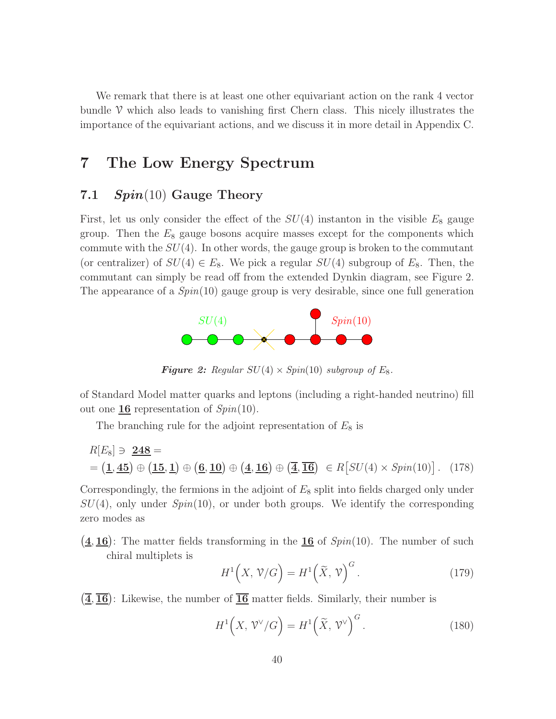We remark that there is at least one other equivariant action on the rank 4 vector bundle  $\mathcal V$  which also leads to vanishing first Chern class. This nicely illustrates the importance of the equivariant actions, and we discuss it in more detail in Appendix C.

## 7 The Low Energy Spectrum

#### 7.1  $Spin(10)$  Gauge Theory

First, let us only consider the effect of the  $SU(4)$  instanton in the visible  $E_8$  gauge group. Then the  $E_8$  gauge bosons acquire masses except for the components which commute with the  $SU(4)$ . In other words, the gauge group is broken to the commutant (or centralizer) of  $SU(4) \in E_8$ . We pick a regular  $SU(4)$  subgroup of  $E_8$ . Then, the commutant can simply be read off from the extended Dynkin diagram, see Figure 2. The appearance of a *Spin*(10) gauge group is very desirable, since one full generation



**Figure 2:** Regular  $SU(4) \times Spin(10)$  subgroup of  $E_8$ .

of Standard Model matter quarks and leptons (including a right-handed neutrino) fill out one 16 representation of *Spin*(10).

The branching rule for the adjoint representation of  $E_8$  is

$$
R[E_8] \ni \underline{248} =
$$
  
=  $(\underline{1}, \underline{45}) \oplus (\underline{15}, \underline{1}) \oplus (\underline{6}, \underline{10}) \oplus (\underline{4}, \underline{16}) \oplus (\overline{\underline{4}}, \overline{\underline{16}}) \in R[SU(4) \times Spin(10)]$ . (178)

Correspondingly, the fermions in the adjoint of  $E_8$  split into fields charged only under SU(4), only under *Spin*(10), or under both groups. We identify the corresponding zero modes as

 $(4, 16)$ : The matter fields transforming in the 16 of  $Spin(10)$ . The number of such chiral multiplets is

$$
H^{1}\left(X,\mathcal{V}/G\right) = H^{1}\left(\widetilde{X},\mathcal{V}\right)^{G}.
$$
 (179)

 $(\overline{4}, \overline{16})$ : Likewise, the number of  $\overline{16}$  matter fields. Similarly, their number is

$$
H^{1}\left(X, \mathcal{V}^{\vee}/G\right) = H^{1}\left(\widetilde{X}, \mathcal{V}^{\vee}\right)^{G}.
$$
 (180)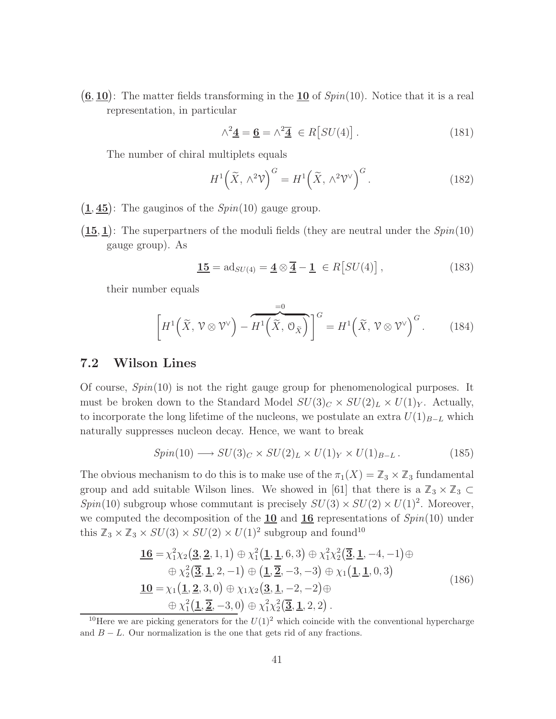$(6, 10)$ : The matter fields transforming in the 10 of  $Spin(10)$ . Notice that it is a real representation, in particular

$$
\wedge^2 \mathbf{\underline{4}} = \mathbf{\underline{6}} = \wedge^2 \mathbf{\overline{4}} \in R[SU(4)] \,. \tag{181}
$$

The number of chiral multiplets equals

$$
H^{1}\left(\widetilde{X}, \wedge^{2} \mathcal{V}\right)^{G} = H^{1}\left(\widetilde{X}, \wedge^{2} \mathcal{V}^{\vee}\right)^{G}.
$$
 (182)

- $(1, 45)$ : The gauginos of the  $Spin(10)$  gauge group.
- $(15, 1)$ : The superpartners of the moduli fields (they are neutral under the  $Spin(10)$ gauge group). As

$$
\underline{\mathbf{15}} = \mathrm{ad}_{SU(4)} = \underline{\mathbf{4}} \otimes \overline{\underline{\mathbf{4}}} - \underline{\mathbf{1}} \in R[SU(4)], \qquad (183)
$$

their number equals

$$
\left[H^1\left(\widetilde{X},\,\mathcal{V}\otimes\mathcal{V}^{\vee}\right)-\widetilde{H^1\left(\widetilde{X},\,\mathcal{O}_{\widetilde{X}}\right)}\right]^G=H^1\left(\widetilde{X},\,\mathcal{V}\otimes\mathcal{V}^{\vee}\right)^G.\qquad(184)
$$

#### 7.2 Wilson Lines

Of course, *Spin*(10) is not the right gauge group for phenomenological purposes. It must be broken down to the Standard Model  $SU(3)_C \times SU(2)_L \times U(1)_Y$ . Actually, to incorporate the long lifetime of the nucleons, we postulate an extra  $U(1)_{B-L}$  which naturally suppresses nucleon decay. Hence, we want to break

$$
Spin(10) \longrightarrow SU(3)_C \times SU(2)_L \times U(1)_Y \times U(1)_{B-L} \,. \tag{185}
$$

The obvious mechanism to do this is to make use of the  $\pi_1(X) = \mathbb{Z}_3 \times \mathbb{Z}_3$  fundamental group and add suitable Wilson lines. We showed in [61] that there is a  $\mathbb{Z}_3 \times \mathbb{Z}_3 \subset$  $Spin(10)$  subgroup whose commutant is precisely  $SU(3) \times SU(2) \times U(1)^2$ . Moreover, we computed the decomposition of the **10** and **16** representations of  $Spin(10)$  under this  $\mathbb{Z}_3 \times \mathbb{Z}_3 \times SU(3) \times SU(2) \times U(1)^2$  subgroup and found<sup>10</sup>

$$
\mathbf{\underline{16}} = \chi_1^2 \chi_2 \big( \mathbf{\underline{3}}, \mathbf{\underline{2}}, 1, 1 \big) \oplus \chi_1^2 \big( \mathbf{\underline{1}}, \mathbf{\underline{1}}, 6, 3 \big) \oplus \chi_1^2 \chi_2^2 \big( \mathbf{\overline{3}}, \mathbf{\underline{1}}, -4, -1 \big) \oplus \n\oplus \chi_2^2 \big( \mathbf{\overline{3}}, \mathbf{\underline{1}}, 2, -1 \big) \oplus \big( \mathbf{\underline{1}}, \mathbf{\overline{2}}, -3, -3 \big) \oplus \chi_1 \big( \mathbf{\underline{1}}, \mathbf{\underline{1}}, 0, 3 \big) \n\mathbf{\underline{10}} = \chi_1 \big( \mathbf{\underline{1}}, \mathbf{\underline{2}}, 3, 0 \big) \oplus \chi_1 \chi_2 \big( \mathbf{\underline{3}}, \mathbf{\underline{1}}, -2, -2 \big) \oplus \n\oplus \chi_1^2 \big( \mathbf{\underline{1}}, \mathbf{\overline{2}}, -3, 0 \big) \oplus \chi_1^2 \chi_2^2 \big( \mathbf{\overline{3}}, \mathbf{\underline{1}}, 2, 2 \big).
$$
\n(186)

<sup>&</sup>lt;sup>10</sup>Here we are picking generators for the  $U(1)^2$  which coincide with the conventional hypercharge and  $B - L$ . Our normalization is the one that gets rid of any fractions.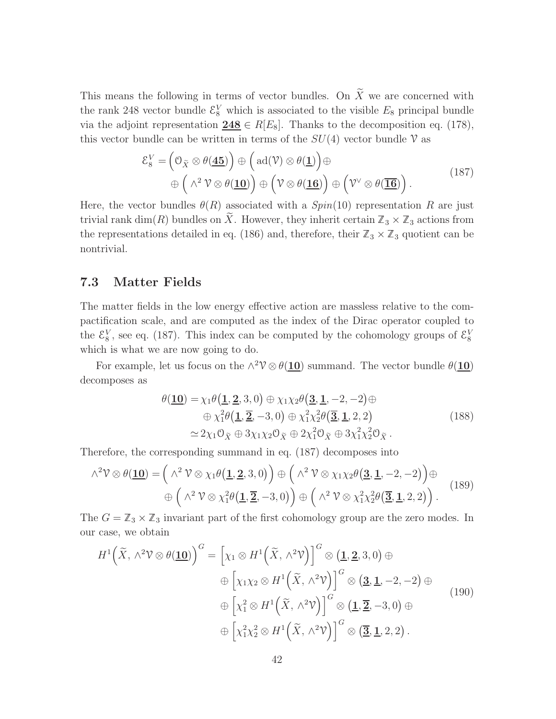This means the following in terms of vector bundles. On  $\widetilde{X}$  we are concerned with the rank 248 vector bundle  $\mathcal{E}_8^V$  which is associated to the visible  $E_8$  principal bundle via the adjoint representation  $248 \in R[E_8]$ . Thanks to the decomposition eq. (178), this vector bundle can be written in terms of the  $SU(4)$  vector bundle V as

$$
\mathcal{E}_8^V = \left(\mathcal{O}_{\widetilde{X}} \otimes \theta(\underline{\mathbf{45}})\right) \oplus \left(\text{ad}(\mathcal{V}) \otimes \theta(\underline{\mathbf{1}})\right) \oplus \oplus \left(\wedge^2 \mathcal{V} \otimes \theta(\underline{\mathbf{10}})\right) \oplus \left(\mathcal{V} \otimes \theta(\underline{\mathbf{16}})\right) \oplus \left(\mathcal{V}^{\vee} \otimes \theta(\overline{\underline{\mathbf{16}}})\right).
$$
\n(187)

Here, the vector bundles  $\theta(R)$  associated with a  $Spin(10)$  representation R are just trivial rank dim(R) bundles on  $\widetilde{X}$ . However, they inherit certain  $\mathbb{Z}_3 \times \mathbb{Z}_3$  actions from the representations detailed in eq. (186) and, therefore, their  $\mathbb{Z}_3 \times \mathbb{Z}_3$  quotient can be nontrivial.

#### 7.3 Matter Fields

The matter fields in the low energy effective action are massless relative to the compactification scale, and are computed as the index of the Dirac operator coupled to the  $\mathcal{E}_8^V$ , see eq. (187). This index can be computed by the cohomology groups of  $\mathcal{E}_8^V$ which is what we are now going to do.

For example, let us focus on the  $\wedge^2 V \otimes \theta(10)$  summand. The vector bundle  $\theta(10)$ decomposes as

$$
\theta(\underline{\mathbf{10}}) = \chi_1 \theta(\underline{\mathbf{1}}, \underline{\mathbf{2}}, 3, 0) \oplus \chi_1 \chi_2 \theta(\underline{\mathbf{3}}, \underline{\mathbf{1}}, -2, -2) \oplus \n\oplus \chi_1^2 \theta(\underline{\mathbf{1}}, \underline{\mathbf{2}}, -3, 0) \oplus \chi_1^2 \chi_2^2 \theta(\underline{\mathbf{3}}, \underline{\mathbf{1}}, 2, 2) \n\simeq 2\chi_1 \mathcal{O}_{\tilde{X}} \oplus 3\chi_1 \chi_2 \mathcal{O}_{\tilde{X}} \oplus 2\chi_1^2 \mathcal{O}_{\tilde{X}} \oplus 3\chi_1^2 \chi_2^2 \mathcal{O}_{\tilde{X}}.
$$
\n(188)

Therefore, the corresponding summand in eq. (187) decomposes into

$$
\wedge^2 \mathcal{V} \otimes \theta(\underline{\mathbf{10}}) = (\wedge^2 \mathcal{V} \otimes \chi_1 \theta(\underline{\mathbf{1}}, \underline{\mathbf{2}}, 3, 0)) \oplus (\wedge^2 \mathcal{V} \otimes \chi_1 \chi_2 \theta(\underline{\mathbf{3}}, \underline{\mathbf{1}}, -2, -2)) \oplus (\wedge^2 \mathcal{V} \otimes \chi_1^2 \theta(\underline{\mathbf{1}}, \underline{\mathbf{2}}, -3, 0)) \oplus (\wedge^2 \mathcal{V} \otimes \chi_1^2 \chi_2^2 \theta(\underline{\mathbf{3}}, \underline{\mathbf{1}}, 2, 2)).
$$
\n(189)

The  $G = \mathbb{Z}_3 \times \mathbb{Z}_3$  invariant part of the first cohomology group are the zero modes. In our case, we obtain

$$
H^{1}(\tilde{X}, \wedge^{2} \mathcal{V} \otimes \theta(\underline{\mathbf{10}}))^{G} = \left[\chi_{1} \otimes H^{1}(\tilde{X}, \wedge^{2} \mathcal{V})\right]^{G} \otimes (\underline{\mathbf{1}}, \underline{\mathbf{2}}, 3, 0) \oplus
$$
  
\n
$$
\oplus \left[\chi_{1} \chi_{2} \otimes H^{1}(\tilde{X}, \wedge^{2} \mathcal{V})\right]^{G} \otimes (\underline{\mathbf{3}}, \underline{\mathbf{1}}, -2, -2) \oplus
$$
  
\n
$$
\oplus \left[\chi_{1}^{2} \otimes H^{1}(\tilde{X}, \wedge^{2} \mathcal{V})\right]^{G} \otimes (\underline{\mathbf{1}}, \underline{\overline{\mathbf{2}}}, -3, 0) \oplus
$$
  
\n
$$
\oplus \left[\chi_{1}^{2} \chi_{2}^{2} \otimes H^{1}(\tilde{X}, \wedge^{2} \mathcal{V})\right]^{G} \otimes (\underline{\overline{\mathbf{3}}, \underline{\mathbf{1}}}, 2, 2).
$$
  
\n(190)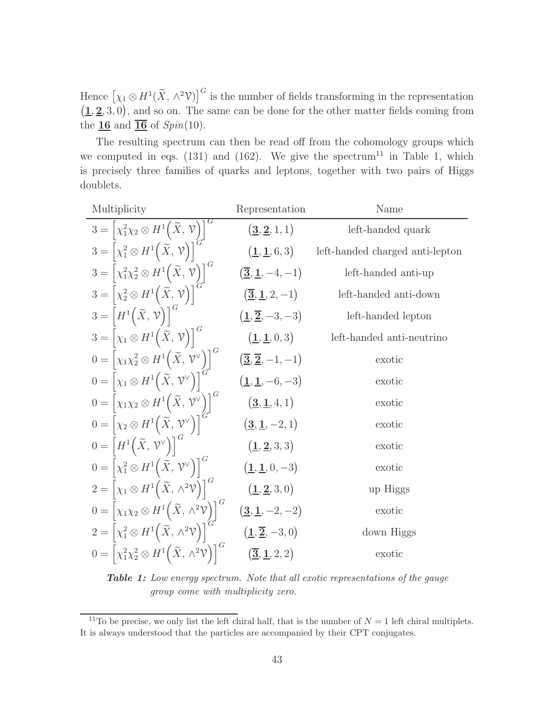Hence  $[\chi_1 \otimes H^1(\widetilde{X}, \wedge^2 \mathcal{V})]^G$  is the number of fields transforming in the representation  $(1, 2, 3, 0)$ , and so on. The same can be done for the other matter fields coming from the  $16$  and  $\overline{16}$  of  $Spin(10)$ .

The resulting spectrum can then be read off from the cohomology groups which we computed in eqs.  $(131)$  and  $(162)$ . We give the spectrum<sup>11</sup> in Table 1, which is precisely three families of quarks and leptons, together with two pairs of Higgs doublets.

| Multiplicity                                                                                       | Representation                                                   | Name                            |  |
|----------------------------------------------------------------------------------------------------|------------------------------------------------------------------|---------------------------------|--|
| $3 = \left[\chi_1^2 \chi_2 \otimes H^1\left(\widetilde{X}, \mathcal{V}\right)\right]^G$            | $({\bf 3},{\bf 2},1,1)$                                          | left-handed quark               |  |
| $3 = \left[\chi_1^2 \otimes H^1(\widetilde{X}, \mathcal{V})\right]$                                | (1, 1, 6, 3)                                                     | left-handed charged anti-lepton |  |
| $3 = \left[\chi_1^2 \chi_2^2 \otimes H^1\left(\widetilde{X}, \mathcal{V}\right)\right]^G$          | $(\overline{\bf 3}, \underline{\bf 1}, -4, -1)$                  | left-handed anti-up             |  |
| $3 = \left[\chi_2^2 \otimes H^1(\widetilde{X}, \mathcal{V})\right]$                                | $(\overline{\bf{3}}, \bf{\underline{1}}, 2, -1)$                 | left-handed anti-down           |  |
| $3 = [H^1(\widetilde{X}, \mathcal{V})]^6$                                                          | $(\underline{1}, \overline{2}, -3, -3)$                          | left-handed lepton              |  |
| $3 = [\chi_1 \otimes H^1(\widetilde{X}, \mathcal{V})]^G$                                           | $(\underline{1}, \underline{1}, 0, 3)$                           | left-handed anti-neutrino       |  |
| $0 = [\chi_1 \chi_2^2 \otimes H^1(\widetilde{X}, \mathcal{V}^{\vee})]^G$                           | $\left(\overline{\mathbf{3}},\overline{\mathbf{2}},-1,-1\right)$ | exotic                          |  |
| $0 = \left[\chi_1 \otimes H^1\left(\widetilde{X}, \mathcal{V}^\vee\right)\right]^G$                | $(1, 1, -6, -3)$                                                 | exotic                          |  |
| $0 = \left[ \chi_1 \chi_2 \otimes H^1 \left( \widetilde{X}, \sqrt{\nu} \right) \right]^G$          | $({\bf 3},{\bf 1},4,1)$                                          | exotic                          |  |
| $0 = \left[\chi_2 \otimes H^1(\widetilde{X}, \mathcal{V}^{\vee})\right]$                           | $(\underline{\mathbf{3}}, \underline{\mathbf{1}}, -2, 1)$        | exotic                          |  |
| $0 = \left  H^1\left(\widetilde{X}, \mathcal{V}^\vee\right) \right ^G$                             | (1, 2, 3, 3)                                                     | exotic                          |  |
| $0 = \left[\chi_1^2 \otimes H^1(\widetilde{X}, \mathcal{V}^{\vee})\right]^G$                       | $(\underline{1}, \underline{1}, 0, -3)$                          | exotic                          |  |
| $2 = \left[\chi_1 \otimes H^1\left(\widetilde{X}, \wedge^2 \mathcal{V}\right)\right]^G$            | $({\bf 1},{\bf 2},3,0)$                                          | up Higgs                        |  |
| $0 = [\chi_1 \chi_2 \otimes H^1(\widetilde{X}, \wedge^2 \mathcal{V})]^G$                           | $(\underline{3}, \underline{1}, -2, -2)$                         | exotic                          |  |
| $2 = \left[\chi_1^2 \otimes H^1(\widetilde{X}, \wedge^2 \mathcal{V})\right]$                       | $(\underline{1}, \overline{2}, -3, 0)$                           | down Higgs                      |  |
| $0 = \left[\chi_1^2 \chi_2^2 \otimes H^1\left(\widetilde{X}, \wedge^2 \mathcal{V}\right)\right]^G$ | $({\bf \bar{3}},{\bf \underline{1}},2,2)$                        | exotic                          |  |

Table 1: Low energy spectrum. Note that all exotic representations of the gauge group come with multiplicity zero.

<sup>&</sup>lt;sup>11</sup>To be precise, we only list the left chiral half, that is the number of  $N = 1$  left chiral multiplets. It is always understood that the particles are accompanied by their CPT conjugates.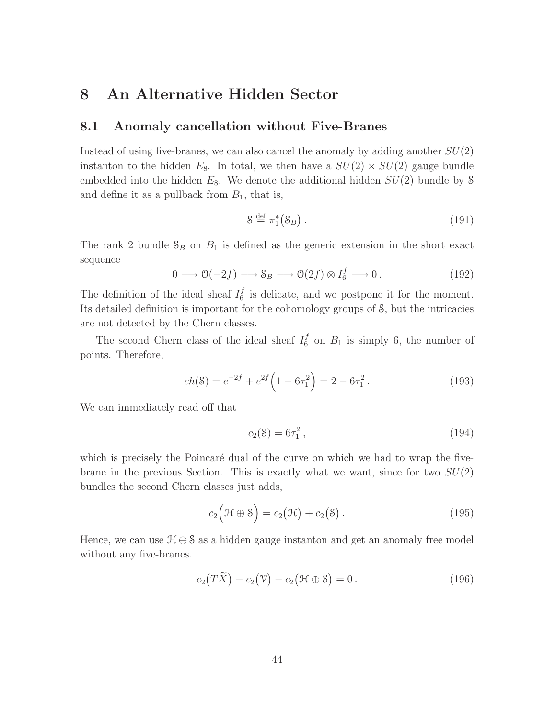## 8 An Alternative Hidden Sector

#### 8.1 Anomaly cancellation without Five-Branes

Instead of using five-branes, we can also cancel the anomaly by adding another  $SU(2)$ instanton to the hidden  $E_8$ . In total, we then have a  $SU(2) \times SU(2)$  gauge bundle embedded into the hidden  $E_8$ . We denote the additional hidden  $SU(2)$  bundle by S and define it as a pullback from  $B_1$ , that is,

$$
\mathcal{S} \stackrel{\text{def}}{=} \pi_1^*(\mathcal{S}_B). \tag{191}
$$

The rank 2 bundle  $S_B$  on  $B_1$  is defined as the generic extension in the short exact sequence

$$
0 \longrightarrow \mathcal{O}(-2f) \longrightarrow \mathcal{S}_B \longrightarrow \mathcal{O}(2f) \otimes I_6^f \longrightarrow 0.
$$
 (192)

The definition of the ideal sheaf  $I_6^f$  $\frac{J}{6}$  is delicate, and we postpone it for the moment. Its detailed definition is important for the cohomology groups of S, but the intricacies are not detected by the Chern classes.

The second Chern class of the ideal sheaf  $I_6^f$  $\binom{J}{6}$  on  $B_1$  is simply 6, the number of points. Therefore,

$$
ch(S) = e^{-2f} + e^{2f} \left( 1 - 6\tau_1^2 \right) = 2 - 6\tau_1^2. \tag{193}
$$

We can immediately read off that

$$
c_2(8) = 6\tau_1^2, \tag{194}
$$

which is precisely the Poincaré dual of the curve on which we had to wrap the fivebrane in the previous Section. This is exactly what we want, since for two  $SU(2)$ bundles the second Chern classes just adds,

$$
c_2(\mathcal{H} \oplus \mathcal{S}) = c_2(\mathcal{H}) + c_2(\mathcal{S}). \qquad (195)
$$

Hence, we can use  $\mathcal{H} \oplus \mathcal{S}$  as a hidden gauge instanton and get an anomaly free model without any five-branes.

$$
c_2(T\widetilde{X}) - c_2(\mathcal{V}) - c_2(\mathcal{H} \oplus \mathcal{S}) = 0.
$$
\n(196)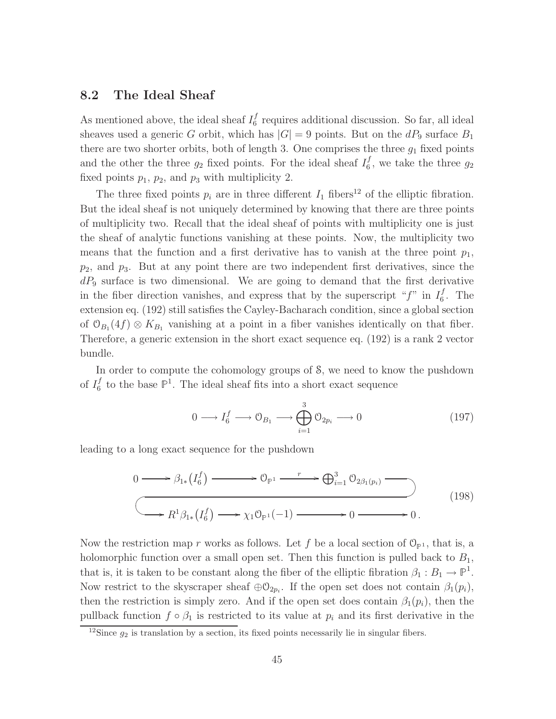#### 8.2 The Ideal Sheaf

As mentioned above, the ideal sheaf  $I_6^f$  $\frac{J}{6}$  requires additional discussion. So far, all ideal sheaves used a generic G orbit, which has  $|G| = 9$  points. But on the  $dP_9$  surface  $B_1$ there are two shorter orbits, both of length 3. One comprises the three  $g_1$  fixed points and the other the three  $g_2$  fixed points. For the ideal sheaf  $I_6^f$  $\epsilon_6^J$ , we take the three  $g_2$ fixed points  $p_1$ ,  $p_2$ , and  $p_3$  with multiplicity 2.

The three fixed points  $p_i$  are in three different  $I_1$  fibers<sup>12</sup> of the elliptic fibration. But the ideal sheaf is not uniquely determined by knowing that there are three points of multiplicity two. Recall that the ideal sheaf of points with multiplicity one is just the sheaf of analytic functions vanishing at these points. Now, the multiplicity two means that the function and a first derivative has to vanish at the three point  $p_1$ ,  $p_2$ , and  $p_3$ . But at any point there are two independent first derivatives, since the  $dP_9$  surface is two dimensional. We are going to demand that the first derivative in the fiber direction vanishes, and express that by the superscript " $f$ " in  $I_6^f$  $\frac{J}{6}$ . The extension eq. (192) still satisfies the Cayley-Bacharach condition, since a global section of  $\mathcal{O}_{B_1}(4f) \otimes K_{B_1}$  vanishing at a point in a fiber vanishes identically on that fiber. Therefore, a generic extension in the short exact sequence eq. (192) is a rank 2 vector bundle.

In order to compute the cohomology groups of S, we need to know the pushdown of  $I_6^f$  $\mathcal{F}_6^f$  to the base  $\mathbb{P}^1$ . The ideal sheaf fits into a short exact sequence

$$
0 \longrightarrow I_6^f \longrightarrow \mathcal{O}_{B_1} \longrightarrow \bigoplus_{i=1}^3 \mathcal{O}_{2p_i} \longrightarrow 0
$$
 (197)

leading to a long exact sequence for the pushdown

$$
0 \longrightarrow \beta_{1*}(I_6^f) \longrightarrow \mathcal{O}_{\mathbb{P}^1} \longrightarrow \bigoplus_{i=1}^3 \mathcal{O}_{2\beta_1(p_i)} \longrightarrow
$$
  

$$
\longrightarrow R^1 \beta_{1*}(I_6^f) \longrightarrow \chi_1 \mathcal{O}_{\mathbb{P}^1}(-1) \longrightarrow 0 \longrightarrow 0.
$$
 (198)

Now the restriction map r works as follows. Let f be a local section of  $\mathcal{O}_{\mathbb{P}^1}$ , that is, a holomorphic function over a small open set. Then this function is pulled back to  $B_1$ , that is, it is taken to be constant along the fiber of the elliptic fibration  $\beta_1 : B_1 \to \mathbb{P}^1$ . Now restrict to the skyscraper sheaf  $\oplus \mathcal{O}_{2p_i}$ . If the open set does not contain  $\beta_1(p_i)$ , then the restriction is simply zero. And if the open set does contain  $\beta_1(p_i)$ , then the pullback function  $f \circ \beta_1$  is restricted to its value at  $p_i$  and its first derivative in the

<sup>&</sup>lt;sup>12</sup>Since  $g_2$  is translation by a section, its fixed points necessarily lie in singular fibers.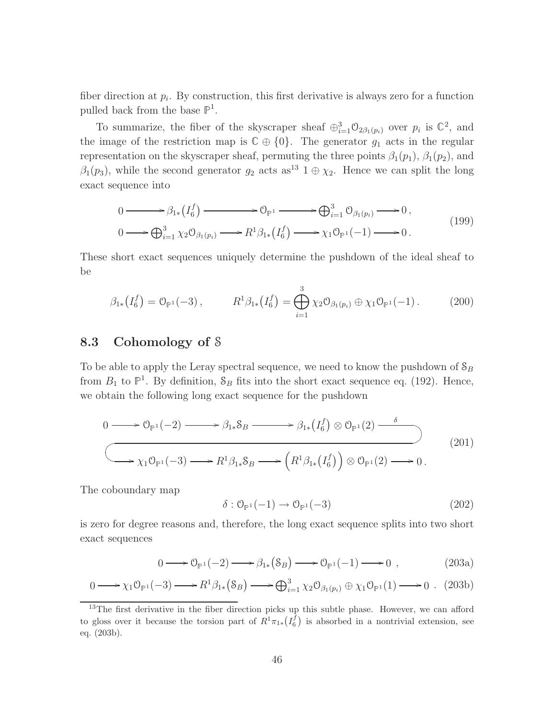fiber direction at  $p_i$ . By construction, this first derivative is always zero for a function pulled back from the base  $\mathbb{P}^1$ .

To summarize, the fiber of the skyscraper sheaf  $\oplus_{i=1}^{3} \mathcal{O}_{2\beta_1(p_i)}$  over  $p_i$  is  $\mathbb{C}^2$ , and the image of the restriction map is  $\mathbb{C} \oplus \{0\}$ . The generator  $g_1$  acts in the regular representation on the skyscraper sheaf, permuting the three points  $\beta_1(p_1)$ ,  $\beta_1(p_2)$ , and  $\beta_1(p_3)$ , while the second generator  $g_2$  acts as<sup>13</sup> 1  $\oplus \chi_2$ . Hence we can split the long exact sequence into

$$
0 \longrightarrow \beta_{1*}(I_6^f) \longrightarrow \mathcal{O}_{\mathbb{P}^1} \longrightarrow \bigoplus_{i=1}^3 \mathcal{O}_{\beta_1(p_i)} \longrightarrow 0,
$$
  
\n
$$
0 \longrightarrow \bigoplus_{i=1}^3 \chi_2 \mathcal{O}_{\beta_1(p_i)} \longrightarrow R^1 \beta_{1*}(I_6^f) \longrightarrow \chi_1 \mathcal{O}_{\mathbb{P}^1}(-1) \longrightarrow 0.
$$
\n
$$
(199)
$$

These short exact sequences uniquely determine the pushdown of the ideal sheaf to be

$$
\beta_{1*}(I_6^f) = \mathcal{O}_{\mathbb{P}^1}(-3), \qquad R^1 \beta_{1*}(I_6^f) = \bigoplus_{i=1}^3 \chi_2 \mathcal{O}_{\beta_1(p_i)} \oplus \chi_1 \mathcal{O}_{\mathbb{P}^1}(-1). \qquad (200)
$$

### 8.3 Cohomology of S

To be able to apply the Leray spectral sequence, we need to know the pushdown of  $S_B$ from  $B_1$  to  $\mathbb{P}^1$ . By definition,  $\mathcal{S}_B$  fits into the short exact sequence eq. (192). Hence, we obtain the following long exact sequence for the pushdown

$$
0 \longrightarrow \mathcal{O}_{\mathbb{P}^1}(-2) \longrightarrow \beta_{1*} \mathcal{S}_B \longrightarrow \beta_{1*} (I_6^f) \otimes \mathcal{O}_{\mathbb{P}^1}(2) \longrightarrow
$$
  

$$
\longrightarrow \chi_1 \mathcal{O}_{\mathbb{P}^1}(-3) \longrightarrow R^1 \beta_{1*} \mathcal{S}_B \longrightarrow \left( R^1 \beta_{1*} (I_6^f) \right) \otimes \mathcal{O}_{\mathbb{P}^1}(2) \longrightarrow 0.
$$
 (201)

The coboundary map

$$
\delta: \mathcal{O}_{\mathbb{P}^1}(-1) \to \mathcal{O}_{\mathbb{P}^1}(-3)
$$
\n
$$
(202)
$$

is zero for degree reasons and, therefore, the long exact sequence splits into two short exact sequences

$$
0 \longrightarrow \mathcal{O}_{\mathbb{P}^1}(-2) \longrightarrow \beta_{1*}(S_B) \longrightarrow \mathcal{O}_{\mathbb{P}^1}(-1) \longrightarrow 0 , \qquad (203a)
$$

$$
0 \longrightarrow \chi_1 \mathcal{O}_{\mathbb{P}^1}(-3) \longrightarrow R^1 \beta_{1*}(\mathcal{S}_B) \longrightarrow \bigoplus_{i=1}^3 \chi_2 \mathcal{O}_{\beta_1(p_i)} \oplus \chi_1 \mathcal{O}_{\mathbb{P}^1}(1) \longrightarrow 0 \ . \ (203b)
$$

<sup>&</sup>lt;sup>13</sup>The first derivative in the fiber direction picks up this subtle phase. However, we can afford to gloss over it because the torsion part of  $R^1\pi_{1*}(I_6^f)$  is absorbed in a nontrivial extension, see eq. (203b).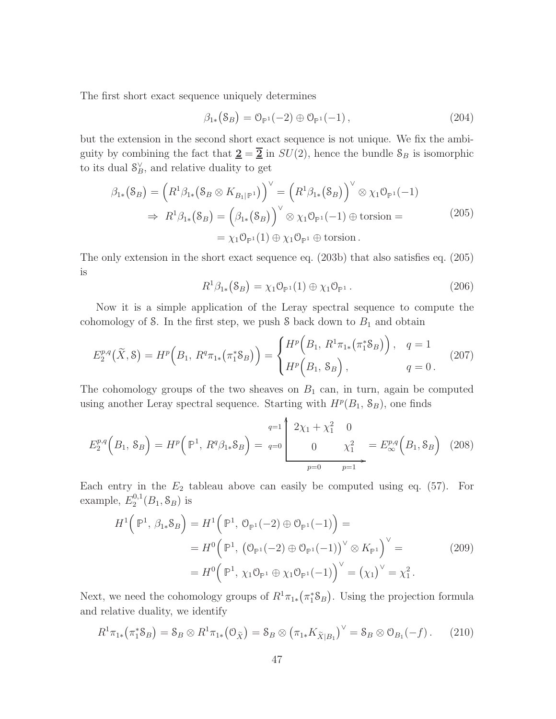The first short exact sequence uniquely determines

$$
\beta_{1*}(S_B) = \mathcal{O}_{\mathbb{P}^1}(-2) \oplus \mathcal{O}_{\mathbb{P}^1}(-1), \qquad (204)
$$

but the extension in the second short exact sequence is not unique. We fix the ambiguity by combining the fact that  $\underline{\mathbf{2}} = \overline{\mathbf{2}}$  in  $SU(2)$ , hence the bundle  $S_B$  is isomorphic to its dual  $\mathcal{S}_B^{\vee}$ , and relative duality to get

$$
\beta_{1*}(S_B) = (R^1 \beta_{1*}(S_B \otimes K_{B_1|\mathbb{P}^1}))^{\vee} = (R^1 \beta_{1*}(S_B))^{\vee} \otimes \chi_1 \mathcal{O}_{\mathbb{P}^1}(-1)
$$
  
\n
$$
\Rightarrow R^1 \beta_{1*}(S_B) = (\beta_{1*}(S_B))^{\vee} \otimes \chi_1 \mathcal{O}_{\mathbb{P}^1}(-1) \oplus \text{torsion} =
$$
  
\n
$$
= \chi_1 \mathcal{O}_{\mathbb{P}^1}(1) \oplus \chi_1 \mathcal{O}_{\mathbb{P}^1} \oplus \text{torsion}.
$$
\n(205)

The only extension in the short exact sequence eq. (203b) that also satisfies eq. (205) is

$$
R^1 \beta_{1*} (\mathcal{S}_B) = \chi_1 \mathcal{O}_{\mathbb{P}^1} (1) \oplus \chi_1 \mathcal{O}_{\mathbb{P}^1} . \tag{206}
$$

Now it is a simple application of the Leray spectral sequence to compute the cohomology of S. In the first step, we push S back down to  $B_1$  and obtain

$$
E_2^{p,q}(\tilde{X}, \mathcal{S}) = H^p\Big(B_1, R^q \pi_{1*}\big(\pi_1^* \mathcal{S}_B\big)\Big) = \begin{cases} H^p\Big(B_1, R^1 \pi_{1*}\big(\pi_1^* \mathcal{S}_B\big)\Big), & q = 1\\ H^p\Big(B_1, \mathcal{S}_B\Big), & q = 0 \,. \end{cases} \tag{207}
$$

The cohomology groups of the two sheaves on  $B_1$  can, in turn, again be computed using another Leray spectral sequence. Starting with  $H^p(B_1, S_B)$ , one finds

$$
E_2^{p,q}(B_1, S_B) = H^p(\mathbb{P}^1, R^q \beta_{1*} S_B) = q=0 \qquad \qquad 0 \qquad \chi_1^2 = E_{\infty}^{p,q}(B_1, S_B) \quad (208)
$$

 $\overline{1}$ 

Each entry in the  $E_2$  tableau above can easily be computed using eq. (57). For example,  $E_2^{0,1}$  $_2^{0,1}(B_1,\mathcal{S}_B)$  is

$$
H^{1}(\mathbb{P}^{1}, \beta_{1*}S_{B}) = H^{1}(\mathbb{P}^{1}, \mathcal{O}_{\mathbb{P}^{1}}(-2) \oplus \mathcal{O}_{\mathbb{P}^{1}}(-1)) =
$$
  
=  $H^{0}(\mathbb{P}^{1}, (\mathcal{O}_{\mathbb{P}^{1}}(-2) \oplus \mathcal{O}_{\mathbb{P}^{1}}(-1))^{\vee} \otimes K_{\mathbb{P}^{1}})^{\vee} =$   
=  $H^{0}(\mathbb{P}^{1}, \chi_{1}\mathcal{O}_{\mathbb{P}^{1}} \oplus \chi_{1}\mathcal{O}_{\mathbb{P}^{1}}(-1))^{\vee} = (\chi_{1})^{\vee} = \chi_{1}^{2}.$  (209)

Next, we need the cohomology groups of  $R^1\pi_{1*}(\pi_1^*\mathcal{S}_B)$ . Using the projection formula and relative duality, we identify

$$
R^{1}\pi_{1*}(\pi_{1}^{*}S_{B}) = S_{B} \otimes R^{1}\pi_{1*}(\mathcal{O}_{\widetilde{X}}) = S_{B} \otimes (\pi_{1*}K_{\widetilde{X}|B_{1}})^{\vee} = S_{B} \otimes \mathcal{O}_{B_{1}}(-f).
$$
 (210)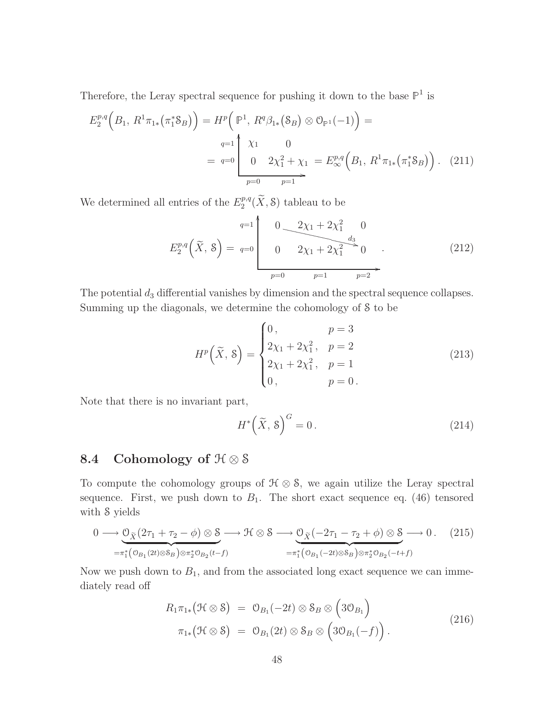Therefore, the Leray spectral sequence for pushing it down to the base  $\mathbb{P}^1$  is

$$
E_2^{p,q}\left(B_1, R^1\pi_{1*}\left(\pi_1^*\mathcal{S}_B\right)\right) = H^p\left(\mathbb{P}^1, R^q\beta_{1*}\left(\mathcal{S}_B\right)\otimes\mathcal{O}_{\mathbb{P}^1}(-1)\right) =
$$
  
\n
$$
q=1\begin{pmatrix} \chi_1 & 0 \\ 0 & 2\chi_1^2 + \chi_1 = E_\infty^{p,q}\left(B_1, R^1\pi_{1*}\left(\pi_1^*\mathcal{S}_B\right)\right). \tag{211}
$$
  
\n
$$
p=0 \qquad p=1 \end{pmatrix}
$$

We determined all entries of the  $E_2^{p,q}$  $\binom{p,q}{2}$  ( $\widetilde{X}$ , S) tableau to be

$$
E_2^{p,q}(\tilde{X}, \tilde{S}) = q=0 \qquad 0 \qquad 2\chi_1 + 2\chi_1^2 \qquad 0
$$
  

$$
E_2^{p,q}(\tilde{X}, \tilde{S}) = q=0 \qquad 0 \qquad 2\chi_1 + 2\chi_1^2 \qquad 0
$$
  

$$
p=0 \qquad p=1 \qquad p=2
$$
 (212)

The potential  $d_3$  differential vanishes by dimension and the spectral sequence collapses. Summing up the diagonals, we determine the cohomology of S to be

$$
H^{p}\left(\widetilde{X}, \, \mathbf{S}\right) = \begin{cases} 0, & p = 3\\ 2\chi_{1} + 2\chi_{1}^{2}, & p = 2\\ 2\chi_{1} + 2\chi_{1}^{2}, & p = 1\\ 0, & p = 0 \end{cases} \tag{213}
$$

Note that there is no invariant part,

$$
H^*\left(\tilde{X},\,8\right)^G=0\,. \tag{214}
$$

## 8.4 Cohomology of  $\mathfrak{H} \otimes \mathfrak{S}$

To compute the cohomology groups of  $\mathcal{H} \otimes \mathcal{S}$ , we again utilize the Leray spectral sequence. First, we push down to  $B_1$ . The short exact sequence eq. (46) tensored with S yields

$$
0 \longrightarrow \underbrace{0_{\tilde{X}}(2\tau_{1} + \tau_{2} - \phi) \otimes \mathcal{S}}_{=\pi_{1}^{*}(\mathcal{O}_{B_{1}}(2t) \otimes \mathcal{S}_{B}) \otimes \pi_{2}^{*}\mathcal{O}_{B_{2}}(t-f)} \longrightarrow \mathcal{H} \otimes \mathcal{S} \longrightarrow \underbrace{0_{\tilde{X}}(-2\tau_{1} - \tau_{2} + \phi) \otimes \mathcal{S}}_{=\pi_{1}^{*}(\mathcal{O}_{B_{1}}(-2t) \otimes \mathcal{S}_{B}) \otimes \pi_{2}^{*}\mathcal{O}_{B_{2}}(-t+f)} \tag{215}
$$

Now we push down to  $B_1$ , and from the associated long exact sequence we can immediately read off

$$
R_{1}\pi_{1*}(\mathcal{H}\otimes \mathcal{S}) = \mathcal{O}_{B_{1}}(-2t) \otimes \mathcal{S}_{B} \otimes (3\mathcal{O}_{B_{1}})
$$
  

$$
\pi_{1*}(\mathcal{H}\otimes \mathcal{S}) = \mathcal{O}_{B_{1}}(2t) \otimes \mathcal{S}_{B} \otimes (3\mathcal{O}_{B_{1}}(-f)).
$$
\n(216)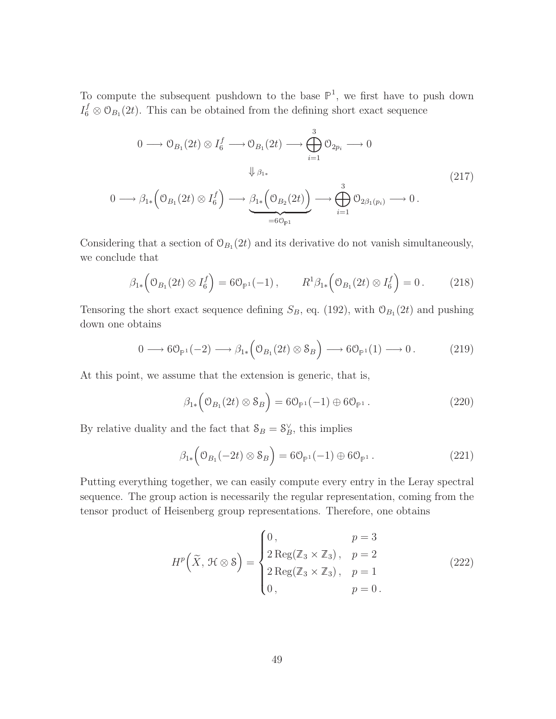To compute the subsequent pushdown to the base  $\mathbb{P}^1$ , we first have to push down  $I_6^f \otimes \mathcal{O}_{B_1}(2t)$ . This can be obtained from the defining short exact sequence

$$
0 \longrightarrow \mathcal{O}_{B_1}(2t) \otimes I_6^f \longrightarrow \mathcal{O}_{B_1}(2t) \longrightarrow \bigoplus_{i=1}^3 \mathcal{O}_{2p_i} \longrightarrow 0
$$
  

$$
\Downarrow_{\beta_{1*}}
$$
  

$$
0 \longrightarrow \beta_{1*} \left( \mathcal{O}_{B_1}(2t) \otimes I_6^f \right) \longrightarrow \underbrace{\beta_{1*} \left( \mathcal{O}_{B_2}(2t) \right)}_{=6\mathcal{O}_{\mathbb{P}^1}} \longrightarrow \bigoplus_{i=1}^3 \mathcal{O}_{2\beta_1(p_i)} \longrightarrow 0.
$$
  

$$
(217)
$$

Considering that a section of  $\mathcal{O}_{B_1}(2t)$  and its derivative do not vanish simultaneously, we conclude that

$$
\beta_{1*} \Big( \mathcal{O}_{B_1}(2t) \otimes I_6^f \Big) = 6 \mathcal{O}_{\mathbb{P}^1}(-1) \,, \qquad R^1 \beta_{1*} \Big( \mathcal{O}_{B_1}(2t) \otimes I_6^f \Big) = 0 \,. \tag{218}
$$

Tensoring the short exact sequence defining  $S_B$ , eq. (192), with  $\mathcal{O}_{B_1}(2t)$  and pushing down one obtains

$$
0 \longrightarrow 6\mathcal{O}_{\mathbb{P}^1}(-2) \longrightarrow \beta_{1*}\Big(\mathcal{O}_{B_1}(2t) \otimes \mathcal{S}_B\Big) \longrightarrow 6\mathcal{O}_{\mathbb{P}^1}(1) \longrightarrow 0. \tag{219}
$$

At this point, we assume that the extension is generic, that is,

$$
\beta_{1*}\left(\mathcal{O}_{B_1}(2t)\otimes \mathcal{S}_B\right) = 6\mathcal{O}_{\mathbb{P}^1}(-1)\oplus 6\mathcal{O}_{\mathbb{P}^1}.
$$
\n(220)

By relative duality and the fact that  $S_B = S_B^{\vee}$ , this implies

$$
\beta_{1*}\left(\mathcal{O}_{B_1}(-2t)\otimes \mathcal{S}_B\right) = 6\mathcal{O}_{\mathbb{P}^1}(-1)\oplus 6\mathcal{O}_{\mathbb{P}^1}.
$$
\n(221)

Putting everything together, we can easily compute every entry in the Leray spectral sequence. The group action is necessarily the regular representation, coming from the tensor product of Heisenberg group representations. Therefore, one obtains

$$
H^{p}\left(\widetilde{X}, \mathcal{H}\otimes\mathcal{S}\right) = \begin{cases} 0, & p = 3\\ 2\operatorname{Reg}(\mathbb{Z}_{3} \times \mathbb{Z}_{3}), & p = 2\\ 2\operatorname{Reg}(\mathbb{Z}_{3} \times \mathbb{Z}_{3}), & p = 1\\ 0, & p = 0 \end{cases}
$$
(222)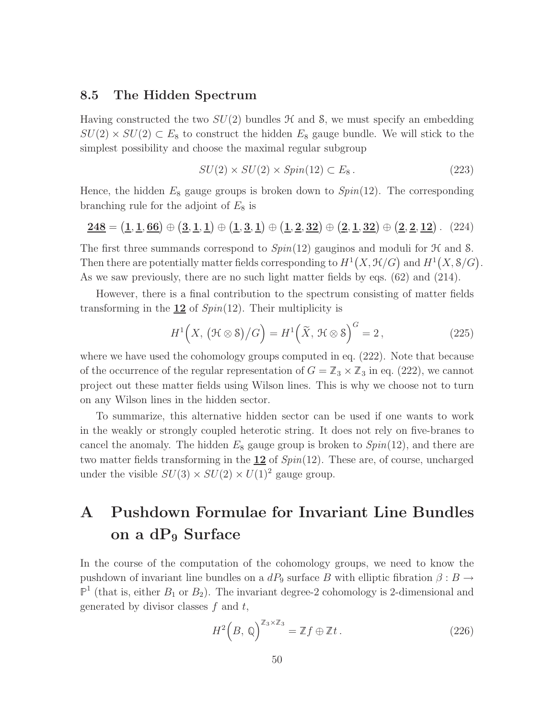#### 8.5 The Hidden Spectrum

Having constructed the two  $SU(2)$  bundles  $H$  and  $S$ , we must specify an embedding  $SU(2) \times SU(2) \subset E_8$  to construct the hidden  $E_8$  gauge bundle. We will stick to the simplest possibility and choose the maximal regular subgroup

$$
SU(2) \times SU(2) \times Spin(12) \subset E_8. \tag{223}
$$

Hence, the hidden  $E_8$  gauge groups is broken down to  $Spin(12)$ . The corresponding branching rule for the adjoint of  $E_8$  is

$$
\underline{248} = (\underline{1}, \underline{1}, \underline{66}) \oplus (\underline{3}, \underline{1}, \underline{1}) \oplus (\underline{1}, \underline{3}, \underline{1}) \oplus (\underline{1}, \underline{2}, \underline{32}) \oplus (\underline{2}, \underline{1}, \underline{32}) \oplus (\underline{2}, \underline{2}, \underline{12})
$$
 (224)

The first three summands correspond to  $Spin(12)$  gauginos and moduli for  $H$  and S. Then there are potentially matter fields corresponding to  $H^1(X, \mathcal{H}/G)$  and  $H^1(X, \mathcal{S}/G)$ . As we saw previously, there are no such light matter fields by eqs. (62) and (214).

However, there is a final contribution to the spectrum consisting of matter fields transforming in the  $12$  of  $Spin(12)$ . Their multiplicity is

$$
H^{1}\left(X, \left(\mathcal{H}\otimes\mathcal{S}\right)/G\right) = H^{1}\left(\widetilde{X}, \mathcal{H}\otimes\mathcal{S}\right)^{G} = 2, \qquad (225)
$$

where we have used the cohomology groups computed in eq. (222). Note that because of the occurrence of the regular representation of  $G = \mathbb{Z}_3 \times \mathbb{Z}_3$  in eq. (222), we cannot project out these matter fields using Wilson lines. This is why we choose not to turn on any Wilson lines in the hidden sector.

To summarize, this alternative hidden sector can be used if one wants to work in the weakly or strongly coupled heterotic string. It does not rely on five-branes to cancel the anomaly. The hidden  $E_8$  gauge group is broken to  $Spin(12)$ , and there are two matter fields transforming in the 12 of *Spin*(12). These are, of course, uncharged under the visible  $SU(3) \times SU(2) \times U(1)^2$  gauge group.

## A Pushdown Formulae for Invariant Line Bundles on a  $dP_9$  Surface

In the course of the computation of the cohomology groups, we need to know the pushdown of invariant line bundles on a  $dP_9$  surface B with elliptic fibration  $\beta : B \to$  $\mathbb{P}^1$  (that is, either  $B_1$  or  $B_2$ ). The invariant degree-2 cohomology is 2-dimensional and generated by divisor classes  $f$  and  $t$ ,

$$
H^{2}\left(B,\,\mathbb{Q}\right)^{\mathbb{Z}_{3}\times\mathbb{Z}_{3}} = \mathbb{Z}f\oplus\mathbb{Z}t\,. \tag{226}
$$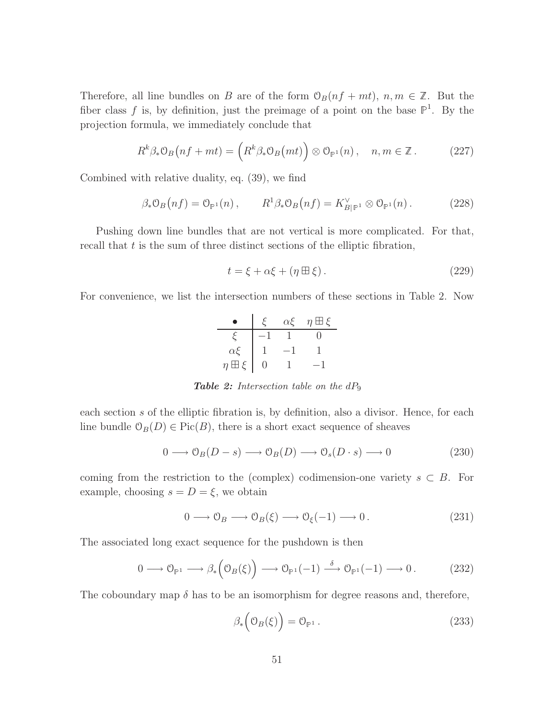Therefore, all line bundles on B are of the form  $\mathcal{O}_B(n f + mt)$ ,  $n, m \in \mathbb{Z}$ . But the fiber class f is, by definition, just the preimage of a point on the base  $\mathbb{P}^1$ . By the projection formula, we immediately conclude that

$$
R^{k}\beta_{*}\mathfrak{O}_{B}(nf+mt) = \left(R^{k}\beta_{*}\mathfrak{O}_{B}(mt)\right) \otimes \mathfrak{O}_{\mathbb{P}^{1}}(n), \quad n, m \in \mathbb{Z}. \tag{227}
$$

Combined with relative duality, eq. (39), we find

$$
\beta_* \mathcal{O}_B\big(n f\big) = \mathcal{O}_{\mathbb{P}^1}\big(n\big) \,, \qquad R^1 \beta_* \mathcal{O}_B\big(n f\big) = K_{B|\mathbb{P}^1}^\vee \otimes \mathcal{O}_{\mathbb{P}^1}\big(n\big) \,. \tag{228}
$$

Pushing down line bundles that are not vertical is more complicated. For that, recall that  $t$  is the sum of three distinct sections of the elliptic fibration,

$$
t = \xi + \alpha \xi + (\eta \boxplus \xi). \tag{229}
$$

For convenience, we list the intersection numbers of these sections in Table 2. Now

|                     | $\alpha$ E | $\eta \boxplus \xi$ |
|---------------------|------------|---------------------|
|                     |            |                     |
| $\alpha\xi$         |            |                     |
| $\eta \boxplus \xi$ |            |                     |

**Table 2:** Intersection table on the  $dP_9$ 

each section s of the elliptic fibration is, by definition, also a divisor. Hence, for each line bundle  $\mathcal{O}_B(D) \in \text{Pic}(B)$ , there is a short exact sequence of sheaves

$$
0 \longrightarrow \mathcal{O}_B(D-s) \longrightarrow \mathcal{O}_B(D) \longrightarrow \mathcal{O}_s(D \cdot s) \longrightarrow 0
$$
 (230)

coming from the restriction to the (complex) codimension-one variety  $s \subset B$ . For example, choosing  $s = D = \xi$ , we obtain

$$
0 \longrightarrow \mathcal{O}_B \longrightarrow \mathcal{O}_B(\xi) \longrightarrow \mathcal{O}_\xi(-1) \longrightarrow 0. \tag{231}
$$

The associated long exact sequence for the pushdown is then

$$
0 \longrightarrow \mathcal{O}_{\mathbb{P}^1} \longrightarrow \beta_*\left(\mathcal{O}_B(\xi)\right) \longrightarrow \mathcal{O}_{\mathbb{P}^1}(-1) \stackrel{\delta}{\longrightarrow} \mathcal{O}_{\mathbb{P}^1}(-1) \longrightarrow 0. \tag{232}
$$

The coboundary map  $\delta$  has to be an isomorphism for degree reasons and, therefore,

$$
\beta_*\left(\mathfrak{O}_B(\xi)\right) = \mathfrak{O}_{\mathbb{P}^1} \,. \tag{233}
$$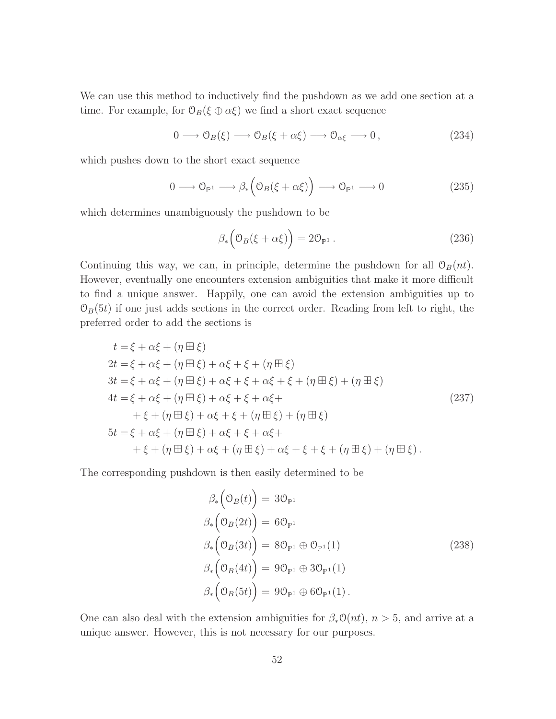We can use this method to inductively find the pushdown as we add one section at a time. For example, for  $\mathcal{O}_B(\xi \oplus \alpha \xi)$  we find a short exact sequence

$$
0 \longrightarrow \mathcal{O}_B(\xi) \longrightarrow \mathcal{O}_B(\xi + \alpha \xi) \longrightarrow \mathcal{O}_{\alpha \xi} \longrightarrow 0, \qquad (234)
$$

which pushes down to the short exact sequence

$$
0 \longrightarrow \mathcal{O}_{\mathbb{P}^1} \longrightarrow \beta_* \Big( \mathcal{O}_B(\xi + \alpha \xi) \Big) \longrightarrow \mathcal{O}_{\mathbb{P}^1} \longrightarrow 0
$$
 (235)

which determines unambiguously the pushdown to be

$$
\beta_* \left( \mathcal{O}_B(\xi + \alpha \xi) \right) = 2 \mathcal{O}_{\mathbb{P}^1} \,. \tag{236}
$$

Continuing this way, we can, in principle, determine the pushdown for all  $\mathcal{O}_B(nt)$ . However, eventually one encounters extension ambiguities that make it more difficult to find a unique answer. Happily, one can avoid the extension ambiguities up to  $\mathcal{O}_B(5t)$  if one just adds sections in the correct order. Reading from left to right, the preferred order to add the sections is

$$
t = \xi + \alpha \xi + (\eta \boxplus \xi)
$$
  
\n
$$
2t = \xi + \alpha \xi + (\eta \boxplus \xi) + \alpha \xi + \xi + (\eta \boxplus \xi)
$$
  
\n
$$
3t = \xi + \alpha \xi + (\eta \boxplus \xi) + \alpha \xi + \xi + \alpha \xi + \xi + (\eta \boxplus \xi) + (\eta \boxplus \xi)
$$
  
\n
$$
4t = \xi + \alpha \xi + (\eta \boxplus \xi) + \alpha \xi + \xi + \alpha \xi + \xi + (\eta \boxplus \xi) + (\eta \boxplus \xi)
$$
  
\n
$$
+ \xi + (\eta \boxplus \xi) + \alpha \xi + \xi + (\eta \boxplus \xi) + (\eta \boxplus \xi)
$$
  
\n
$$
5t = \xi + \alpha \xi + (\eta \boxplus \xi) + \alpha \xi + \xi + \alpha \xi + \xi + (\eta \boxplus \xi) + (\eta \boxplus \xi) + (\eta \boxplus \xi).
$$
\n(237)

The corresponding pushdown is then easily determined to be

$$
\beta_*\left(\mathcal{O}_B(t)\right) = 3\mathcal{O}_{\mathbb{P}^1}
$$
\n
$$
\beta_*\left(\mathcal{O}_B(2t)\right) = 6\mathcal{O}_{\mathbb{P}^1}
$$
\n
$$
\beta_*\left(\mathcal{O}_B(3t)\right) = 8\mathcal{O}_{\mathbb{P}^1} \oplus \mathcal{O}_{\mathbb{P}^1}(1)
$$
\n
$$
\beta_*\left(\mathcal{O}_B(4t)\right) = 9\mathcal{O}_{\mathbb{P}^1} \oplus 3\mathcal{O}_{\mathbb{P}^1}(1)
$$
\n
$$
\beta_*\left(\mathcal{O}_B(5t)\right) = 9\mathcal{O}_{\mathbb{P}^1} \oplus 6\mathcal{O}_{\mathbb{P}^1}(1).
$$
\n(238)

One can also deal with the extension ambiguities for  $\beta_* \mathcal{O}(nt)$ ,  $n > 5$ , and arrive at a unique answer. However, this is not necessary for our purposes.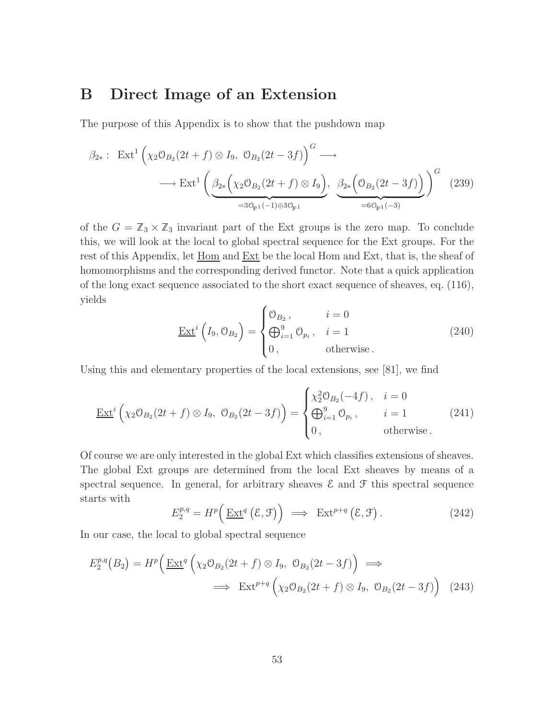## B Direct Image of an Extension

The purpose of this Appendix is to show that the pushdown map

$$
\beta_{2*}: \operatorname{Ext}^1\left(\chi_2\mathcal{O}_{B_2}(2t+f) \otimes I_9, \ \mathcal{O}_{B_2}(2t-3f)\right)^G \longrightarrow \\ \longrightarrow \operatorname{Ext}^1\left(\underbrace{\beta_{2*}\left(\chi_2\mathcal{O}_{B_2}(2t+f) \otimes I_9\right)}_{=3\mathcal{O}_{\mathbb{P}^1}(-1)\oplus 3\mathcal{O}_{\mathbb{P}^1}}, \ \underbrace{\beta_{2*}\left(\mathcal{O}_{B_2}(2t-3f)\right)}_{=6\mathcal{O}_{\mathbb{P}^1}(-3)}\right)^G \tag{239}
$$

of the  $G = \mathbb{Z}_3 \times \mathbb{Z}_3$  invariant part of the Ext groups is the zero map. To conclude this, we will look at the local to global spectral sequence for the Ext groups. For the rest of this Appendix, let  $\underline{Hom}$  and  $\underline{Ext}$  be the local Hom and Ext, that is, the sheaf of homomorphisms and the corresponding derived functor. Note that a quick application of the long exact sequence associated to the short exact sequence of sheaves, eq. (116), yields

$$
\underline{\text{Ext}}^i\left(I_9, \mathcal{O}_{B_2}\right) = \begin{cases} \mathcal{O}_{B_2}, & i = 0\\ \bigoplus_{i=1}^9 \mathcal{O}_{p_i}, & i = 1\\ 0, & \text{otherwise} \end{cases}
$$
 (240)

Using this and elementary properties of the local extensions, see [81], we find

$$
\underline{\operatorname{Ext}}^i\left(\chi_2\mathcal{O}_{B_2}(2t+f)\otimes I_9,\ \mathcal{O}_{B_2}(2t-3f)\right)=\begin{cases} \chi_2^2\mathcal{O}_{B_2}(-4f),\quad i=0\\ \bigoplus_{i=1}^9\mathcal{O}_{p_i},\quad i=1\\ 0,\quad \text{otherwise}\,. \end{cases} (241)
$$

Of course we are only interested in the global Ext which classifies extensions of sheaves. The global Ext groups are determined from the local Ext sheaves by means of a spectral sequence. In general, for arbitrary sheaves  $\mathcal E$  and  $\mathcal F$  this spectral sequence starts with

$$
E_2^{p,q} = H^p\left(\underline{\operatorname{Ext}}^q\left(\mathcal{E}, \mathcal{F}\right)\right) \implies \operatorname{Ext}^{p+q}\left(\mathcal{E}, \mathcal{F}\right). \tag{242}
$$

In our case, the local to global spectral sequence

$$
E_2^{p,q}(B_2) = H^p\left(\underline{\operatorname{Ext}}^q\left(\chi_2\mathcal{O}_{B_2}(2t+f)\otimes I_9, \ \mathcal{O}_{B_2}(2t-3f)\right) \implies \qquad \qquad \Longleftrightarrow \ \operatorname{Ext}^{p+q}\left(\chi_2\mathcal{O}_{B_2}(2t+f)\otimes I_9, \ \mathcal{O}_{B_2}(2t-3f)\right) \tag{243}
$$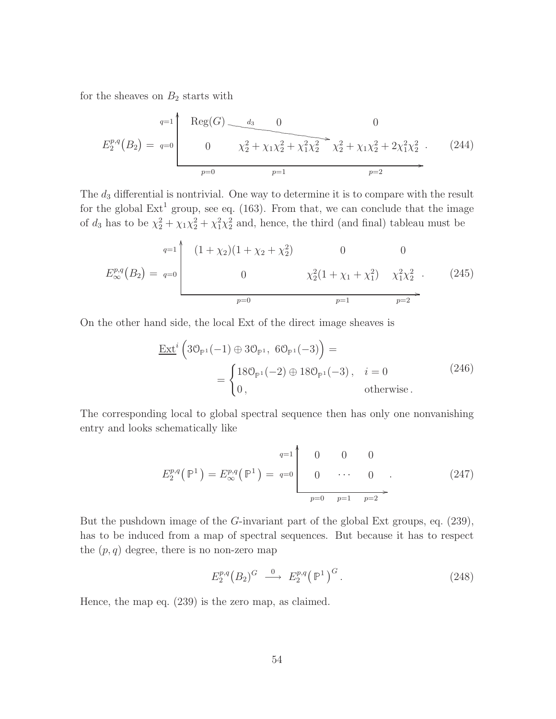for the sheaves on  $B_2$  starts with

$$
E_2^{p,q}(B_2) = q=0 \qquad \qquad 0 \qquad \qquad 0
$$
\n
$$
E_2^{p,q}(B_2) = q=0 \qquad \qquad 0 \qquad \qquad \chi_2^2 + \chi_1 \chi_2^2 + \chi_1^2 \chi_2^2 \qquad \qquad \chi_2^2 + \chi_1 \chi_2^2 + 2\chi_1^2 \chi_2^2 \qquad \qquad (244)
$$
\n
$$
p=0 \qquad \qquad p=1 \qquad \qquad p=2
$$

The  $d_3$  differential is nontrivial. One way to determine it is to compare with the result for the global  $Ext<sup>1</sup>$  group, see eq. (163). From that, we can conclude that the image of  $d_3$  has to be  $\chi^2_2 + \chi_1 \chi^2_2 + \chi_1^2 \chi^2_2$  and, hence, the third (and final) tableau must be

$$
E_{\infty}^{p,q}(B_2) = q=0
$$
\n
$$
\begin{pmatrix}\n(1+\chi_2)(1+\chi_2+\chi_2^2) & 0 & 0 \\
0 & \chi_2^2(1+\chi_1+\chi_1^2) & \chi_1^2\chi_2^2 & (245) \\
\hline\n & p=0 & p=1 & p=2\n\end{pmatrix}
$$

On the other hand side, the local Ext of the direct image sheaves is

$$
\underline{\text{Ext}}^{i} \left( 3\mathcal{O}_{\mathbb{P}^{1}}(-1) \oplus 3\mathcal{O}_{\mathbb{P}^{1}}, 6\mathcal{O}_{\mathbb{P}^{1}}(-3) \right) =
$$
\n
$$
= \begin{cases} 18\mathcal{O}_{\mathbb{P}^{1}}(-2) \oplus 18\mathcal{O}_{\mathbb{P}^{1}}(-3), & i = 0 \\ 0, & \text{otherwise.} \end{cases}
$$
\n(246)

The corresponding local to global spectral sequence then has only one nonvanishing entry and looks schematically like

E p,q 2 P1 = E p,q ∞ P1 = <sup>q</sup>=1 0 0 0 <sup>q</sup>=0 0 · · · 0 / OO p=0 p=1 p=2 . (247)

But the pushdown image of the G-invariant part of the global Ext groups, eq. (239), has to be induced from a map of spectral sequences. But because it has to respect the  $(p, q)$  degree, there is no non-zero map

$$
E_2^{p,q}(B_2)^G \xrightarrow{0} E_2^{p,q}(\mathbb{P}^1)^G.
$$
 (248)

Hence, the map eq. (239) is the zero map, as claimed.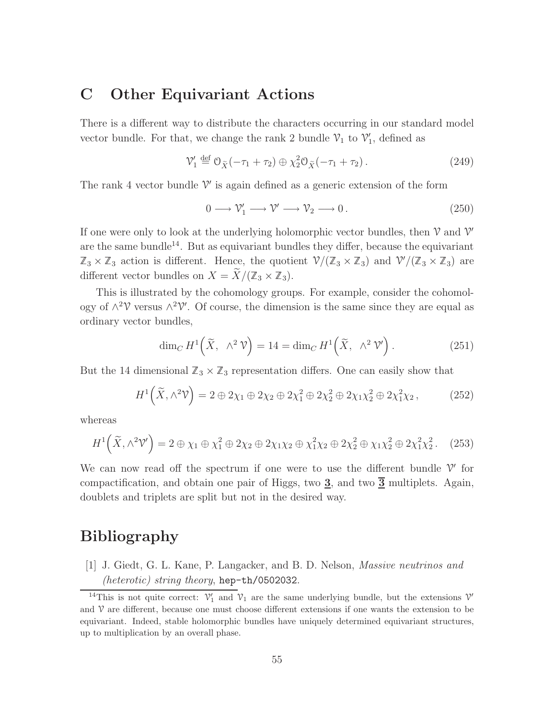## C Other Equivariant Actions

There is a different way to distribute the characters occurring in our standard model vector bundle. For that, we change the rank 2 bundle  $\mathcal{V}_1$  to  $\mathcal{V}'_1$ , defined as

$$
\mathcal{V}'_1 \stackrel{\text{def}}{=} \mathcal{O}_{\tilde{X}}(-\tau_1 + \tau_2) \oplus \chi_2^2 \mathcal{O}_{\tilde{X}}(-\tau_1 + \tau_2).
$$
 (249)

The rank 4 vector bundle  $\mathcal V'$  is again defined as a generic extension of the form

$$
0 \longrightarrow \mathcal{V}'_1 \longrightarrow \mathcal{V}' \longrightarrow \mathcal{V}_2 \longrightarrow 0. \tag{250}
$$

If one were only to look at the underlying holomorphic vector bundles, then  $\mathcal V$  and  $\mathcal V'$ are the same bundle<sup>14</sup>. But as equivariant bundles they differ, because the equivariant  $\mathbb{Z}_3 \times \mathbb{Z}_3$  action is different. Hence, the quotient  $\mathcal{V}/(\mathbb{Z}_3 \times \mathbb{Z}_3)$  and  $\mathcal{V}'/(\mathbb{Z}_3 \times \mathbb{Z}_3)$  are different vector bundles on  $X = \widetilde{X}/(\mathbb{Z}_3 \times \mathbb{Z}_3)$ .

This is illustrated by the cohomology groups. For example, consider the cohomology of  $\wedge^2$  versus  $\wedge^2$  V'. Of course, the dimension is the same since they are equal as ordinary vector bundles,

$$
\dim_C H^1\left(\widetilde{X}, \Lambda^2 \mathcal{V}\right) = 14 = \dim_C H^1\left(\widetilde{X}, \Lambda^2 \mathcal{V}'\right). \tag{251}
$$

But the 14 dimensional  $\mathbb{Z}_3 \times \mathbb{Z}_3$  representation differs. One can easily show that

$$
H^1\left(\widetilde{X}, \wedge^2 \mathcal{V}\right) = 2 \oplus 2\chi_1 \oplus 2\chi_2 \oplus 2\chi_1^2 \oplus 2\chi_2^2 \oplus 2\chi_1\chi_2^2 \oplus 2\chi_1^2\chi_2, \tag{252}
$$

whereas

$$
H^1\left(\widetilde{X}, \wedge^2 \mathcal{V}'\right) = 2 \oplus \chi_1 \oplus \chi_1^2 \oplus 2\chi_2 \oplus 2\chi_1\chi_2 \oplus \chi_1^2\chi_2 \oplus 2\chi_2^2 \oplus \chi_1\chi_2^2 \oplus 2\chi_1^2\chi_2^2. \tag{253}
$$

We can now read off the spectrum if one were to use the different bundle  $\mathcal V'$  for compactification, and obtain one pair of Higgs, two  $\underline{3}$ , and two  $\underline{\overline{3}}$  multiplets. Again, doublets and triplets are split but not in the desired way.

## Bibliography

[1] J. Giedt, G. L. Kane, P. Langacker, and B. D. Nelson, *Massive neutrinos and (heterotic) string theory*, hep-th/0502032.

<sup>&</sup>lt;sup>14</sup>This is not quite correct:  $V'_1$  and  $V_1$  are the same underlying bundle, but the extensions  $V'$ and  $\nu$  are different, because one must choose different extensions if one wants the extension to be equivariant. Indeed, stable holomorphic bundles have uniquely determined equivariant structures, up to multiplication by an overall phase.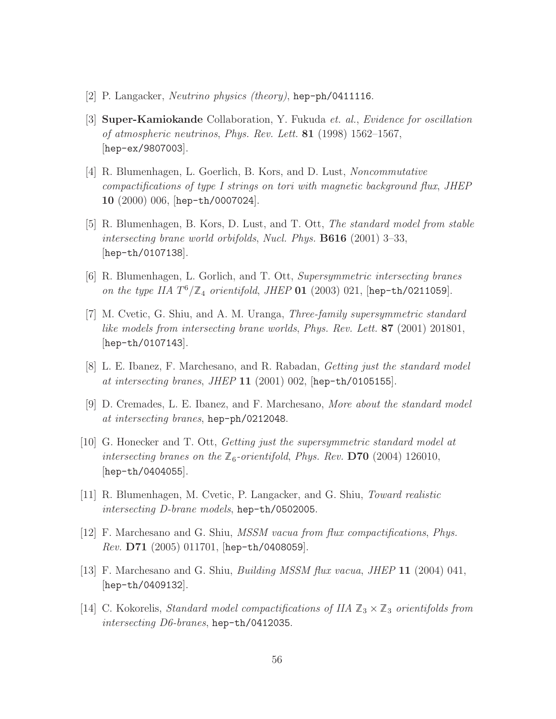- [2] P. Langacker, *Neutrino physics (theory)*, hep-ph/0411116.
- [3] Super-Kamiokande Collaboration, Y. Fukuda *et. al.*, *Evidence for oscillation of atmospheric neutrinos*, *Phys. Rev. Lett.* 81 (1998) 1562–1567, [hep-ex/9807003].
- [4] R. Blumenhagen, L. Goerlich, B. Kors, and D. Lust, *Noncommutative compactifications of type I strings on tori with magnetic background flux*, *JHEP* 10 (2000) 006, [hep-th/0007024].
- [5] R. Blumenhagen, B. Kors, D. Lust, and T. Ott, *The standard model from stable intersecting brane world orbifolds*, *Nucl. Phys.* B616 (2001) 3–33, [hep-th/0107138].
- [6] R. Blumenhagen, L. Gorlich, and T. Ott, *Supersymmetric intersecting branes on the type IIA* T <sup>6</sup>/Z<sup>4</sup> *orientifold*, *JHEP* 01 (2003) 021, [hep-th/0211059].
- [7] M. Cvetic, G. Shiu, and A. M. Uranga, *Three-family supersymmetric standard like models from intersecting brane worlds*, *Phys. Rev. Lett.* 87 (2001) 201801, [hep-th/0107143].
- [8] L. E. Ibanez, F. Marchesano, and R. Rabadan, *Getting just the standard model at intersecting branes*, *JHEP* 11 (2001) 002, [hep-th/0105155].
- [9] D. Cremades, L. E. Ibanez, and F. Marchesano, *More about the standard model at intersecting branes*, hep-ph/0212048.
- [10] G. Honecker and T. Ott, *Getting just the supersymmetric standard model at intersecting branes on the*  $\mathbb{Z}_6$ -*orientifold*, *Phys. Rev.* **D70** (2004) 126010, [hep-th/0404055].
- [11] R. Blumenhagen, M. Cvetic, P. Langacker, and G. Shiu, *Toward realistic intersecting D-brane models*, hep-th/0502005.
- [12] F. Marchesano and G. Shiu, *MSSM vacua from flux compactifications*, *Phys. Rev.* D71 (2005) 011701, [hep-th/0408059].
- [13] F. Marchesano and G. Shiu, *Building MSSM flux vacua*, *JHEP* 11 (2004) 041, [hep-th/0409132].
- [14] C. Kokorelis, *Standard model compactifications of IIA*  $\mathbb{Z}_3 \times \mathbb{Z}_3$  *orientifolds from intersecting D6-branes*, hep-th/0412035.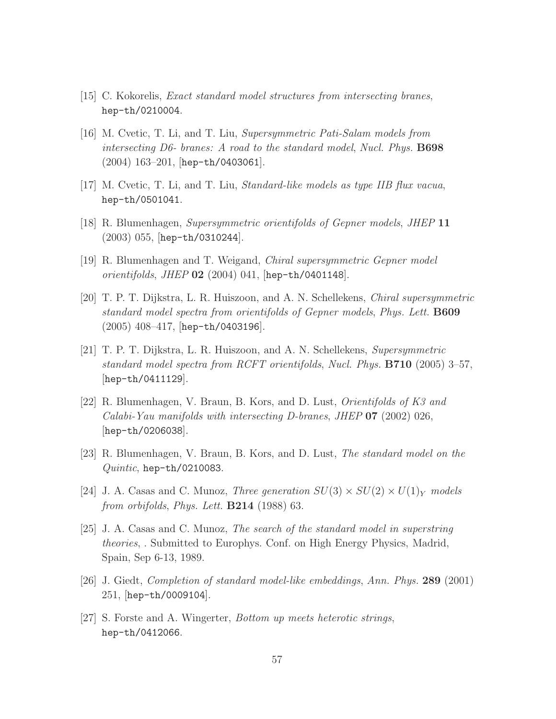- [15] C. Kokorelis, *Exact standard model structures from intersecting branes*, hep-th/0210004.
- [16] M. Cvetic, T. Li, and T. Liu, *Supersymmetric Pati-Salam models from intersecting D6- branes: A road to the standard model*, *Nucl. Phys.* B698 (2004) 163–201, [hep-th/0403061].
- [17] M. Cvetic, T. Li, and T. Liu, *Standard-like models as type IIB flux vacua*, hep-th/0501041.
- [18] R. Blumenhagen, *Supersymmetric orientifolds of Gepner models*, *JHEP* 11 (2003) 055, [hep-th/0310244].
- [19] R. Blumenhagen and T. Weigand, *Chiral supersymmetric Gepner model orientifolds*, *JHEP* 02 (2004) 041, [hep-th/0401148].
- [20] T. P. T. Dijkstra, L. R. Huiszoon, and A. N. Schellekens, *Chiral supersymmetric standard model spectra from orientifolds of Gepner models*, *Phys. Lett.* B609 (2005) 408–417, [hep-th/0403196].
- [21] T. P. T. Dijkstra, L. R. Huiszoon, and A. N. Schellekens, *Supersymmetric standard model spectra from RCFT orientifolds*, *Nucl. Phys.* B710 (2005) 3–57, [hep-th/0411129].
- [22] R. Blumenhagen, V. Braun, B. Kors, and D. Lust, *Orientifolds of K3 and Calabi-Yau manifolds with intersecting D-branes*, *JHEP* 07 (2002) 026, [hep-th/0206038].
- [23] R. Blumenhagen, V. Braun, B. Kors, and D. Lust, *The standard model on the Quintic*, hep-th/0210083.
- [24] J. A. Casas and C. Munoz, *Three generation*  $SU(3) \times SU(2) \times U(1)_Y$  models *from orbifolds*, *Phys. Lett.* B214 (1988) 63.
- [25] J. A. Casas and C. Munoz, *The search of the standard model in superstring theories*, . Submitted to Europhys. Conf. on High Energy Physics, Madrid, Spain, Sep 6-13, 1989.
- [26] J. Giedt, *Completion of standard model-like embeddings*, *Ann. Phys.* 289 (2001) 251, [hep-th/0009104].
- [27] S. Forste and A. Wingerter, *Bottom up meets heterotic strings*, hep-th/0412066.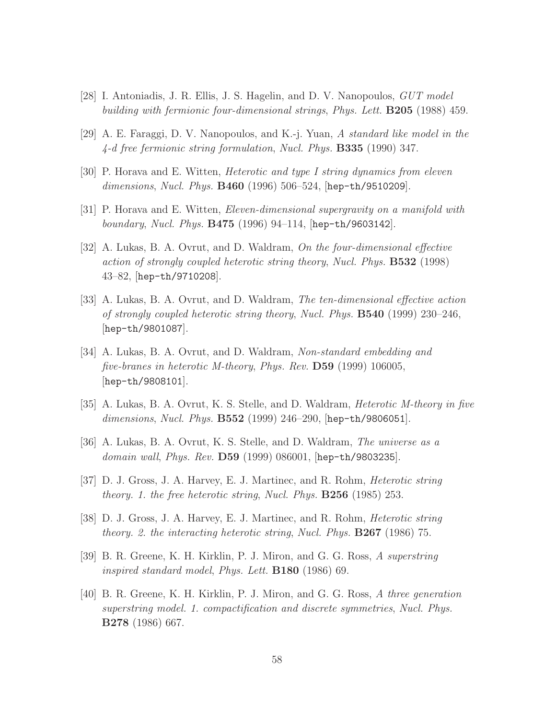- [28] I. Antoniadis, J. R. Ellis, J. S. Hagelin, and D. V. Nanopoulos, *GUT model building with fermionic four-dimensional strings*, *Phys. Lett.* B205 (1988) 459.
- [29] A. E. Faraggi, D. V. Nanopoulos, and K.-j. Yuan, *A standard like model in the 4-d free fermionic string formulation*, *Nucl. Phys.* B335 (1990) 347.
- [30] P. Horava and E. Witten, *Heterotic and type I string dynamics from eleven dimensions*, *Nucl. Phys.* B460 (1996) 506–524, [hep-th/9510209].
- [31] P. Horava and E. Witten, *Eleven-dimensional supergravity on a manifold with boundary*, *Nucl. Phys.* B475 (1996) 94–114, [hep-th/9603142].
- [32] A. Lukas, B. A. Ovrut, and D. Waldram, *On the four-dimensional effective action of strongly coupled heterotic string theory*, *Nucl. Phys.* B532 (1998) 43–82, [hep-th/9710208].
- [33] A. Lukas, B. A. Ovrut, and D. Waldram, *The ten-dimensional effective action of strongly coupled heterotic string theory*, *Nucl. Phys.* B540 (1999) 230–246, [hep-th/9801087].
- [34] A. Lukas, B. A. Ovrut, and D. Waldram, *Non-standard embedding and five-branes in heterotic M-theory*, *Phys. Rev.* D59 (1999) 106005, [hep-th/9808101].
- [35] A. Lukas, B. A. Ovrut, K. S. Stelle, and D. Waldram, *Heterotic M-theory in five dimensions*, *Nucl. Phys.* B552 (1999) 246–290, [hep-th/9806051].
- [36] A. Lukas, B. A. Ovrut, K. S. Stelle, and D. Waldram, *The universe as a domain wall*, *Phys. Rev.* D59 (1999) 086001, [hep-th/9803235].
- [37] D. J. Gross, J. A. Harvey, E. J. Martinec, and R. Rohm, *Heterotic string theory. 1. the free heterotic string*, *Nucl. Phys.* B256 (1985) 253.
- [38] D. J. Gross, J. A. Harvey, E. J. Martinec, and R. Rohm, *Heterotic string theory. 2. the interacting heterotic string*, *Nucl. Phys.* B267 (1986) 75.
- [39] B. R. Greene, K. H. Kirklin, P. J. Miron, and G. G. Ross, *A superstring inspired standard model*, *Phys. Lett.* B180 (1986) 69.
- [40] B. R. Greene, K. H. Kirklin, P. J. Miron, and G. G. Ross, *A three generation superstring model. 1. compactification and discrete symmetries*, *Nucl. Phys.* B278 (1986) 667.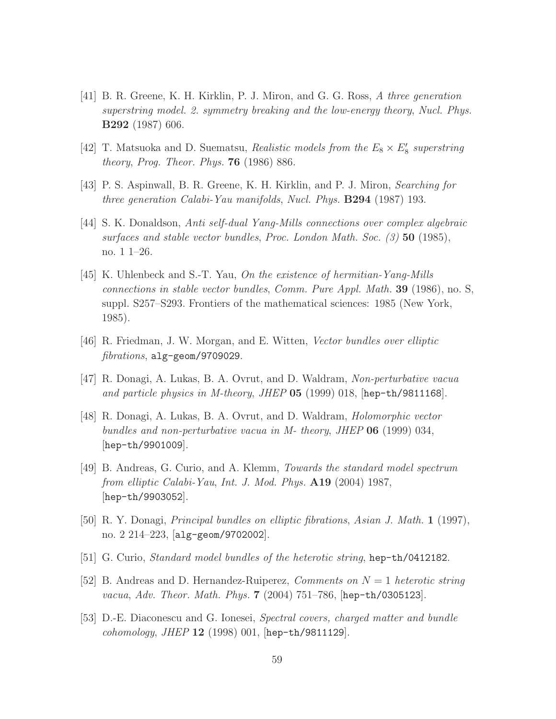- [41] B. R. Greene, K. H. Kirklin, P. J. Miron, and G. G. Ross, *A three generation superstring model. 2. symmetry breaking and the low-energy theory*, *Nucl. Phys.* B292 (1987) 606.
- [42] T. Matsuoka and D. Suematsu, *Realistic models from the*  $E_8 \times E'_8$  superstring *theory*, *Prog. Theor. Phys.* 76 (1986) 886.
- [43] P. S. Aspinwall, B. R. Greene, K. H. Kirklin, and P. J. Miron, *Searching for three generation Calabi-Yau manifolds*, *Nucl. Phys.* B294 (1987) 193.
- [44] S. K. Donaldson, *Anti self-dual Yang-Mills connections over complex algebraic surfaces and stable vector bundles*, *Proc. London Math. Soc. (3)* 50 (1985), no. 1 1–26.
- [45] K. Uhlenbeck and S.-T. Yau, *On the existence of hermitian-Yang-Mills connections in stable vector bundles*, *Comm. Pure Appl. Math.* 39 (1986), no. S, suppl. S257–S293. Frontiers of the mathematical sciences: 1985 (New York, 1985).
- [46] R. Friedman, J. W. Morgan, and E. Witten, *Vector bundles over elliptic fibrations*, alg-geom/9709029.
- [47] R. Donagi, A. Lukas, B. A. Ovrut, and D. Waldram, *Non-perturbative vacua and particle physics in M-theory*, *JHEP* 05 (1999) 018, [hep-th/9811168].
- [48] R. Donagi, A. Lukas, B. A. Ovrut, and D. Waldram, *Holomorphic vector bundles and non-perturbative vacua in M- theory*, *JHEP* 06 (1999) 034, [hep-th/9901009].
- [49] B. Andreas, G. Curio, and A. Klemm, *Towards the standard model spectrum from elliptic Calabi-Yau*, *Int. J. Mod. Phys.* A19 (2004) 1987, [hep-th/9903052].
- [50] R. Y. Donagi, *Principal bundles on elliptic fibrations*, *Asian J. Math.* 1 (1997), no. 2 214–223, [alg-geom/9702002].
- [51] G. Curio, *Standard model bundles of the heterotic string*, hep-th/0412182.
- [52] B. Andreas and D. Hernandez-Ruiperez, *Comments on* N = 1 *heterotic string vacua*, *Adv. Theor. Math. Phys.* 7 (2004) 751–786, [hep-th/0305123].
- [53] D.-E. Diaconescu and G. Ionesei, *Spectral covers, charged matter and bundle cohomology*, *JHEP* 12 (1998) 001, [hep-th/9811129].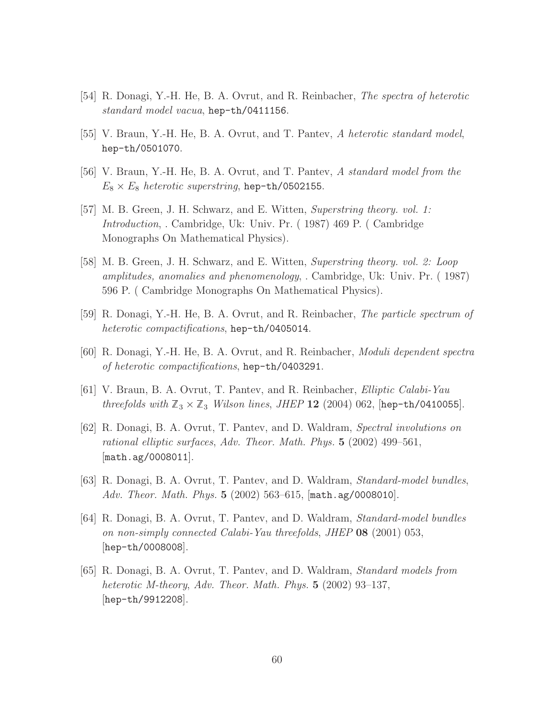- [54] R. Donagi, Y.-H. He, B. A. Ovrut, and R. Reinbacher, *The spectra of heterotic standard model vacua*, hep-th/0411156.
- [55] V. Braun, Y.-H. He, B. A. Ovrut, and T. Pantev, *A heterotic standard model*, hep-th/0501070.
- [56] V. Braun, Y.-H. He, B. A. Ovrut, and T. Pantev, *A standard model from the*  $E_8 \times E_8$  *heterotic superstring*, hep-th/0502155.
- [57] M. B. Green, J. H. Schwarz, and E. Witten, *Superstring theory. vol. 1: Introduction*, . Cambridge, Uk: Univ. Pr. ( 1987) 469 P. ( Cambridge Monographs On Mathematical Physics).
- [58] M. B. Green, J. H. Schwarz, and E. Witten, *Superstring theory. vol. 2: Loop amplitudes, anomalies and phenomenology*, . Cambridge, Uk: Univ. Pr. ( 1987) 596 P. ( Cambridge Monographs On Mathematical Physics).
- [59] R. Donagi, Y.-H. He, B. A. Ovrut, and R. Reinbacher, *The particle spectrum of heterotic compactifications*, hep-th/0405014.
- [60] R. Donagi, Y.-H. He, B. A. Ovrut, and R. Reinbacher, *Moduli dependent spectra of heterotic compactifications*, hep-th/0403291.
- [61] V. Braun, B. A. Ovrut, T. Pantev, and R. Reinbacher, *Elliptic Calabi-Yau threefolds with*  $\mathbb{Z}_3 \times \mathbb{Z}_3$  *Wilson lines, JHEP* 12 (2004) 062, [hep-th/0410055].
- [62] R. Donagi, B. A. Ovrut, T. Pantev, and D. Waldram, *Spectral involutions on rational elliptic surfaces*, *Adv. Theor. Math. Phys.* 5 (2002) 499–561, [math.ag/0008011].
- [63] R. Donagi, B. A. Ovrut, T. Pantev, and D. Waldram, *Standard-model bundles*, *Adv. Theor. Math. Phys.* 5 (2002) 563–615, [math.ag/0008010].
- [64] R. Donagi, B. A. Ovrut, T. Pantev, and D. Waldram, *Standard-model bundles on non-simply connected Calabi-Yau threefolds*, *JHEP* 08 (2001) 053, [hep-th/0008008].
- [65] R. Donagi, B. A. Ovrut, T. Pantev, and D. Waldram, *Standard models from heterotic M-theory*, *Adv. Theor. Math. Phys.* 5 (2002) 93–137, [hep-th/9912208].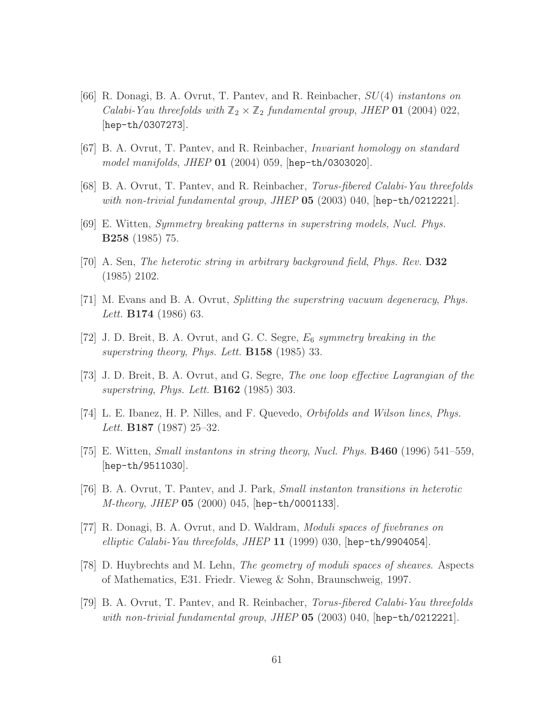- [66] R. Donagi, B. A. Ovrut, T. Pantev, and R. Reinbacher, SU(4) *instantons on Calabi-Yau threefolds with*  $\mathbb{Z}_2 \times \mathbb{Z}_2$  *fundamental group, JHEP* **01** (2004) 022, [hep-th/0307273].
- [67] B. A. Ovrut, T. Pantev, and R. Reinbacher, *Invariant homology on standard model manifolds*, *JHEP* 01 (2004) 059, [hep-th/0303020].
- [68] B. A. Ovrut, T. Pantev, and R. Reinbacher, *Torus-fibered Calabi-Yau threefolds with non-trivial fundamental group*, *JHEP* 05 (2003) 040, [hep-th/0212221].
- [69] E. Witten, *Symmetry breaking patterns in superstring models*, *Nucl. Phys.* B258 (1985) 75.
- [70] A. Sen, *The heterotic string in arbitrary background field*, *Phys. Rev.* D32 (1985) 2102.
- [71] M. Evans and B. A. Ovrut, *Splitting the superstring vacuum degeneracy*, *Phys. Lett.* B174 (1986) 63.
- [72] J. D. Breit, B. A. Ovrut, and G. C. Segre, E<sup>6</sup> *symmetry breaking in the superstring theory*, *Phys. Lett.* B158 (1985) 33.
- [73] J. D. Breit, B. A. Ovrut, and G. Segre, *The one loop effective Lagrangian of the superstring*, *Phys. Lett.* B162 (1985) 303.
- [74] L. E. Ibanez, H. P. Nilles, and F. Quevedo, *Orbifolds and Wilson lines*, *Phys. Lett.* B187 (1987) 25–32.
- [75] E. Witten, *Small instantons in string theory*, *Nucl. Phys.* B460 (1996) 541–559, [hep-th/9511030].
- [76] B. A. Ovrut, T. Pantev, and J. Park, *Small instanton transitions in heterotic M-theory*, *JHEP* 05 (2000) 045, [hep-th/0001133].
- [77] R. Donagi, B. A. Ovrut, and D. Waldram, *Moduli spaces of fivebranes on elliptic Calabi-Yau threefolds*, *JHEP* 11 (1999) 030, [hep-th/9904054].
- [78] D. Huybrechts and M. Lehn, *The geometry of moduli spaces of sheaves*. Aspects of Mathematics, E31. Friedr. Vieweg & Sohn, Braunschweig, 1997.
- [79] B. A. Ovrut, T. Pantev, and R. Reinbacher, *Torus-fibered Calabi-Yau threefolds with non-trivial fundamental group*, *JHEP* 05 (2003) 040, [hep-th/0212221].